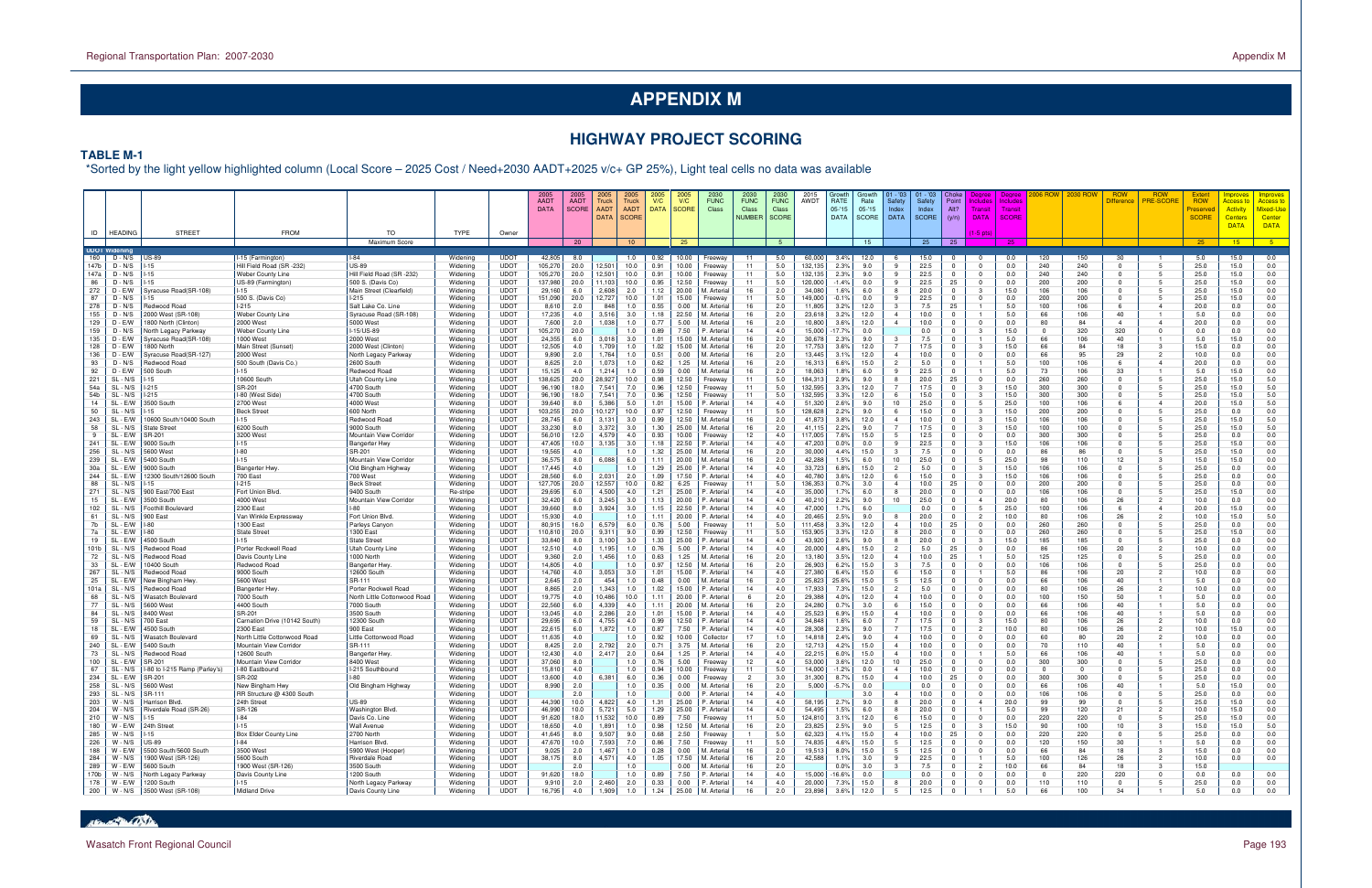# **HIGHWAY PROJECT SCORING**

#### **TABLE M-1**

\*Sorted by the light yellow highlighted column (Local Score – 2025 Cost / Need+2030 AADT+2025 v/c+ GP 25%), Light teal cells no data was available

|              |                      |                                                    |                                         |                                          |                      |                            | <b>AADT</b><br><b>DATA</b> | <b>AADT</b><br><b>SCORE</b> | 2005<br>Truck<br>AADT<br>DATA | Truck<br><b>AADT</b><br><b>SCORE</b> | V/C<br><b>DATA</b> | V/C<br>SCORE   | <b>FUNC</b><br>Class                               | <b>FUNC</b><br>Class<br><b>NUMBER</b> | <b>FUNC</b><br>Class<br><b>SCORE</b> | AWDT               | RATE<br>05-'15<br><b>DATA</b> | Growt<br>Rate<br>$05 - 15$<br><b>SCORE</b> | - '03<br>Safety<br>Index<br><b>DATA</b> | - '03<br>Safety<br>Index<br><b>SCORE</b> | Point<br>Alt?<br>(y/n)      | clude<br>Transi<br><b>DATA</b> | <b>Deared</b><br>Include<br>Transi<br>SCORI |                | <b>2030 ROV</b> | <b>ROW</b><br>Difference | <b>ROW</b><br>PRE-SCORE        | <b>ROW</b><br>'reserved<br><b>SCORE</b> | <b>noroves</b><br><mark>\ccess t</mark><br><b>Activity</b><br><b>Centers</b><br><b>DATA</b> | mprove<br><u>Access t</u><br>Mixed-Us<br>Center<br><b>DATA</b> |
|--------------|----------------------|----------------------------------------------------|-----------------------------------------|------------------------------------------|----------------------|----------------------------|----------------------------|-----------------------------|-------------------------------|--------------------------------------|--------------------|----------------|----------------------------------------------------|---------------------------------------|--------------------------------------|--------------------|-------------------------------|--------------------------------------------|-----------------------------------------|------------------------------------------|-----------------------------|--------------------------------|---------------------------------------------|----------------|-----------------|--------------------------|--------------------------------|-----------------------------------------|---------------------------------------------------------------------------------------------|----------------------------------------------------------------|
|              | ID   HEADING         | <b>STREET</b>                                      | <b>FROM</b>                             | TO<br>Maximum Score                      | <b>TYPE</b>          | Owner                      |                            | 20                          |                               | 10 <sup>°</sup>                      |                    | 25             |                                                    |                                       | 5                                    |                    |                               | 15                                         |                                         | $25 -$                                   | 25                          | $(1-5 \text{ pts})$            | 25                                          |                |                 |                          |                                | 25                                      | 15                                                                                          | $-5$                                                           |
|              | <b>UDOT Widening</b> |                                                    |                                         |                                          |                      |                            |                            |                             |                               |                                      |                    |                |                                                    |                                       |                                      |                    |                               |                                            |                                         |                                          |                             |                                |                                             |                |                 |                          |                                |                                         |                                                                                             |                                                                |
| 160          | D - N/S              | <b>US-89</b>                                       | -15 (Farmington)                        | $I-84$                                   | Widening             | <b>UDOT</b>                | 42,805                     | 8.0                         |                               | 1.0                                  | 0.92               | 10.00          | reeway                                             | 11                                    | 5.0                                  | 60,000             | 3.4%                          | 12.0                                       |                                         | 15.0                                     |                             |                                | 0.0                                         | 120            | 150             | 30                       |                                | 5.0                                     | 15.0                                                                                        | 0.0                                                            |
| 147b<br>147a | D - N/S<br>$D - N/S$ | $-15$<br>$-15$                                     | Hill Field Road (SR-232)                | <b>US-89</b><br>Hill Field Road (SR-232) | Widening<br>Widening | UDOT<br><b>UDOT</b>        | 105,270<br>105,270         | 20.0<br>20.0                | 12,501<br>12,501              | 10.0<br>10.0                         | 0.91<br>0.91       | 10.00<br>10.00 | Freewav<br>Freeway                                 | 11<br>11                              | 5.0<br>5.0                           | 132,135<br>132.135 | 2.3%<br>2.3%                  | 9.0<br>9.0                                 | -9<br>$\overline{9}$                    | 22.5<br>22.5                             |                             | $\Omega$                       | 0.0<br>0.0                                  | 240<br>240     | 240<br>240      | $\Omega$<br>$\Omega$     |                                | 25.0<br>25.0                            | 15.0<br>15.0                                                                                | 0.0<br>0.0                                                     |
| 86           | D - N/S              | $-15$                                              | Weber County Line<br>US-89 (Farmington) | 500 S. (Davis Co)                        | Widening             | <b>UDOT</b>                | 137,980                    | 20.0                        | 11,103                        | 10.0                                 | 0.95               | 12.50          | Freeway                                            | 11                                    | 5.0                                  | 120,000            | $-1.4%$                       | 0.0                                        | 9                                       | 22.5                                     | 25                          | $\Omega$                       | 0.0                                         | 200            | 200             | $\Omega$                 |                                | 25.0                                    | 15.0                                                                                        | 0.0                                                            |
| 272          | $D - E/W$            | Syracuse Road(SR-108)                              |                                         | Main Street (Clearfield)                 | Widening             | <b>UDOT</b>                | 29,160                     | 6.0                         | 2,608                         | 2.0                                  | 1.12               | 20.00          | <i>I</i> I. Arterial                               | 16                                    | 2.0                                  | 34,080             | 1.6%                          | 6.0                                        | 8                                       | 20.0                                     |                             |                                | 15.0                                        | 106            | 106             | 0                        |                                | 25.0                                    | 15.0                                                                                        | 0.0                                                            |
| 87           | D - N/S              | 15                                                 | 500 S. (Davis Co)                       | $1-215$                                  | Widening             | <b>UDOT</b>                | 151,090                    | 20.0                        | 12,727                        | 10.0                                 | 1.01               | 15.00          | Freeway                                            | 11                                    | 5.0                                  | 49,000             | $-0.1%$                       | 0.0                                        | 9                                       | 22.5                                     |                             | $\Omega$                       | 0.0                                         | 200            | 200             | $\Omega$                 |                                | 25.0                                    | 15.0                                                                                        | 0.0                                                            |
| 278          | D - N/S              | Redwood Road                                       | $1-215$                                 | Salt Lake Co. Line                       | Widening             | <b>UDOT</b>                | 8,610                      | 2.0                         | 848                           | 1.0                                  | 0.55               | 0.00           | VI. Arterial                                       | 16                                    | 2.0                                  | 11,805             | 3.2%                          | 12.0                                       | $\mathbf{3}$                            | 7.5                                      | 25                          |                                | 5.0                                         | 100            | 106             |                          |                                | 20.0                                    | 0.0                                                                                         | 0.0                                                            |
| 155          | D - N/S              | 2000 West (SR-108)                                 | Weber County Line                       | Syracuse Road (SR-108)                   | Widening             | <b>UDOT</b>                | 17,235                     | 4.0                         | 3,516                         | 3.0                                  | 1.18               | 22.50          | VI. Arterial                                       | 16                                    | 2.0                                  | 23.618             | 3.2%                          | 12.0                                       | $\overline{a}$                          | 10.0                                     |                             |                                | 5.0                                         | 66             | 106             | 40                       |                                | 5.0                                     | 0.0                                                                                         | 0.0                                                            |
| 129<br>159   | D - E/W<br>$D - N/S$ | 800 North (Clinton)<br>North Legacy Parkway        | 2000 West<br>Weber County Line          | 5000 West<br>$-15/US-89$                 | Widening<br>Widening | <b>UDOT</b><br><b>UDOT</b> | 7,600<br>105,270           | 2.0<br>20.0                 | 1,038                         | 1.0<br>1.0                           | 0.77<br>0.89       | 5.00<br>7.50   | VI. Arterial<br><sup>2</sup> . Arterial            | 16<br>14                              | 2.0<br>4.0                           | 10,800<br>15,000   | 3.6%<br>17.7%                 | 12.0<br>0.0                                | $\overline{4}$                          | 10.0<br>0.0                              |                             | $\Omega$                       | 0.0<br>15.0                                 | 80<br>$\Omega$ | 84<br>320       | $\overline{a}$<br>320    |                                | 20.0<br>0.0                             | 0.0<br>0.0                                                                                  | 0.0<br>0.0                                                     |
| 135          | D - E/W              | Syracuse Road(SR-108)                              | 1000 West                               | 2000 West                                | Widening             | <b>UDOT</b>                | 24,355                     | 6.0                         | 3,018                         | 3.0                                  | 1.01               | 15.00          | <i>I</i> I. Arteria                                | 16                                    | 2.0                                  | 30,678             | 2.3%                          | 9.0                                        | $\mathbf{3}$                            | 7.5                                      |                             |                                | 5.0                                         | 66             | 106             | 40                       |                                | 5.0                                     | 15.0                                                                                        | 0.0                                                            |
| 128          | D - E/W              | 800 North                                          | Main Street (Sunset)                    | 2000 West (Clinton)                      | Widening             | <b>UDOT</b>                | 12,505                     | 4.0                         | 1,709                         | 1.0                                  | 1.02               | 15.00          | <i>I</i> I. Arterial                               | 16                                    | 2.0                                  | 17,753             | 3.6%                          | 12.0                                       |                                         | 17.5                                     | $\Omega$                    | -3                             | 15.0                                        | 66             | 84              | 18                       |                                | 15.0                                    | 0.0                                                                                         | 0.0                                                            |
| 136          | D - E/W              | Syracuse Road(SR-127)                              | 2000 West                               | North Legacy Parkway                     | Widening             | <b>UDOT</b>                | 9,890                      | 2.0                         | 1,764                         | 1.0                                  | 0.51               | 0.00           | VI. Arterial                                       | 16                                    | 2.0                                  | 13.445             | 3.1%                          | 12.0                                       | $\overline{a}$                          | 10.0                                     | $\Omega$                    | $\Omega$                       | 0.0                                         | 66             | 95              | 29                       |                                | 10.0                                    | 0.0                                                                                         | 0.0                                                            |
| 93           | D - N/S              | Redwood Road                                       | 500 South (Davis Co.                    | 2600 South                               | Widening             | <b>UDOT</b>                | 8,625                      | 2.0                         | 1,073                         | 1.0                                  | 0.62               | 1.25           | M. Arterial                                        | 16                                    | 2.0                                  | 16,313             | 6.6%                          | 15.0                                       | $\overline{2}$                          | 5.0                                      |                             |                                | 5.0                                         | 100            | 106             |                          |                                | 20.0                                    | 0.0                                                                                         | 0.0                                                            |
| 92<br>221    | D - E/W              | 500 South                                          | $-15$<br>10600 South                    | Redwood Roac                             | Widening             | <b>UDOT</b><br><b>UDOT</b> | 15,125<br>138,625          | 4.0                         | 1,214<br>28,927               | 1.0<br>10.0                          | 0.59<br>0.98       | 0.00<br>12.50  | VI. Arterial                                       | 16<br>11                              | 2.0                                  | 18,063             | 1.8%<br>2.9%                  | 6.0<br>9.0                                 | 9<br>8                                  | 22.5<br>20.0                             | 25                          | 0                              | 5.0                                         | 73             | 106<br>260      | 33<br>$\Omega$           |                                | 5.0                                     | 15.0<br>15.0                                                                                | 0.0<br>5.0                                                     |
| 54a          | SL - N/S<br>SL - N/S | -15<br>$-215$                                      | SR-201                                  | Utah County Line<br>4700 South           | Widening<br>Widening | <b>UDOT</b>                | 96,190                     | 20.0<br>18.0                | 7,541                         | 7.0                                  | 0.96               | 12.50          | Freeway<br>Freeway                                 | 11                                    | 5.0<br>5.0                           | 84,313<br>132,595  | 3.3%                          | 12.0                                       |                                         | 17.5                                     | $\Omega$                    |                                | 0.0<br>15.0                                 | 260<br>300     | 300             | $\Omega$                 |                                | 25.0<br>25.0                            | 15.0                                                                                        | 5.0                                                            |
| 54b          | SL - N/S             | $-215$                                             | I-80 (West Side)                        | 4700 South                               | Widening             | <b>UDOT</b>                | 96,190                     | 18.0                        | 7,541                         | 7.0                                  | 0.96               | 12.50          | Freeway                                            | 11                                    | 5.0                                  | 132.595            | 3.3%                          | 12.0                                       | 6                                       | 15.0                                     | $\Omega$                    | -3                             | 15.0                                        | 300            | 300             | $\Omega$                 |                                | 25.0                                    | 15.0                                                                                        | 5.0                                                            |
| 14           | SL - E/W             | 3500 South                                         | 2700 West                               | 4000 West                                | Widening             | <b>UDOT</b>                | 39,640                     | 8.0                         | 5,386                         | 5.0                                  | 1.01               | 15.00          | <sup>2</sup> . Arterial                            | 14                                    | 4.0                                  | 51,320             | 2.6%                          | 9.0                                        | 10                                      | 25.0                                     |                             |                                | 25.0                                        | 100            | 106             |                          |                                | 20.0                                    | 15.0                                                                                        | 5.0                                                            |
| 50           | SL - N/S             | $-15$                                              | <b>Beck Street</b>                      | 600 North                                | Widening             | <b>UDOT</b>                | 103,255                    | 20.0                        | 10,127                        | 10.0                                 | 0.97               | 12.50          | Freeway                                            | 11                                    | 5.0                                  | 128,628            | 2.2%                          | 9.0                                        | 6                                       | 15.0                                     |                             |                                | 15.0                                        | 200            | 200             | 0                        |                                | 25.0                                    | 0.0                                                                                         | 0.0                                                            |
| 243<br>58    | SL - E/W<br>SL - N/S | 10600 South/10400 South<br><b>State Street</b>     | $-15$<br>6200 South                     | Redwood Road<br>9000 South               | Widening             | <b>UDOT</b><br>UDOT        | 28,745<br>33,230           | 6.0<br>8.0                  | 3,131<br>3,372                | 3.0<br>3.0                           | 0.99<br>1.30       | 12.50<br>25.00 | <i>I</i> I. Arterial<br><i>I</i> I. Arterial       | 16<br>16                              | 2.0<br>2.0                           | 41,873<br>41.115   | 3.8%<br>2.2%                  | 12.0<br>9.0                                | $\overline{4}$                          | 10.0<br>17.5                             |                             | -3<br>-3                       | 15.0<br>15.0                                | 106<br>100     | 106<br>100      | $\Omega$<br>$\Omega$     |                                | 25.0<br>25.0                            | 15.0<br>15.0                                                                                | 5.0<br>5.0                                                     |
| $\mathbf{q}$ | SL - E/W             | SR-201                                             | 3200 West                               | Mountain View Corridor                   | Widening<br>Widening | <b>UDOT</b>                | 56,010                     | 12.0                        | 4,579                         | 4.0                                  | 0.93               | 10.00          | Freeway                                            | 12                                    | 4.0                                  | 17.005             | 7.6%                          | 15.0                                       | $5^{\circ}$                             | 12.5                                     | $\Omega$                    | $\Omega$                       | 0.0                                         | 300            | 300             | $\Omega$                 |                                | 25.0                                    | 0.0                                                                                         | 0.0                                                            |
| 241          | SL - E/W             | 9000 South                                         | $-15$                                   | <b>Bangerter Hw</b>                      | Widening             | <b>UDOT</b>                | 47,405                     | 10.0                        | 3,135                         | 3.0                                  | 1.18               | 22.50          | P. Arterial                                        | 14                                    | 4.0                                  | 47,203             | 0.0%                          | 0.0                                        | 9                                       | 22.5                                     |                             |                                | 15.0                                        | 106            | 106             | $\Omega$                 |                                | 25.0                                    | 15.0                                                                                        | 0.0                                                            |
| 256          | SL - N/S             | 5600 Wes                                           | $1-80$                                  | SR-201                                   | Widening             | <b>UDOT</b>                | 19,565                     | 4.0                         |                               | 1.0                                  | 1.32               | 25.00          | <i>I</i> I. Arteria                                | 16                                    | 2.0                                  | 30,000             | 4.4%                          | 15.0                                       | 3                                       | 7.5                                      |                             | $\Omega$                       | 0.0                                         | 86             | 86              | $\Omega$                 |                                | 25.0                                    | 15.0                                                                                        | 0.0                                                            |
| 239          | SL - E/W             | 5400 South                                         | $1 - 15$                                | Mountain View Corridor                   | Widening             | <b>UDOT</b>                | 36,575                     | 8.0                         | 6,088                         | 6.0                                  | 1.11               | 20.00          | 1. Arterial                                        | 16                                    | 2.0                                  | 42,288             | 1.5%                          | 6.0                                        | 10                                      | 25.0                                     |                             | .5                             | 25.0                                        | 98             | 110             | 12                       |                                | 15.0                                    | 15.0                                                                                        | 0.0                                                            |
| 30a<br>244   | SL - E/W<br>SL - E/W | 9000 South<br>2300 South/12600 South               | <b>Bangerter Hwy</b><br>700 East        | Old Bingham Highway<br>700 West          | Widening             | <b>UDOT</b><br><b>UDOT</b> | 17,445<br>28,560           | 4.0<br>6.0                  | 2,031                         | 1.0<br>2.0                           | 1.29<br>1.09       | 25.00<br>17.50 | <sup>2</sup> . Arterial<br><sup>2</sup> . Arterial | 14<br>14                              | 4.0<br>4.0                           | 33,723<br>40,780   | 6.8%<br>3.6%                  | 15.0<br>12.0                               | 2<br>6                                  | 5.0<br>15.0                              | $\Omega$                    | -3<br>-3                       | 15.0<br>15.0                                | 106<br>106     | 106<br>106      | $\Omega$<br>$\Omega$     |                                | 25.0<br>25.0                            | 0.0<br>0.0                                                                                  | 0.0<br>0.0                                                     |
| 88           | SL - N/S             | $-15$                                              | $1-215$                                 | <b>Beck Street</b>                       | Widening<br>Widening | <b>UDOT</b>                | 127,705                    | 20.0                        | 2,557                         | 10.0                                 | 0.82               | 6.25           | Freeway                                            | 11                                    | 5.0                                  | 36,353             | 0.7%                          | 3.0                                        | $\overline{4}$                          | 10.0                                     | 25                          | $\Omega$                       | 0.0                                         | 200            | 200             | $\Omega$                 |                                | 25.0                                    | 0.0                                                                                         | 0.0                                                            |
| 271          | SL - N/S             | 900 East/700 East                                  | Fort Union Blvd                         | 9400 South                               | Re-stripe            | <b>UDOT</b>                | 29,695                     | 6.0                         | 4,500                         | 4.0                                  | 1.21               | 25.00          | <sup>2</sup> . Arterial                            | 14                                    | 4.0                                  | 35,000             | 1.7%                          | 6.0                                        |                                         | 20.0                                     |                             | $\Omega$                       | 0.0                                         | 106            | 106             | $\Omega$                 |                                | 25.0                                    | 15.0                                                                                        | 0.0                                                            |
| 15           | SL - E/W             | 3500 South                                         | 4000 West                               | Mountain View Corridor                   | Widening             | <b>UDOT</b>                | 32,420                     | 6.0                         | 3,245                         | 3.0                                  | 1.13               | 20.00          | <sup>2</sup> . Arterial                            | 14                                    | 4.0                                  | 40,210             | 2.2%                          | 9.0                                        | 10                                      | 25.0                                     |                             | $\overline{4}$                 | 20.0                                        | 80             | 106             | 26                       |                                | 10.0                                    | 0.0                                                                                         | 0.0                                                            |
| 102          | SL - N/S             | Foothill Boulevard                                 | 2300 East                               |                                          | Widening             | UDOT                       | 39,660                     | 8.0                         | 3,924                         | 3.0                                  | 1.15               | 22.50          | <sup>2</sup> . Arterial                            | 14                                    | 4.0                                  | 47,000             | 1.7%                          | 6.0                                        |                                         | 0.0                                      |                             | .5                             | 25.0                                        | 100            | 106             |                          |                                | 20.0                                    | 15.0                                                                                        | 0.0                                                            |
| 61<br>7b     | SL - N/S<br>SL - E/W | 900 East<br>-80                                    | Van Winkle Expressway<br>1300 East      | Fort Union Blvd<br>Parleys Canyor        | Widening<br>Widening | <b>UDOT</b><br><b>UDOT</b> | 15,930<br>80,915           | 4.0<br>16.0                 | 6,579                         | 1.0<br>6.0                           | 1.11<br>0.76       | 20.00<br>5.00  | <sup>2</sup> . Arterial                            | 14<br>11                              | 4.0<br>5.0                           | 20,465<br>11,458   | 2.5%<br>3.3%                  | 9.0<br>12.0                                | 8<br>$\overline{4}$                     | 20.0<br>10.0                             | 25                          | $\overline{2}$<br>$\Omega$     | 10.0<br>0.0                                 | 80<br>260      | 106<br>260      | 26<br>$\Omega$           |                                | 10.0<br>25.0                            | 15.0<br>0.0                                                                                 | 5.0<br>0.0                                                     |
| 7a           | SL - E/W             | $-80$                                              | <b>State Stree</b>                      | 1300 East                                | Widening             | <b>UDOT</b>                | 110,810                    | 20.0                        | 9,311                         | 9.0                                  | 0.99               | 12.50          | Freeway<br>Freeway                                 | 11                                    | 5.0                                  | 53,905             | 3.3%                          | 12.0                                       |                                         | 20.0                                     |                             | $\Omega$                       | 0.0                                         | 260            | 260             | 0                        |                                | 25.0                                    | 15.0                                                                                        | 0.0                                                            |
| 19           | SL - E/W             | 4500 South                                         | $-15$                                   | <b>State Street</b>                      | Widening             | <b>UDOT</b>                | 33,840                     | 8.0                         | 3,100                         | 3.0                                  | 1.33               | 25.00          | <sup>o</sup> . Arteria                             | 14                                    | 4.0                                  | 43,920             | 2.6%                          | 9.0                                        | 8                                       | 20.0                                     |                             | -3                             | 15.0                                        | 185            | 185             | $\Omega$                 |                                | 25.0                                    | 0.0                                                                                         | 0.0                                                            |
| 101b         | SL - N/S             | Redwood Road                                       | Porter Rockwell Road                    | Utah County Line                         | Widening             | UDOT                       | 12,510                     | 4.0                         | 1,195                         | 1.0                                  | 0.76               | 5.00           | <sup>2</sup> . Arterial                            | 14                                    | 4.0                                  | 20,000             | 4.8%                          | 15.0                                       | 2                                       | 5.0                                      | 25                          | $\Omega$                       | 0.0                                         | 86             | 106             | 20                       |                                | 10.0                                    | 0.0                                                                                         | 0.0                                                            |
| 72           | SL - N/S             | Redwood Road                                       | Davis County Line                       | 1000 North                               | Widening             | <b>UDOT</b>                | 9,360                      | 2.0                         | 1,456                         | 1.0                                  | 0.63               | 1.25           | <i>I</i> I. Arterial                               | 16                                    | 2.0                                  | 13.180             | 3.5%                          | 12.0                                       | $\overline{4}$                          | 10.0                                     | 25                          |                                | 5.0                                         | 125            | 125             | $\Omega$                 |                                | 25.0                                    | 0.0                                                                                         | 0.0                                                            |
| 33<br>267    | SL - E/W<br>SL - N/S | 0400 South<br>Redwood Road                         | Redwood Road<br>9000 South              | Bangerter Hwy<br>12600 South             | Widening<br>Widening | <b>UDOT</b><br><b>UDOT</b> | 14,805<br>14,760           | 4.0<br>4.0                  | 3,053                         | 1.0<br>3.0                           | 0.97<br>1.01       | 12.50<br>15.00 | VI. Arterial<br><sup>2</sup> . Arterial            | 16<br>14                              | 2.0<br>4.0                           | 26,903<br>27,380   | 6.2%<br>6.4%                  | 15.0<br>15.0                               | $\overline{3}$<br>6                     | 7.5<br>15.0                              |                             | $\Omega$                       | 0.0<br>5.0                                  | 106<br>86      | 106<br>106      | $\Omega$<br>20           |                                | 25.0<br>10.0                            | 0.0<br>0.0                                                                                  | 0.0<br>0.0                                                     |
| 25           | SL - E/W             | New Bingham Hwy                                    | 5600 West                               | SR-111                                   | Widening             | <b>UDOT</b>                | 2,645                      | 2.0                         | 454                           | 1.0                                  | 0.48               | 0.00           | <i>I</i> I. Arterial                               | 16                                    | 2.0                                  | 25,823             | 25.6%                         | 15.0                                       | 5                                       | 12.5                                     |                             | $\Omega$                       | 0.0                                         | 66             | 106             | 40                       |                                | 5.0                                     | 0.0                                                                                         | 0.0                                                            |
| 101a         | SL - N/S             | Redwood Road                                       | <b>Bangerter Hwy</b>                    | Porter Rockwell Road                     | Widening             | <b>UDOT</b>                | 8,865                      | 2.0                         | 1,343                         | 1.0                                  | 1.02               | 15.00          | <sup>2</sup> . Arterial                            | 14                                    | 4.0                                  | 17,933             | 7.3%                          | 15.0                                       | 2                                       | 5.0                                      |                             | $\Omega$                       | 0.0                                         | 80             | 106             | 26                       | $\overline{2}$                 | 10.0                                    | 0.0                                                                                         | 0.0                                                            |
| 68           | SL - N/S             | Wasatch Boulevard                                  | 7000 South                              | North Little Cottonwood Road             | Widening             | <b>UDOT</b>                | 19,775                     | 4.0                         | 0,486                         | 10.0                                 | 1.11               | 20.00          | <sup>2</sup> . Arterial                            | 6                                     | 2.0                                  | 29,388             | 4.0%                          | 12.0                                       | $\overline{a}$                          | 10.0                                     | $\Omega$                    | $\Omega$                       | 0.0                                         | 100            | 150             | 50                       |                                | 5.0                                     | 0.0                                                                                         | 0.0                                                            |
| 77           | SL - N/S             | 5600 West                                          | 4400 South                              | 7000 South                               | Widening             | <b>UDOT</b>                | 22,560                     | 6.0                         | 4,339                         | 4.0                                  | 1.11               | 20.00          | <i>I</i> I. Arterial                               | 16                                    | 2.0                                  | 24,280             | 0.7%                          | 3.0                                        | 6                                       | 15.0                                     |                             | $\Omega$                       | 0.0                                         | 66             | 106             | 40                       |                                | 5.0                                     | 0.0                                                                                         | 0.0                                                            |
| 84<br>59     | SL - N/S<br>SL - N/S | 8400 West<br>700 East                              | SR-201<br>Carnation Drive (10142 South) | 3500 South<br>12300 South                | Widening<br>Widening | <b>UDOT</b><br><b>UDOT</b> | 13,045<br>29,695           | 4.0<br>6.0                  | 2,286<br>4,755                | 2.0<br>4.0                           | 1.01<br>0.99       | 15.00<br>12.50 | <sup>2</sup> . Arterial<br><sup>2</sup> . Arterial | 14<br>14                              | 4.0<br>4.0                           | 25,523<br>34,848   | 6.9%<br>1.6%                  | 15.0<br>6.0                                | $\overline{4}$<br>$\overline{7}$        | 10.0<br>17.5                             |                             | $\Omega$<br>-3                 | 0.0<br>15.0                                 | 66<br>80       | 106<br>106      | 40<br>26                 |                                | 5.0<br>10.0                             | 0.0<br>0.0                                                                                  | 0.0<br>0.0                                                     |
| 18           | SL - E/W             | 4500 South                                         | 2300 East                               | 900 East                                 | Widening             | <b>UDOT</b>                | 22,615                     | 6.0                         | 1,872                         | 1.0                                  | 0.87               | 7.50           | <sup>2</sup> . Arterial                            | 14                                    | 4.0                                  | 28,308             | 2.3%                          | 9.0                                        | $\overline{7}$                          | 17.5                                     | $\Omega$                    | $\overline{2}$                 | 10.0                                        | 80             | 106             | 26                       |                                | 10.0                                    | 15.0                                                                                        | 0.0                                                            |
| 69           | SL - N/S             | Wasatch Boulevard                                  | North Little Cottonwood Road            | Little Cottonwood Road                   | Widening             | <b>UDOT</b>                | 11,635                     | 4.0                         |                               | 1.0                                  | 0.92               | 10.00          | Collector                                          | 17                                    | 1.0                                  | 14.818             | 2.4%                          | 9.0                                        | $\overline{a}$                          | 10.0                                     |                             | $\Omega$                       | 0.0                                         | 60             | 80              | 20                       |                                | 10.0                                    | 0.0                                                                                         | 0.0                                                            |
| 240          | SL - E/W             | 5400 South                                         | Mountain View Corridor                  | $S$ R-111                                | Widening             | <b>UDOT</b>                | 8,425                      | 2.0                         | 2,792                         | 2.0                                  | 0.71               | 3.75           | <i>I</i> I. Arterial                               | 16                                    | 2.0                                  | 12,713             | 4.2%                          | 15.0                                       | $\overline{4}$                          | 10.0                                     |                             | $\Omega$                       | 0.0                                         | 70             | 110             | 40                       |                                | 5.0                                     | 0.0                                                                                         | 0.0                                                            |
| 73<br>100    | SL - N/S<br>SL - E/W | Redwood Road<br>SR-201                             | 12600 South<br>Mountain View Corridor   | Bangerter Hwy<br>8400 West               | Widening             | <b>UDOT</b><br><b>UDOT</b> | 12,430<br>37,060           | 4.0<br>8.0                  | 2,417                         | 2.0<br>1.0                           | 0.64<br>0.76       | 1.25<br>5.00   | <sup>2</sup> . Arterial                            | 14<br>12                              | 4.0<br>4.0                           | 22,215<br>53,000   | 6.0%                          | 15.0<br>12.0                               | $\overline{4}$<br>10                    | 10.0<br>25.0                             |                             | 0                              | 5.0                                         | 66<br>300      | 106<br>300      | 40<br>$^{\circ}$         |                                | 5.0<br>25.0                             | 0.0<br>0.0                                                                                  | 0.0<br>0.0                                                     |
| 67           | SL - N/S             | -80 to I-215 Ramp (Parley's)                       | -80 Eastbound                           | I-215 Southbound                         | Widening<br>Widening | <b>UDOT</b>                | 15,810                     | 4.0                         |                               | 1.0                                  | 0.94               | 10.00          | Freeway<br>Freeway                                 | 11                                    | 5.0                                  | 14,000             | 3.6%<br>$-1.2%$               | 0.0                                        | $\overline{4}$                          | 10.0                                     | $\Omega$                    | $\Omega$                       | 0.0<br>0.0                                  | $\Omega$       | - 0             | $\Omega$                 |                                | 25.0                                    | 0.0                                                                                         | 0.0                                                            |
| 234          | SL-E/W               | SR-201                                             | SR-202                                  | -80                                      | Widening             | <b>UDOT</b>                | 13,600                     | 4.0                         | 6,381                         | 6.0                                  | 0.36               | 0.00           | Freeway                                            | $\overline{2}$                        | 3.0                                  | 31,300             | 8.7%                          | 15.0                                       | $\overline{a}$                          | 10.0                                     | 25                          | $\Omega$                       | 0.0                                         | 300            | 300             | $\Omega$                 |                                | 25.0                                    | 0.0                                                                                         | 0.0                                                            |
| 258          | SL - N/S             | 5600 West                                          | New Bingham Hwy                         | Old Bingham Highway                      | Widening             | <b>UDOT</b>                | 8.990                      | 2.0                         |                               | 1.0                                  | 0.35               | 0.00           | M. Arteria                                         | 16                                    | 2.0                                  | 5.000              | $-5.7%$                       | 0.0                                        |                                         | 0.0                                      |                             | $\Omega$                       | 0.0                                         | 66             | 106             | 40                       |                                | 5.0                                     | 15.0                                                                                        | 0.0                                                            |
| 293          | SL-N/S SR-111        |                                                    | RR Structure @ 4300 South               |                                          | Widening             | UDOT                       |                            | 2.0                         |                               | 1.0                                  |                    | $0.00\,$       | P. Arterial                                        | 14                                    | 4.0                                  |                    |                               | 3.0                                        |                                         | 10.0                                     |                             | 0                              | 0.0                                         | 106            | 106             |                          |                                | 25.0                                    | 0.0                                                                                         | 0.0                                                            |
| 203<br>204   | W - N/S              | W - N/S   Harrison Blvd.<br>Riverdale Road (SR-26) | 24th Street<br>SR-126                   | <b>US-89</b><br>Washington Blvd.         | Widening             | <b>UDOT</b><br>UDOT        | 44,390<br>46,990           | 10.0<br>10.0                | 4,822<br>5,721                | 4.0<br>5.0                           | 1.31<br>1.29       | 25.00<br>25.00 | P. Arterial<br>P. Arterial                         | 14<br>14                              | 4.0<br>4.0                           | 58,195<br>54,495   | 2.7%<br>1.5%                  | 9.0<br>6.0                                 | 8<br>8                                  | 20.0<br>20.0                             | $\mathbf 0$<br>$\mathbf{0}$ | $\overline{4}$                 | 20.0<br>5.0                                 | 99<br>99       | 99<br>120       | $^{\circ}$<br>21         | $\overline{2}$                 | 25.0<br>10.0                            | 15.0<br>15.0                                                                                | 0.0<br>0.0                                                     |
| 210          | W - N/S              | $-15$                                              | $I-84$                                  | Davis Co. Line                           | Widening<br>Widening | <b>UDOT</b>                | 91,620                     | 18.0                        | 11,532                        | 10.0                                 | 0.89               | 7.50           | Freeway                                            | 11                                    | 5.0                                  | 124,810            | 3.1%                          | 12.0                                       | 6                                       | 15.0                                     | $\Omega$                    | $\Omega$                       | 0.0                                         | 220            | 220             | $\Omega$                 | -5                             | 25.0                                    | 15.0                                                                                        | 0.0                                                            |
| 180          | W - E/W              | 24th Street                                        | $1 - 15$                                | Wall Avenue                              | Widening             | <b>UDOT</b>                | 18,650                     | 4.0                         | 1,891                         | 1.0                                  | 0.98               | 12.50          | M. Arterial                                        | 16                                    | 2.0                                  | 23,825             | 2.5%                          | 9.0                                        | 5                                       | 12.5                                     | $\mathbf 0$                 |                                | 15.0                                        | 90             | 100             | 10                       |                                | 15.0                                    | 15.0                                                                                        | 5.0                                                            |
| 285          | W - N/S              | l-15                                               | Box Elder County Line                   | 2700 North                               | Widening             | <b>UDOT</b>                | 41,645                     | 8.0                         | 9,507                         | 9.0                                  | 0.68               | 2.50           | Freeway                                            |                                       | $5.0\,$                              | 62,323             | 4.1%                          | 15.0                                       | $\overline{4}$                          | 10.0                                     | 25                          | 0                              | 0.0                                         | 220            | 220             | $\mathbf 0$              |                                | 25.0                                    | 0.0                                                                                         | 0.0                                                            |
| 226          | W - N/S              | <b>US-89</b>                                       | <b>I-84</b>                             | Harrison Blvd.                           | Widening             | <b>UDOT</b>                | 47,670                     | 10.0                        | 7,593                         | 7.0                                  | 0.86               | 7.50           | Freeway                                            | 11                                    | 5.0                                  | 74,835             | 4.6%                          | 15.0                                       | $5\overline{)}$                         | 12.5                                     | $\mathbf{0}$                | $^{\circ}$                     | 0.0                                         | 120            | 150             | 30                       |                                | 5.0                                     | 0.0                                                                                         | 0.0                                                            |
| 188<br>284   | W - E/W<br>W - N/S   | 5500 South/5600 South<br>1900 West (SR-126)        | 3500 West<br>5600 South                 | 5900 West (Hooper)<br>Riverdale Road     | Widening             | <b>UDOT</b><br><b>UDOT</b> | 9,025                      | 2.0                         | 1,467<br>4,571                | 1.0                                  | 0.28<br>1.05       | 0.00<br>17.50  | M. Arterial<br>M. Arterial                         | 16                                    | 2.0<br>2.0                           | 19,513             | 8.0%<br>1.1%                  | 15.0                                       | 5<br>9                                  | 12.5<br>22.5                             | $\mathbf 0$<br>$^{\circ}$   | $\overline{0}$                 | 0.0<br>5.0                                  | 66<br>100      | 84              | 18                       | $\mathbf{3}$<br>$\overline{2}$ | 15.0<br>10.0                            | 0.0                                                                                         | 0.0<br>0.0                                                     |
| 289          | W - E/W              | 5600 South                                         | 1900 West (SR-126)                      | 3500 South                               | Widening<br>Widening | <b>UDOT</b>                | 38,175                     | 8.0<br>2.0                  |                               | 4.0<br>1.0                           |                    | 0.00           | M. Arterial                                        | 16<br>16                              | 2.0                                  | 42,588             | 0.0%                          | 3.0<br>3.0                                 | $\mathbf{3}$                            | 7.5                                      | $\overline{0}$              | $\overline{2}$                 | 10.0                                        | 66             | 126<br>84       | 26<br>18                 |                                | 15.0                                    | 0.0                                                                                         |                                                                |
| 170b         | W - N/S              | North Legacy Parkway                               | Davis County Line                       | 1200 South                               | Widening             | <b>UDOT</b>                | 91,620                     | 18.0                        |                               | 1.0                                  | 0.89               | 7.50           | P. Arterial                                        | 14                                    | 4.0                                  | 15,000             | 16.6%                         | 0.0                                        |                                         | 0.0                                      |                             | $\mathbf{0}$                   | 0.0                                         | $\mathbf{0}$   | 220             | 220                      |                                | 0.0                                     | 0.0                                                                                         | 0.0                                                            |
| 178          | W - E/W              | 1200 South                                         | $I-15$                                  | North Legacy Parkway                     | Widening             | <b>UDOT</b>                | 9,910                      | 2.0                         | 2,460                         | 2.0                                  | 0.33               | 0.00           | P. Arterial                                        | 14                                    | 4.0                                  | 20,000             | 7.3%                          | 15.0                                       | 8                                       | 20.0                                     | $\mathbf 0$                 | $\overline{0}$                 | 0.0                                         | 110            | 110             | $\overline{0}$           |                                | 25.0                                    | 0.0                                                                                         | 0.0                                                            |
|              |                      | 200   W - N/S   3500 West (SR-108)                 | <b>Midland Drive</b>                    | Davis County Line                        | Widening             | <b>UDOT</b>                | 16,795                     | 4.0                         | 1,909                         | 1.0                                  | 1.24               | 25.00          | M. Arterial                                        | 16                                    | 2.0                                  | 23,898             | 3.6%                          | 12.0                                       | 5                                       | 12.5                                     | $\overline{0}$              |                                | 5.0                                         | 66             | 100             | 34                       |                                | 5.0                                     | 0.0                                                                                         | 0.0                                                            |

HEL APPLICATION

# **APPENDIX M**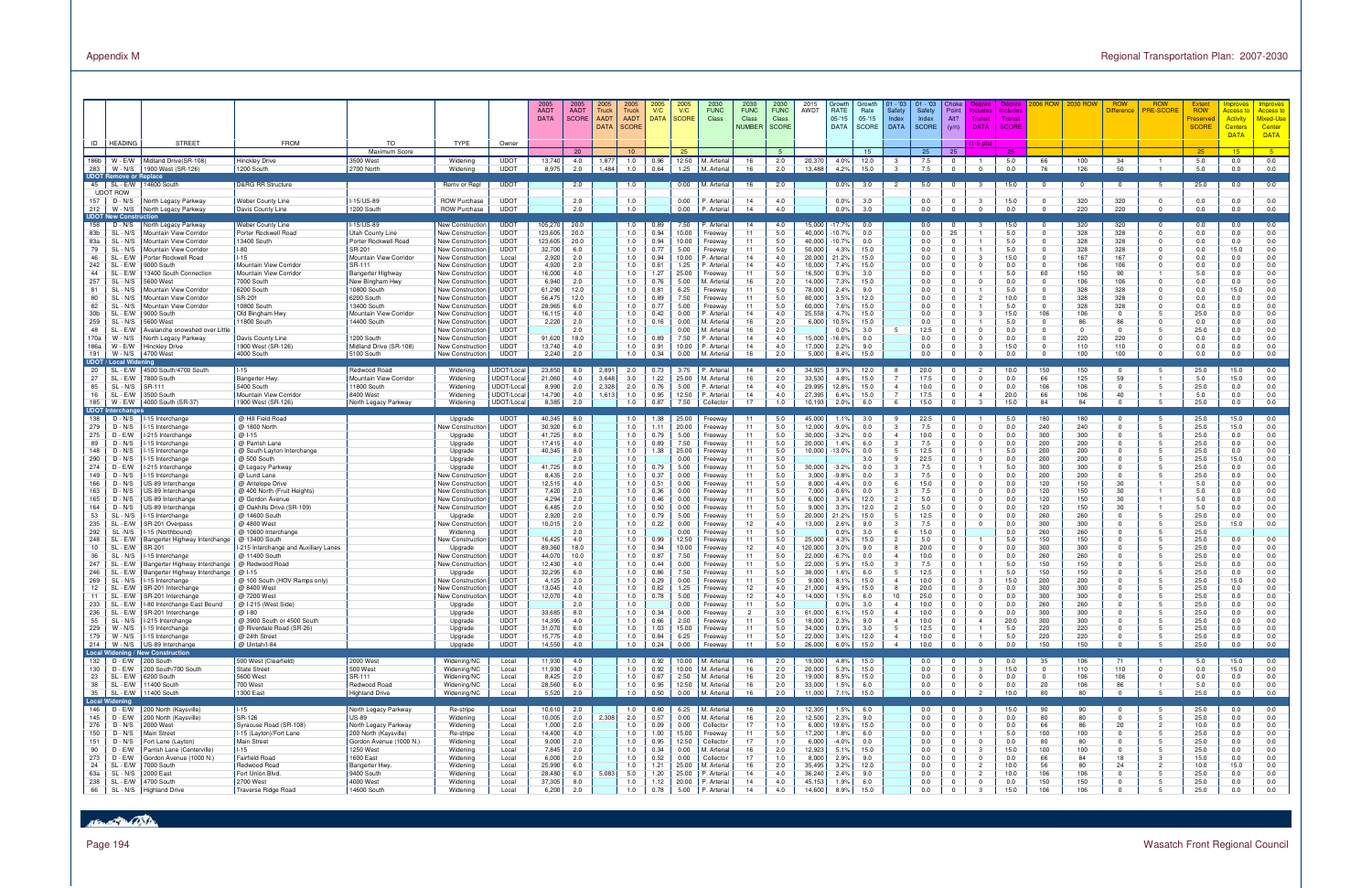## Page 194 Wasatch Front Regional Council

|                                                                                                                                                                |                                                                                                                                                                                                                                                                                                                                                                       |                                                                                                                                                                                                                                                                                                                                                                                                                                                                                                                                                                                                                                                                                                                                                        |                                                                                                                                                                                                                                                                                                                                                                                                                                                                                                                                                                                                                          |                                                                                                                                                                                                        |                                                                                                                                                                                                                                                                                                                                                                                                                                                                         |                                                                                                                                                                                                                                                                                                                                                                                                                                                   | 2005<br><b>AADT</b><br><b>DATA</b>                                                                                                                                                                                                                                   | 2005<br><b>AADT</b><br><b>SCORE</b>                                                                                                                                                                              | 2005<br>2005<br>Truck<br><b>Truck</b><br><b>AADT</b><br><b>AADT</b><br><b>SCORE</b><br><b>DATA</b>                                                                                                      | 2005<br>V/C<br><b>DATA</b>                                                                                                                                                                                           | 2005<br>V/C<br><b>SCORE</b>                                                                                                                                                                                                                                     | 2030<br><b>FUNC</b><br>Class                                                                                                                                                                                                                                                                                                              | 2030<br><b>FUNC</b><br>Class<br><b>NUMBER</b>                                                                                                                                                | 2030<br><b>FUNC</b><br>Class<br><b>SCORE</b>                                                                                                                                                            | 2015<br>AWDT                                                                                                                                                                                                                                                          | Growth<br>RATE<br>$05 - 15$<br><b>DATA</b>                                                                                                                                                                                                                     | Growth<br>Rate<br>$05 - 15$<br><b>SCORE</b>                                                                                                                                                                               | 01 - '03<br>Safety<br>Index<br><b>DATA</b>                                                                                                                                                                                                                                                                                                            | $01 - 03$<br>Safety<br>Index<br>SCORE                                                                                                                                                                                             | Point<br>Alt?<br>(y/n)                                                                                                                                                                                                                                                              | Degree<br>holude<br><b>Transit</b><br><b>DATA</b>                                                                                                                                                                 | Degree<br>nclude<br>Transi<br>SCORE                                                                                                                                                                              | 006 Row                                                                                                                                                                                                       |                                                                                                                                                                                                                | <b>ROW</b><br>)ifferencı                                                                                                                                                                                                                                       | <b>ROW</b><br><b>PRE-SCORE</b> | Extent<br><b>ROW</b><br>Preserved<br><b>SCORE</b>                                                                                                                                                                                       | <b>Improves</b><br><b>Access t</b><br><b>Activity</b><br><b>Centers</b><br><b>DATA</b>                                                                                                                 | Improves<br><mark>Access to</mark><br>Mixed-Use<br>Center<br><b>DATA</b>                                                                                                                         |
|----------------------------------------------------------------------------------------------------------------------------------------------------------------|-----------------------------------------------------------------------------------------------------------------------------------------------------------------------------------------------------------------------------------------------------------------------------------------------------------------------------------------------------------------------|--------------------------------------------------------------------------------------------------------------------------------------------------------------------------------------------------------------------------------------------------------------------------------------------------------------------------------------------------------------------------------------------------------------------------------------------------------------------------------------------------------------------------------------------------------------------------------------------------------------------------------------------------------------------------------------------------------------------------------------------------------|--------------------------------------------------------------------------------------------------------------------------------------------------------------------------------------------------------------------------------------------------------------------------------------------------------------------------------------------------------------------------------------------------------------------------------------------------------------------------------------------------------------------------------------------------------------------------------------------------------------------------|--------------------------------------------------------------------------------------------------------------------------------------------------------------------------------------------------------|-------------------------------------------------------------------------------------------------------------------------------------------------------------------------------------------------------------------------------------------------------------------------------------------------------------------------------------------------------------------------------------------------------------------------------------------------------------------------|---------------------------------------------------------------------------------------------------------------------------------------------------------------------------------------------------------------------------------------------------------------------------------------------------------------------------------------------------------------------------------------------------------------------------------------------------|----------------------------------------------------------------------------------------------------------------------------------------------------------------------------------------------------------------------------------------------------------------------|------------------------------------------------------------------------------------------------------------------------------------------------------------------------------------------------------------------|---------------------------------------------------------------------------------------------------------------------------------------------------------------------------------------------------------|----------------------------------------------------------------------------------------------------------------------------------------------------------------------------------------------------------------------|-----------------------------------------------------------------------------------------------------------------------------------------------------------------------------------------------------------------------------------------------------------------|-------------------------------------------------------------------------------------------------------------------------------------------------------------------------------------------------------------------------------------------------------------------------------------------------------------------------------------------|----------------------------------------------------------------------------------------------------------------------------------------------------------------------------------------------|---------------------------------------------------------------------------------------------------------------------------------------------------------------------------------------------------------|-----------------------------------------------------------------------------------------------------------------------------------------------------------------------------------------------------------------------------------------------------------------------|----------------------------------------------------------------------------------------------------------------------------------------------------------------------------------------------------------------------------------------------------------------|---------------------------------------------------------------------------------------------------------------------------------------------------------------------------------------------------------------------------|-------------------------------------------------------------------------------------------------------------------------------------------------------------------------------------------------------------------------------------------------------------------------------------------------------------------------------------------------------|-----------------------------------------------------------------------------------------------------------------------------------------------------------------------------------------------------------------------------------|-------------------------------------------------------------------------------------------------------------------------------------------------------------------------------------------------------------------------------------------------------------------------------------|-------------------------------------------------------------------------------------------------------------------------------------------------------------------------------------------------------------------|------------------------------------------------------------------------------------------------------------------------------------------------------------------------------------------------------------------|---------------------------------------------------------------------------------------------------------------------------------------------------------------------------------------------------------------|----------------------------------------------------------------------------------------------------------------------------------------------------------------------------------------------------------------|----------------------------------------------------------------------------------------------------------------------------------------------------------------------------------------------------------------------------------------------------------------|--------------------------------|-----------------------------------------------------------------------------------------------------------------------------------------------------------------------------------------------------------------------------------------|--------------------------------------------------------------------------------------------------------------------------------------------------------------------------------------------------------|--------------------------------------------------------------------------------------------------------------------------------------------------------------------------------------------------|
| 186b                                                                                                                                                           | ID   HEADING                                                                                                                                                                                                                                                                                                                                                          | <b>STREET</b><br>Midland Drive(SR-108)                                                                                                                                                                                                                                                                                                                                                                                                                                                                                                                                                                                                                                                                                                                 | <b>FROM</b>                                                                                                                                                                                                                                                                                                                                                                                                                                                                                                                                                                                                              | <b>TO</b><br>Maximum Score                                                                                                                                                                             | <b>TYPE</b>                                                                                                                                                                                                                                                                                                                                                                                                                                                             | Owner                                                                                                                                                                                                                                                                                                                                                                                                                                             |                                                                                                                                                                                                                                                                      | 20                                                                                                                                                                                                               | 10                                                                                                                                                                                                      |                                                                                                                                                                                                                      | 25                                                                                                                                                                                                                                                              | M. Arteria                                                                                                                                                                                                                                                                                                                                |                                                                                                                                                                                              | -5.                                                                                                                                                                                                     |                                                                                                                                                                                                                                                                       |                                                                                                                                                                                                                                                                | 15                                                                                                                                                                                                                        |                                                                                                                                                                                                                                                                                                                                                       | 25                                                                                                                                                                                                                                | 25                                                                                                                                                                                                                                                                                  | $(1-5)$ pts $)$                                                                                                                                                                                                   | 25                                                                                                                                                                                                               |                                                                                                                                                                                                               |                                                                                                                                                                                                                |                                                                                                                                                                                                                                                                |                                | 25                                                                                                                                                                                                                                      | 15                                                                                                                                                                                                     | $-5$                                                                                                                                                                                             |
| 283 I                                                                                                                                                          | W - E/W<br>$W - N/S$<br><b>UDOT Remove or Replace</b>                                                                                                                                                                                                                                                                                                                 | 1900 West (SR-126)                                                                                                                                                                                                                                                                                                                                                                                                                                                                                                                                                                                                                                                                                                                                     | <b>Hinckley Drive</b><br>1200 South                                                                                                                                                                                                                                                                                                                                                                                                                                                                                                                                                                                      | 3500 West<br>2700 North                                                                                                                                                                                | Widening<br>Widening                                                                                                                                                                                                                                                                                                                                                                                                                                                    | <b>UDOT</b><br><b>UDOT</b>                                                                                                                                                                                                                                                                                                                                                                                                                        | 13,740<br>8,975                                                                                                                                                                                                                                                      | 4.0<br>2.0                                                                                                                                                                                                       | 1.0<br>1,87<br>1.0<br>1,484                                                                                                                                                                             | 0.96<br>0.64                                                                                                                                                                                                         | 12.50<br>1.25                                                                                                                                                                                                                                                   | M. Arteria                                                                                                                                                                                                                                                                                                                                | 16<br>16                                                                                                                                                                                     | 2.0<br>2.0                                                                                                                                                                                              | 20,370<br>13,488                                                                                                                                                                                                                                                      | 4.0%<br>4.2%                                                                                                                                                                                                                                                   | 12.0<br>15.0                                                                                                                                                                                                              | -3<br>$\mathbf{B}$                                                                                                                                                                                                                                                                                                                                    | 7.5<br>7.5                                                                                                                                                                                                                        |                                                                                                                                                                                                                                                                                     | $\Omega$                                                                                                                                                                                                          | 5.0<br>0.0                                                                                                                                                                                                       | 66<br>76                                                                                                                                                                                                      | 100<br>126                                                                                                                                                                                                     | 34<br>50                                                                                                                                                                                                                                                       |                                | 5.0<br>5.0                                                                                                                                                                                                                              | 0.0<br>0.0                                                                                                                                                                                             | 0.0<br>0.0                                                                                                                                                                                       |
|                                                                                                                                                                | 45   SL - E/W<br><b>UDOT ROW</b>                                                                                                                                                                                                                                                                                                                                      | 14600 South                                                                                                                                                                                                                                                                                                                                                                                                                                                                                                                                                                                                                                                                                                                                            | <b>D&amp;RG RR Structure</b>                                                                                                                                                                                                                                                                                                                                                                                                                                                                                                                                                                                             |                                                                                                                                                                                                        | Remv or Repl                                                                                                                                                                                                                                                                                                                                                                                                                                                            | <b>UDOT</b>                                                                                                                                                                                                                                                                                                                                                                                                                                       |                                                                                                                                                                                                                                                                      | 2.0                                                                                                                                                                                                              | 1.0                                                                                                                                                                                                     |                                                                                                                                                                                                                      | 0.00                                                                                                                                                                                                                                                            | M. Arteria                                                                                                                                                                                                                                                                                                                                | 16                                                                                                                                                                                           | 2.0                                                                                                                                                                                                     |                                                                                                                                                                                                                                                                       | $0.0\%$                                                                                                                                                                                                                                                        | 3.0                                                                                                                                                                                                                       | $\overline{2}$                                                                                                                                                                                                                                                                                                                                        | 5.0                                                                                                                                                                                                                               |                                                                                                                                                                                                                                                                                     | -3                                                                                                                                                                                                                | 15.0                                                                                                                                                                                                             | 0                                                                                                                                                                                                             | $^{\circ}$                                                                                                                                                                                                     | $^{\circ}$                                                                                                                                                                                                                                                     |                                | 25.0                                                                                                                                                                                                                                    | 0.0                                                                                                                                                                                                    | 0.0                                                                                                                                                                                              |
| $212$                                                                                                                                                          | 157 $\vert$ D - N/S<br>W - N/S                                                                                                                                                                                                                                                                                                                                        | North Legacy Parkway<br>North Legacy Parkway                                                                                                                                                                                                                                                                                                                                                                                                                                                                                                                                                                                                                                                                                                           | Weber County Line<br>Davis County Line                                                                                                                                                                                                                                                                                                                                                                                                                                                                                                                                                                                   | -15/US-89<br>1200 South                                                                                                                                                                                | <b>ROW Purchase</b><br><b>ROW Purchase</b>                                                                                                                                                                                                                                                                                                                                                                                                                              | <b>UDOT</b><br><b>UDOT</b>                                                                                                                                                                                                                                                                                                                                                                                                                        |                                                                                                                                                                                                                                                                      | 2.0<br>2.0                                                                                                                                                                                                       | 1.0<br>1.0                                                                                                                                                                                              |                                                                                                                                                                                                                      | 0.00<br>0.00                                                                                                                                                                                                                                                    | <sup>2</sup> . Arterial<br><sup>P</sup> . Arterial                                                                                                                                                                                                                                                                                        | 14<br>14                                                                                                                                                                                     | 4.0<br>4.0                                                                                                                                                                                              |                                                                                                                                                                                                                                                                       | 0.0%<br>0.0%                                                                                                                                                                                                                                                   | 3.0<br>3.0                                                                                                                                                                                                                |                                                                                                                                                                                                                                                                                                                                                       | 0.0<br>0.0                                                                                                                                                                                                                        |                                                                                                                                                                                                                                                                                     | -3<br>$\Omega$                                                                                                                                                                                                    | 15.0<br>0.0                                                                                                                                                                                                      | $\Omega$<br>$\Omega$                                                                                                                                                                                          | 320<br>220                                                                                                                                                                                                     | 320<br>220                                                                                                                                                                                                                                                     | $\Omega$<br>$\Omega$           | 0.0<br>0.0                                                                                                                                                                                                                              | 0.0<br>0.0                                                                                                                                                                                             | 0.0<br>0.0                                                                                                                                                                                       |
| 158<br>83b<br>83a<br>79<br>46<br>242<br>44<br>257<br>81<br>80                                                                                                  | <b>UDOT New Construction</b><br>$D - N/S$<br>SL - N/S<br>SL - N/S<br>SL - N/S<br>SL - E/W<br>SL - E/W<br>SL - E/W<br>SL - N/S<br>SL - N/S<br>SL - N/S                                                                                                                                                                                                                 | North Legacy Parkway<br>Mountain View Corridor<br>Mountain View Corridor<br>Mountain View Corridor<br>Porter Rockwell Road<br>9000 South<br>13400 South Connection<br>5600 West<br>Mountain View Corridor<br>Mountain View Corridor                                                                                                                                                                                                                                                                                                                                                                                                                                                                                                                    | Weber County Line<br>Porter Rockwell Road<br>13400 South<br>$I-80$<br>$I-15$<br>Mountain View Corridor<br>Mountain View Corridor<br>7000 South<br>6200 South<br>SR-201                                                                                                                                                                                                                                                                                                                                                                                                                                                   | -15/US-89<br>Utah County Line<br>Porter Rockwell Road<br>SR-201<br>Mountain View Corridor<br>SR-111<br>Bangerter Highway<br>New Bingham Hwy<br>10800 South<br>6200 South                               | New Construction<br><b>New Construction</b><br>New Construction<br>New Construction<br><b>New Construction</b><br>New Construction<br><b>New Construction</b><br>New Construction<br><b>New Construction</b><br><b>New Construction</b>                                                                                                                                                                                                                                 | <b>UDOT</b><br><b>UDOT</b><br><b>UDOT</b><br><b>UDOT</b><br>Local<br><b>UDOT</b><br><b>UDOT</b><br><b>UDOT</b><br><b>UDOT</b><br><b>UDOT</b>                                                                                                                                                                                                                                                                                                      | 105,270<br>123,605<br>123,605<br>32,700<br>2,920<br>4,920<br>16,000<br>6,940<br>61,290<br>56,475                                                                                                                                                                     | 20.0<br>20.0<br>20.0<br>6.0<br>2.0<br>2.0<br>4.0<br>2.0<br>12.0<br>12.0                                                                                                                                          | 1.0<br>1.0<br>1.0<br>1.0<br>1.0<br>1.0<br>1.0<br>1.0<br>1.0<br>1.0                                                                                                                                      | 0.89<br>0.94<br>0.94<br>0.77<br>0.94<br>0.61<br>1.27<br>0.76<br>0.81<br>0.89                                                                                                                                         | 7.50<br>10.00<br>10.00<br>5.00<br>0.001<br>1.25<br>25.00<br>5.00<br>6.25<br>7.50                                                                                                                                                                                | <sup>P</sup> . Arterial<br>Freeway<br>Freeway<br>Freeway<br><sup>2</sup> . Arterial<br>'. Arterial<br>Freeway<br>M. Arteria<br>Freeway<br>Freeway                                                                                                                                                                                         | 14<br>11<br>11<br>11<br>14<br>14<br>11<br>16<br>11<br>11                                                                                                                                     | 4.0<br>5.0<br>5.0<br>5.0<br>4.0<br>4.0<br>5.0<br>2.0<br>5.0<br>5.0                                                                                                                                      | 15.000<br>40,000<br>40,000<br>50,000<br>20,000<br>10,000<br>16,500<br>14,000<br>78,000<br>80,000                                                                                                                                                                      | $-17.7%$<br>10.7%<br>$-10.7%$<br>4.3%<br>21.2%<br>7.4%<br>0.3%<br>7.3%<br>2.4%<br>3.5%                                                                                                                                                                         | 0.0<br>0.0<br>0.0<br>15.0<br>15.0<br>15.0<br>3.0<br>15.0<br>9.0<br>12.0                                                                                                                                                   |                                                                                                                                                                                                                                                                                                                                                       | 0.0<br>0.0<br>0.0<br>0.0<br>0.0<br>0.0<br>0.0<br>0.0<br>0.0<br>0.0                                                                                                                                                                | 25<br>$\mathbf{0}$<br>$\Omega$<br>$\mathbf{0}$<br>$\Omega$                                                                                                                                                                                                                          | -3<br>$^{\circ}$<br>$\Omega$<br>$\overline{2}$                                                                                                                                                                    | 15.0<br>5.0<br>5.0<br>5.0<br>15.0<br>0.0<br>5.0<br>0.0<br>5.0<br>10.0                                                                                                                                            | $\overline{0}$<br>$\Omega$<br>$\Omega$<br>$\overline{0}$<br>60<br>$\overline{0}$<br>$\Omega$<br>$\Omega$                                                                                                      | 320<br>328<br>328<br>328<br>167<br>106<br>150<br>106<br>328<br>328                                                                                                                                             | 320<br>328<br>328<br>328<br>167<br>106<br>90<br>106<br>328<br>328                                                                                                                                                                                              |                                | 0.0<br>0.0<br>0.0<br>0.0<br>0.0<br>0.0<br>5.0<br>0.0<br>0.0<br>0.0                                                                                                                                                                      | 0.0<br>0.0<br>0.0<br>15.0<br>0.0<br>0.0<br>0.0<br>0.0<br>15.0<br>0.0                                                                                                                                   | 0.0<br>0.0<br>0.0<br>0.0<br>0.0<br>0.0<br>0.0<br>0.0<br>0.0<br>0.0                                                                                                                               |
| 82<br>30 <sub>b</sub><br>259<br>48<br>170a<br>186a<br>191                                                                                                      | SL - N/S<br>SL - E/W<br>SL - N/S<br>SL - E/W<br>W - N/S<br>W - E/W<br>W - N/S<br>UDOT / Local Widening                                                                                                                                                                                                                                                                | Mountain View Corridor<br>9000 South<br>5600 West<br>Avalanche snowshed over Little<br>North Legacy Parkway<br>Hinckley Drive<br>4700 West                                                                                                                                                                                                                                                                                                                                                                                                                                                                                                                                                                                                             | 10800 South<br>Old Bingham Hwy<br>11800 South<br>Davis County Line<br>1900 West (SR-126)<br>4000 South                                                                                                                                                                                                                                                                                                                                                                                                                                                                                                                   | 13400 South<br><b>Mountain View Corridor</b><br>14400 South<br>1200 South<br>Midland Drive (SR-108)<br>5100 South                                                                                      | New Construction<br>New Construction<br>New Construction<br>New Construction<br>New Construction<br>New Construction<br>New Construction                                                                                                                                                                                                                                                                                                                                | <b>UDOT</b><br><b>UDOT</b><br><b>UDOT</b><br><b>UDOT</b><br><b>UDOT</b><br><b>UDOT</b><br><b>UDOT</b>                                                                                                                                                                                                                                                                                                                                             | 28,965<br>16,115<br>2,220<br>91,620<br>13,740<br>2,240                                                                                                                                                                                                               | 6.0<br>4.0<br>2.0<br>2.0<br>18.0<br>4.0<br>2.0                                                                                                                                                                   | 1.0<br>1.0<br>1.0<br>1.0<br>1.0<br>1.0<br>1.0                                                                                                                                                           | 0.77<br>0.42<br>0.16<br>0.89<br>0.91<br>0.34                                                                                                                                                                         | 5.00<br>0.00<br>0.00<br>$0.00\,$<br>7.50<br>10.00<br>0.00                                                                                                                                                                                                       | Freeway<br><sup>2</sup> . Arterial<br>M. Arteria<br>M. Arteria<br><sup>2</sup> . Arterial<br><sup>2</sup> . Arterial<br>M. Arteria                                                                                                                                                                                                        | 11<br>14<br>16<br>16<br>14<br>14<br>16                                                                                                                                                       | 5.0<br>4.0<br>2.0<br>2.0<br>4.0<br>4.0<br>2.0                                                                                                                                                           | 60,000<br>25,558<br>6,000<br>15,000<br>17,000<br>5,000                                                                                                                                                                                                                | 7.6%<br>4.7%<br>10.5%<br>0.0%<br>16.6%<br>2.2%<br>8.4%                                                                                                                                                                                                         | 15.0<br>15.0<br>15.0<br>3.0<br>0.0<br>9.0<br>15.0                                                                                                                                                                         | $5^{\circ}$                                                                                                                                                                                                                                                                                                                                           | 0.0<br>0.0<br>0.0<br>12.5<br>0.0<br>0.0<br>0.0                                                                                                                                                                                    | $^{\circ}$<br>$\mathbf{0}$<br>$^{\circ}$<br>$\Omega$<br>$^{\circ}$                                                                                                                                                                                                                  | -3<br>$\Omega$<br>$\Omega$<br>-3                                                                                                                                                                                  | 5.0<br>15.0<br>5.0<br>0.0<br>0.0<br>15.0<br>0.0                                                                                                                                                                  | $^{\circ}$<br>106<br>$\overline{0}$<br>$\Omega$<br>$\Omega$<br>$\overline{0}$                                                                                                                                 | 328<br>106<br>86<br>$\Omega$<br>220<br>110<br>100                                                                                                                                                              | 328<br>$\Omega$<br>86<br>$\Omega$<br>220<br>110<br>100                                                                                                                                                                                                         |                                | 0.0<br>25.0<br>0.0<br>25.0<br>0.0<br>0.0<br>0.0                                                                                                                                                                                         | 0.0<br>0.0<br>0.0<br>0.0<br>0.0<br>0.0<br>0.0                                                                                                                                                          | 0.0<br>0.0<br>0.0<br>0.0<br>0.0<br>0.0<br>0.0                                                                                                                                                    |
| 20<br>27<br>85<br>16                                                                                                                                           | SL - E/W<br>SL - E/W<br>SL - N/S<br>SL - E/W<br>185   W - E/W                                                                                                                                                                                                                                                                                                         | 4500 South/4700 South<br>7800 South<br>SR-111<br>3500 South<br>4000 South (SR-37)                                                                                                                                                                                                                                                                                                                                                                                                                                                                                                                                                                                                                                                                      | $1 - 15$<br><b>Bangerter Hwy</b><br>5400 South<br>Mountain View Corridor<br>1900 West (SR-126)                                                                                                                                                                                                                                                                                                                                                                                                                                                                                                                           | Redwood Road<br>Mountain View Corridor<br>11800 South<br>8400 West<br>North Legacy Parkway                                                                                                             | Widening<br>Widening<br>Widening<br>Widening<br>Widening                                                                                                                                                                                                                                                                                                                                                                                                                | UDOT/Loca<br>UDOT/Loca<br>UDOT/Local<br>UDOT/Local<br>UDOT/Loca                                                                                                                                                                                                                                                                                                                                                                                   | 23,850<br>21,060<br>8,990<br>14,790<br>8,385                                                                                                                                                                                                                         | 6.0<br>4.0<br>2.0<br>4.0<br>2.0                                                                                                                                                                                  | 2,891<br>2.0<br>3,648<br>3.0<br>2,328<br>2.0<br>1,613<br>1.0<br>1.0                                                                                                                                     | 0.73<br>1.22<br>0.76<br>0.95<br>0.87                                                                                                                                                                                 | 3.75<br>25.00<br>5.00<br>12.50<br>7.50                                                                                                                                                                                                                          | P. Arterial<br>M. Arteria<br>P. Arterial<br>P. Arterial<br>Collector                                                                                                                                                                                                                                                                      | 14<br>16<br>14<br>14<br>17                                                                                                                                                                   | 4.0<br>2.0<br>4.0<br>4.0<br>1.0                                                                                                                                                                         | 34,925<br>33,530<br>29,995<br>27,395<br>10,193                                                                                                                                                                                                                        | 3.9%<br>4.8%<br>12.8%<br>6.4%<br>2.0%                                                                                                                                                                                                                          | 12.0<br>15.0<br>15.0<br>15.0<br>6.0                                                                                                                                                                                       | 8<br>$\overline{7}$<br>$\overline{4}$<br>$\overline{7}$<br>6                                                                                                                                                                                                                                                                                          | 20.0<br>17.5<br>10.0<br>17.5<br>15.0                                                                                                                                                                                              | $^{\circ}$<br>$^{\circ}$                                                                                                                                                                                                                                                            | $\Omega$<br>$\overline{0}$<br>$\overline{4}$<br>$\mathbf{3}$                                                                                                                                                      | 10.0<br>0.0<br>0.0<br>20.0<br>15.0                                                                                                                                                                               | 150<br>66<br>106<br>66<br>84                                                                                                                                                                                  | 150<br>125<br>106<br>106<br>84                                                                                                                                                                                 | $\Omega$<br>59<br>$\Omega$<br>40<br>$\Omega$                                                                                                                                                                                                                   | - 5                            | 25.0<br>5.0<br>25.0<br>5.0<br>25.0                                                                                                                                                                                                      | 15.0<br>15.0<br>0.0<br>0.0<br>0.0                                                                                                                                                                      | 0.0<br>0.0<br>0.0<br>0.0<br>0.0                                                                                                                                                                  |
| 138<br>279<br>275<br>89<br>148<br>290<br>274<br>149<br>166<br>163<br>165<br>164<br>53<br>235<br>292<br>248<br>10<br>36<br>247<br>246<br>269<br>12<br>233<br>55 | <b>UDOT Interchange</b><br>D - N/S<br>D - N/S<br>D - E/W<br>D - N/S<br>$D - N/S$<br>$D - N/S$<br>D - E/W<br>D - N/S<br>D - N/S<br>$D - N/S$<br>$D - N/S$<br>D - N/S<br>SL - N/S<br>SL - E/W<br>SL-N/S<br>SL - E/W<br>SL - E/W<br>SL - N/S<br>SL - E/W<br>SL - E/W<br>SL - N/S<br>SL - E/W<br>SL - E/W<br>236   SL - E/W<br>SL - N/S<br>229   W - N/S<br>179   W - N/S | 15 Interchange<br>15 Interchange<br>-215 Interchange<br>15 Interchange<br>15 Interchange<br>15 Interchange<br>-215 Interchange<br>15 Interchange<br>JS-89 Interchange<br>US-89 Interchange<br>US-89 Interchange<br>JS-89 Interchange<br>15 Interchange<br>SR-201 Overpass<br>15 (Northbound)<br>Bangerter Highway Interchange<br>SR-201<br>15 Interchange<br>Bangerter Highway Interchange<br>Bangerter Highway Interchange   @ I-15<br>15 Interchange<br>SR-201 Interchange<br>SR-201 Interchange<br>SL - E/W   I-80 Interchange East Bound<br>SR-201 Interchange<br>I-215 Interchange<br>I-15 Interchange<br>I-15 Interchange<br>214   W - N/S   US-89 Interchang<br>Local Widening / New Construction<br>US-89 Interchange<br>132 D - E/W 200 South | @ Hill Field Road<br>@ 1800 North<br>@ I-15<br>@ Parrish Lane<br>@ South Layton Interchange<br>@ 500 South<br>@ Legacy Parkway<br>@ Lund Lane<br>@ Antelope Drive<br>@ 400 North (Fruit Heights)<br>@ Gordon Avenue<br>@ Oakhills Drive (SR-109)<br>@ 14600 South<br>@ 4800 West<br>@ 10600 Interchange<br>@ 13400 South<br>I-215 Interchange and Auxiliary Lanes<br>@ 11400 South<br>@ Redwood Road<br>@ 100 South (HOV Ramps only)<br>@ 8400 West<br>@ 7200 West<br>@ I-215 (West Side)<br>@ 1-80<br>@ 3900 South or 4500 South<br>@ Riverdale Road (SR-26)<br>@ 24th Street<br>@ Uintah/I-84<br>500 West (Clearfield) | 2000 West                                                                                                                                                                                              | Upgrade<br>Jew Constructior<br>Upgrade<br>Upgrade<br>Upgrade<br>Upgrade<br>Upgrade<br>New Constructior<br>New Constructior<br>New Construction<br><b>New Construction</b><br>New Constructior<br>Upgrade<br>New Constructior<br>Widening<br>New Constructior<br>Upgrade<br>New Constructior<br>New Constructior<br>Upgrade<br>New Constructior<br>New Construction<br>Jew Constructior<br>Upgrade<br>Upgrade<br>Upgrade<br>Upgrade<br>Upgrade<br>Upgrade<br>Widening/NC | <b>UDOT</b><br><b>UDOT</b><br><b>UDOT</b><br><b>UDOT</b><br><b>UDOT</b><br><b>UDOT</b><br><b>UDOT</b><br><b>UDOT</b><br><b>UDOT</b><br><b>UDOT</b><br>UDOT<br><b>UDOT</b><br><b>UDOT</b><br><b>UDOT</b><br><b>UDOT</b><br><b>UDOT</b><br><b>UDOT</b><br><b>UDOT</b><br><b>UDOT</b><br><b>UDOT</b><br><b>UDOT</b><br><b>UDOT</b><br><b>UDOT</b><br><b>UDOT</b><br><b>UDOT</b><br><b>UDOT</b><br><b>UDOT</b><br><b>UDOT</b><br><b>UDOT</b><br>Local | 40,345<br>30,920<br>41,725<br>17,415<br>40,345<br>41,725<br>8,435<br>12,515<br>7,420<br>4,294<br>6,485<br>2,920<br>10,015<br>16,425<br>89,360<br>44,070<br>12,430<br>32,295<br>4,125<br>13,045<br>12,070<br>33,685<br>14,395<br>31,070<br>15,775<br>14,550<br>11,930 | 8.0<br>6.0<br>8.0<br>4.0<br>8.0<br>2.0<br>8.0<br>2.0<br>4.0<br>2.0<br>2.0<br>2.0<br>2.0<br>2.0<br>2.0<br>4.0<br>18.0<br>10.0<br>4.0<br>6.0<br>2.0<br>4.0<br>4.0<br>2.0<br>8.0<br>4.0<br>6.0<br>4.0<br>4.0<br>4.0 | 1.0<br>1.0<br>1.0<br>1.0<br>1.0<br>1.0<br>1.0<br>1.0<br>1.0<br>1.0<br>1.0<br>1.0<br>1.0<br>1.0<br>1.0<br>1.0<br>1.0<br>1.0<br>1.0<br>1.0<br>1.0<br>1.0<br>1.0<br>1.0<br>1.0<br>1.0<br>1.0<br>1.0<br>1.0 | 1.38<br>1.11<br>0.79<br>0.89<br>1.38<br>0.79<br>0.37<br>0.51<br>0.36<br>0.46<br>0.50<br>0.79<br>0.22<br>0.99<br>0.94<br>0.87<br>0.44<br>0.86<br>0.29<br>0.62<br>0.78<br>0.34<br>0.66<br>1.03<br>0.84<br>0.24<br>0.92 | 25.00<br>20.00<br>5.00<br>7.50<br>25.00<br>$0.00\,$<br>5.00<br>0.00<br>0.00<br>0.00<br>$0.00\,$<br>0.00<br>5.00<br>0.00<br>$0.00\,$<br>12.50<br>10.00<br>7.50<br>$0.00\,$<br>7.50<br>$0.00\,$<br>1.25<br>0.00<br>0.00<br>2.50<br>15.00<br>6.25<br>0.00<br>10.00 | Freeway<br>Freeway<br>Freeway<br>Freeway<br>Freeway<br>Freeway<br>Freeway<br>Freeway<br>Freeway<br>Freeway<br>Freeway<br>Freeway<br>Freeway<br>Freeway<br>Freeway<br>Freeway<br>Freeway<br>Freeway<br>Freeway<br>Freeway<br>Freeway<br>Freeway<br>Freeway<br>Freeway<br>Freeway<br>Freeway<br>Freeway<br>Freeway<br>Freeway<br>M. Arteria | 11<br>11<br>11<br>11<br>11<br>11<br>11<br>11<br>11<br>11<br>11<br>11<br>11<br>12<br>11<br>11<br>12<br>11<br>11<br>11<br>11<br>12<br>12<br>11<br>$\overline{2}$<br>11<br>11<br>11<br>11<br>16 | 5.0<br>5.0<br>5.0<br>5.0<br>5.0<br>5.0<br>5.0<br>5.0<br>5.0<br>5.0<br>5.0<br>5.0<br>5.0<br>4.0<br>5.0<br>5.0<br>4.0<br>5.0<br>5.0<br>5.0<br>5.0<br>4.0<br>5.0<br>3.0<br>5.0<br>5.0<br>5.0<br>5.0<br>2.0 | 45.000<br>12,000<br>30,000<br>20,000<br>10,000<br>30,000<br>3,000<br>8,000<br>7,000<br>6,000<br>9,000<br>20,000<br>13,000<br>25,000<br>120,000<br>22,000<br>22,000<br>38,000<br>9,000<br>21,000<br>14,000<br>61,000<br>18,000<br>34,000<br>22,000<br>26,000<br>19,000 | 1.1%<br>$-9.0%$<br>$-3.2%$<br>1.4%<br>$-13.0%$<br>$-3.2%$<br>$-9.8%$<br>$-4.4%$<br>$-0.6%$<br>3.4%<br>3.3%<br>21.2%<br>2.6%<br>0.0%<br>4.3%<br>3.0%<br>$-6.7%$<br>5.9%<br>1.6%<br>8.1%<br>4.9%<br>1.5%<br>0.0%<br>6.1%<br>2.3%<br>0.9%<br>3.4%<br>6.0%<br>4.8% | 3.0<br>0.0<br>0.0<br>6.0<br>0.0<br>3.0<br>0.0<br>0.0<br>0.0<br>0.0<br>12.0<br>12.0<br>15.0<br>9.0<br>3.0<br>15.0<br>9.0<br>0.0<br>15.0<br>6.0<br>15.0<br>15.0<br>6.0<br>3.0<br>15.0<br>9.0<br>3.0<br>12.0<br>15.0<br>15.0 | 9<br>$\overline{\mathbf{3}}$<br>$\overline{4}$<br>$\mathbf{3}$<br>-5<br>9<br>$\mathbf{3}$<br>$\mathbf{3}$<br>6<br>$\mathbf{3}$<br>$\overline{2}$<br>2<br>5<br>-3<br>6<br>2<br>8<br>$\overline{4}$<br>$\mathbf{3}$<br>$\overline{4}$<br>8<br>$\overline{4}$<br>$\overline{4}$<br>$\overline{4}$<br>$5\overline{5}$<br>$\overline{4}$<br>$\overline{4}$ | 22.5<br>7.5<br>10.0<br>7.5<br>12.5<br>22.5<br>7.5<br>7.5<br>15.0<br>7.5<br>5.0<br>5.0<br>12.5<br>7.5<br>15.0<br>5.0<br>20.0<br>10.0<br>7.5<br>12.5<br>10.0<br>20.0<br>25.0<br>10.0<br>10.0<br>10.0<br>12.5<br>10.0<br>10.0<br>0.0 | $^{\circ}$<br>$^{\circ}$<br>$\mathbf 0$<br>$\Omega$<br>$^{\circ}$<br>$^{\circ}$<br>$\mathbf 0$<br>$\Omega$<br>$^{\circ}$<br>$^{\circ}$<br>$\mathbf 0$<br>$\Omega$<br>$^{\circ}$<br>$\mathbf{0}$<br>$^{\circ}$<br>$\mathbf{0}$<br>$\Omega$<br>$^{\circ}$<br>$\mathbf{0}$<br>$\Omega$ | $\Omega$<br>0<br>$\overline{0}$<br>$\Omega$<br>0<br>$\Omega$<br>$\Omega$<br>$\Omega$<br>0<br>$\Omega$<br>$\Omega$<br>$\Omega$<br>-3<br>$\overline{0}$<br>$\overline{0}$<br>$\Omega$<br>$\overline{4}$<br>$\Omega$ | 5.0<br>0.0<br>0.0<br>0.0<br>5.0<br>0.0<br>5.0<br>0.0<br>0.0<br>0.0<br>0.0<br>0.0<br>0.0<br>0.0<br>0.0<br>5.0<br>0.0<br>0.0<br>5.0<br>5.0<br>15.0<br>0.0<br>0.0<br>0.0<br>0.0<br>20.0<br>5.0<br>5.0<br>0.0<br>0.0 | 180<br>240<br>300<br>200<br>200<br>200<br>300<br>200<br>120<br>120<br>120<br>120<br>260<br>300<br>260<br>150<br>300<br>260<br>150<br>150<br>200<br>300<br>300<br>260<br>300<br>300<br>220<br>220<br>150<br>35 | 180<br>240<br>300<br>200<br>200<br>200<br>300<br>200<br>150<br>150<br>150<br>150<br>260<br>300<br>260<br>150<br>300<br>260<br>150<br>150<br>200<br>300<br>300<br>260<br>300<br>300<br>220<br>220<br>150<br>106 | $\Omega$<br>$\Omega$<br>$\Omega$<br>$\Omega$<br>$\Omega$<br>$\Omega$<br>$\Omega$<br>$\Omega$<br>30<br>30<br>30<br>30<br>$\Omega$<br>$\Omega$<br>$\Omega$<br>$\Omega$<br>$\Omega$<br>$\Omega$<br>$\Omega$<br>$\Omega$<br>$\Omega$<br>$\Omega$<br>$\Omega$<br>71 |                                | 25.0<br>25.0<br>25.0<br>25.0<br>25.0<br>25.0<br>25.0<br>25.0<br>5.0<br>5.0<br>5.0<br>5.0<br>25.0<br>25.0<br>25.0<br>25.0<br>25.0<br>25.0<br>25.0<br>25.0<br>25.0<br>25.0<br>25.0<br>25.0<br>25.0<br>25.0<br>25.0<br>25.0<br>25.0<br>5.0 | 15.0<br>15.0<br>0.0<br>0.0<br>0.0<br>15.0<br>0.0<br>0.0<br>0.0<br>0.0<br>0.0<br>0.0<br>0.0<br>15.0<br>0.0<br>0.0<br>0.0<br>0.0<br>0.0<br>15.0<br>0.0<br>0.0<br>0.0<br>0.0<br>0.0<br>0.0<br>0.0<br>15.0 | 0.0<br>0.0<br>0.0<br>0.0<br>0.0<br>0.0<br>0.0<br>0.0<br>0.0<br>0.0<br>0.0<br>0.0<br>0.0<br>0.0<br>0.0<br>0.0<br>0.0<br>0.0<br>0.0<br>0.0<br>0.0<br>0.0<br>0.0<br>0.0<br>0.0<br>0.0<br>0.0<br>0.0 |
| 23                                                                                                                                                             | 130 D - E/W<br>SL - E/W<br>38 SL - E/W<br>35 SL - E/W<br>Local Widening                                                                                                                                                                                                                                                                                               | 200 South/700 South<br>6200 South<br>11400 South<br>11400 South                                                                                                                                                                                                                                                                                                                                                                                                                                                                                                                                                                                                                                                                                        | <b>State Street</b><br>5600 West<br>700 West<br>1300 East                                                                                                                                                                                                                                                                                                                                                                                                                                                                                                                                                                | <b>500 West</b><br>SR-111<br>Redwood Road<br><b>Highland Drive</b>                                                                                                                                     | Widening/NC<br>Widening/NC<br>Widening/NC<br>Widening/NC                                                                                                                                                                                                                                                                                                                                                                                                                | Local<br>Local<br>Local<br>Local                                                                                                                                                                                                                                                                                                                                                                                                                  | 11,930<br>8,425<br>28,560<br>5,520                                                                                                                                                                                                                                   | 4.0<br>2.0<br>6.0<br>2.0                                                                                                                                                                                         | 1.0<br>1.0<br>1.0<br>1.0                                                                                                                                                                                | 0.92<br>0.67<br>0.95<br>0.50                                                                                                                                                                                         | 10.00<br>2.50<br>12.50<br>0.00                                                                                                                                                                                                                                  | M. Arteria<br>M. Arterial<br>M. Arterial<br>M. Arterial                                                                                                                                                                                                                                                                                   | 16<br>16<br>16<br>16                                                                                                                                                                         | 2.0<br>2.0<br>2.0<br>2.0                                                                                                                                                                                | 20,000<br>19,000<br>33,000<br>11,000                                                                                                                                                                                                                                  | 5.3%<br>8.5%<br>1.5%<br>7.1%                                                                                                                                                                                                                                   | 15.0<br>15.0<br>6.0<br>15.0                                                                                                                                                                                               |                                                                                                                                                                                                                                                                                                                                                       | 0.0<br>0.0<br>0.0<br>0.0                                                                                                                                                                                                          | $\mathbf{0}$<br>$\mathbf 0$<br>$\overline{0}$<br>$\Omega$                                                                                                                                                                                                                           | -3<br>$^{\circ}$<br>$\overline{\mathbf{0}}$<br>$\overline{2}$                                                                                                                                                     | 15.0<br>0.0<br>0.0<br>10.0                                                                                                                                                                                       | $^{\circ}$<br>$^{\circ}$<br>20<br>80                                                                                                                                                                          | 110<br>106<br>106<br>80                                                                                                                                                                                        | 110<br>106<br>86<br>$\overline{0}$                                                                                                                                                                                                                             |                                | 0.0<br>0.0<br>5.0<br>25.0                                                                                                                                                                                                               | 15.0<br>0.0<br>0.0<br>0.0                                                                                                                                                                              | 0.0<br>0.0<br>0.0<br>0.0                                                                                                                                                                         |
| 150<br>151<br>90<br>273<br>24                                                                                                                                  | $146$ D - E/W<br>145 $D - E/W$<br>276 D - N/S<br>D - N/S<br>D - N/S<br>D - E/W<br>D - E/W<br>SL - E/W<br>63a   SL - N/S<br>238   SL - E/W                                                                                                                                                                                                                             | 200 North (Kaysville)<br>200 North (Kaysville)<br>2000 West<br>Main Street<br>Fort Lane (Layton)<br>Parrish Lane (Centerville)<br>Gordon Avenue (1000 N.)<br>7000 South<br>2000 East<br>4700 South<br>66 SL - N/S Highland Drive                                                                                                                                                                                                                                                                                                                                                                                                                                                                                                                       | $I-15$<br>SR-126<br>Syracuse Road (SR-108)<br>I-15 (Layton)/Fort Lane<br><b>Main Street</b><br>$I-15$<br><b>Fairfield Road</b><br>Redwood Road<br>Fort Union Blvd.<br>2700 West<br>Traverse Ridge Road                                                                                                                                                                                                                                                                                                                                                                                                                   | North Legacy Parkway<br><b>US-89</b><br>North Legacy Parkway<br>200 North (Kaysville)<br>Gordon Avenue (1000 N.)<br>1250 West<br>1600 East<br>Bangerter Hwy.<br>9400 South<br>4000 West<br>14600 South | Re-stripe<br>Widening<br>Widening<br>Re-stripe<br>Widening<br>Widening<br>Widening<br>Widening<br>Widening<br>Widening<br>Widening                                                                                                                                                                                                                                                                                                                                      | Local<br>Local<br>Local<br>Local<br>Local<br>Local<br>Local<br>Local<br>Local<br>Local<br>Local                                                                                                                                                                                                                                                                                                                                                   | 10,610<br>10,005<br>1,000<br>14,400<br>9,000<br>7,845<br>6,000<br>25,990<br>28,480<br>37,305<br>6,200                                                                                                                                                                | 2.0<br>2.0<br>2.0<br>4.0<br>2.0<br>2.0<br>2.0<br>6.0<br>6.0<br>8.0<br>2.0                                                                                                                                        | 1.0<br>2,308<br>2.0<br>1.0<br>1.0<br>1.0<br>1.0<br>1.0<br>1.0<br>5,083<br>5.0<br>1.0<br>1.0                                                                                                             | 0.80<br>0.57<br>0.09<br>1.00<br>0.95<br>0.34<br>0.52<br>1.21<br>1.20<br>1.12<br>0.78                                                                                                                                 | 6.25<br>0.00<br>0.00<br>15.00<br>12.50<br>0.00<br>0.00<br>25.00<br>25.00<br>20.00<br>5.00                                                                                                                                                                       | M. Arteria<br>M. Arteria<br>Collector<br>Freeway<br>Collector<br>M. Arteria<br>Collector<br>M. Arteria<br>P. Arterial<br>P. Arterial<br>P. Arterial                                                                                                                                                                                       | 16<br>16<br>17<br>11<br>17<br>16<br>17<br>16<br>14<br>14<br>14                                                                                                                               | 2.0<br>2.0<br>1.0<br>5.0<br>1.0<br>2.0<br>1.0<br>2.0<br>4.0<br>4.0<br>4.0                                                                                                                               | 12,305<br>12,500<br>6,000<br>17,200<br>6,000<br>12,923<br>8,000<br>35,495<br>36,240<br>45,153<br>14,600                                                                                                                                                               | 1.5%<br>2.3%<br>19.6%<br>1.8%<br>$-4.0%$<br>5.1%<br>2.9%<br>3.2%<br>2.4%<br>1.9%<br>8.9%                                                                                                                                                                       | 6.0<br>9.0<br>15.0<br>6.0<br>0.0<br>15.0<br>9.0<br>12.0<br>9.0<br>6.0<br>15.0                                                                                                                                             |                                                                                                                                                                                                                                                                                                                                                       | 0.0<br>0.0<br>0.0<br>0.0<br>0.0<br>0.0<br>0.0<br>0.0<br>0.0<br>0.0<br>0.0                                                                                                                                                         | $\mathbf{0}$<br>$\overline{0}$<br>$\mathbf 0$<br>$\mathbf{0}$<br>$\mathbf 0$<br>$\mathbf 0$<br>$\overline{0}$<br>$\mathbf 0$<br>$^{\circ}$<br>$\overline{0}$                                                                                                                        | - 0<br>$\overline{0}$<br>$\Omega$<br>-3<br>$\overline{0}$<br>$\overline{2}$<br>$\overline{2}$<br>$\overline{0}$<br>3                                                                                              | 15.0<br>0.0<br>0.0<br>5.0<br>0.0<br>15.0<br>0.0<br>10.0<br>10.0<br>0.0<br>15.0                                                                                                                                   | 90<br>80<br>66<br>100<br>80<br>100<br>66<br>56<br>106<br>150<br>106                                                                                                                                           | 90<br>80<br>86<br>100<br>80<br>100<br>84<br>80<br>106<br>150<br>106                                                                                                                                            | $\Omega$<br>$\Omega$<br>20<br>$\Omega$<br>$\Omega$<br>$\Omega$<br>18<br>24<br>$\Omega$<br>$\mathbf 0$<br>$\mathbf 0$                                                                                                                                           | -3                             | 25.0<br>25.0<br>10.0<br>25.0<br>25.0<br>25.0<br>15.0<br>10.0<br>25.0<br>25.0<br>25.0                                                                                                                                                    | 0.0<br>0.0<br>0.0<br>0.0<br>0.0<br>0.0<br>0.0<br>15.0<br>0.0<br>0.0<br>0.0                                                                                                                             | 0.0<br>0.0<br>0.0<br>0.0<br>0.0<br>0.0<br>0.0<br>0.0<br>0.0<br>0.0<br>0.0                                                                                                                        |

HELL OST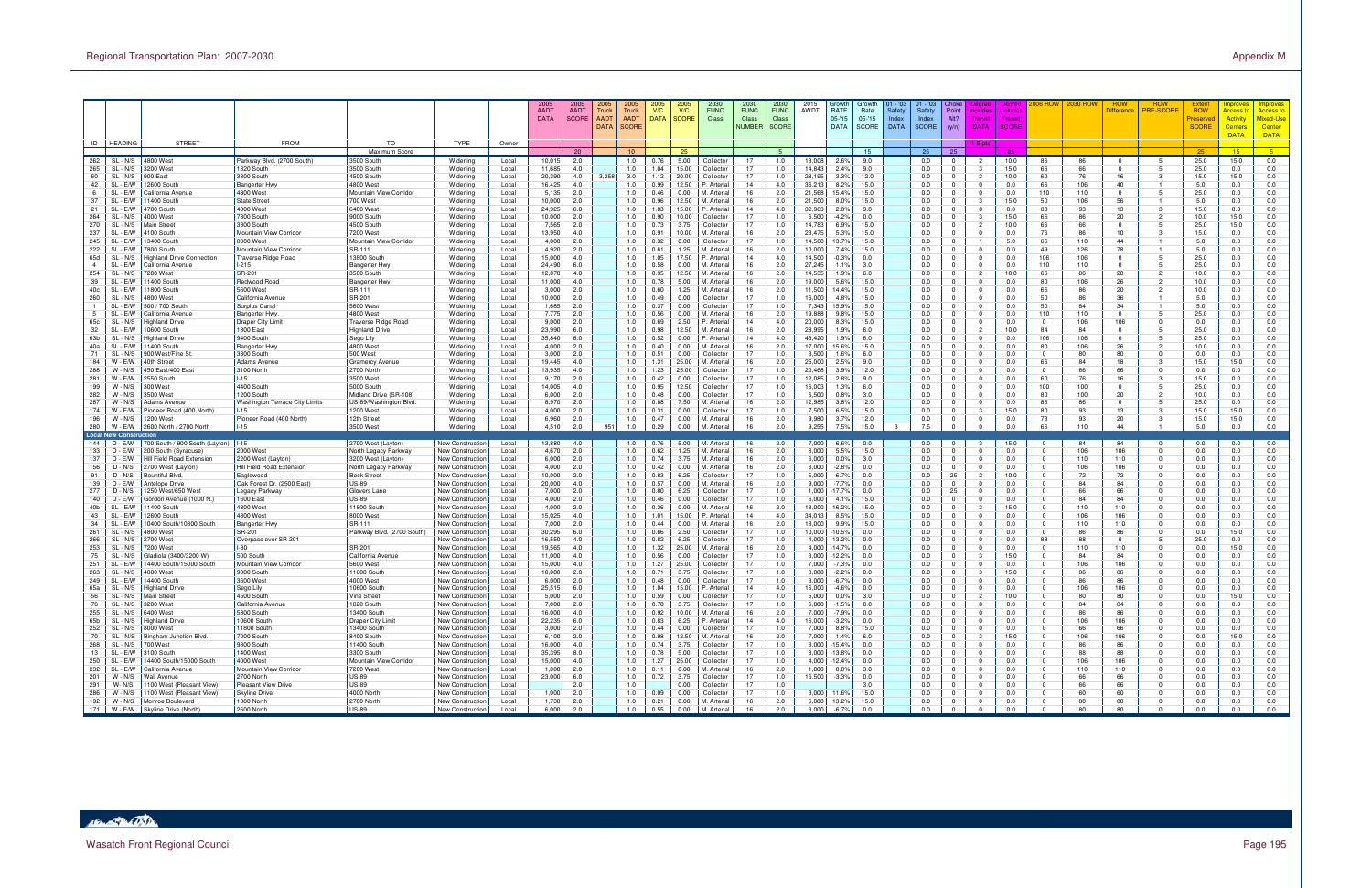|                       |                                                                                     |                                                        |                                          |                                            |                                      |                | 2005<br><b>AADT</b><br><b>DATA</b> | 2005<br><b>AADT</b><br><b>SCORE</b> | 2005<br>Truck<br><b>AADT</b><br><b>DATA</b> | 2005<br><b>Truck</b><br><b>AADT</b><br><b>SCORE</b> | 2005<br>V/C<br>DATA SCORE | 2005<br>V/C    | 2030<br><b>FUNC</b><br>Class          | 2030<br><b>FUNC</b><br><b>Class</b><br><b>NUMBER</b> | 2030<br><b>FUNC</b><br>Class<br><b>SCORE</b> | 2015<br>AWDT     | Growth<br>RATE<br>$05 - 15$<br><b>DATA</b> | Growth<br>Rate<br>05-'15<br>SCORE | 01 - '03<br>Safety<br>Index<br><b>DATA</b> | $01 - 03$<br>Safety<br>Index<br><b>SCORE</b> | Choke<br>Point<br>Alt?<br>(y/n)  | Degree<br>Dearee<br>ncludes<br>Include<br>Transi<br>Transit<br><b>DATA</b><br><b>SCORE</b> |                               | 006 ROW  2030 ROW | <b>ROW</b><br>Difference | <b>ROW</b><br><b>PRE-SCORE</b> | <b>Extent</b><br><b>ROW</b><br>reserve<br><b>SCORE</b> | nproves<br><b>Access t</b><br><b>Activity</b><br><u>Centers</u><br><b>DATA</b> | <b>Improves</b><br><mark>Access to</mark><br><b>Mixed-Use</b><br>Center<br><b>DATA</b> |
|-----------------------|-------------------------------------------------------------------------------------|--------------------------------------------------------|------------------------------------------|--------------------------------------------|--------------------------------------|----------------|------------------------------------|-------------------------------------|---------------------------------------------|-----------------------------------------------------|---------------------------|----------------|---------------------------------------|------------------------------------------------------|----------------------------------------------|------------------|--------------------------------------------|-----------------------------------|--------------------------------------------|----------------------------------------------|----------------------------------|--------------------------------------------------------------------------------------------|-------------------------------|-------------------|--------------------------|--------------------------------|--------------------------------------------------------|--------------------------------------------------------------------------------|----------------------------------------------------------------------------------------|
|                       | ID   HEADING                                                                        | <b>STREET</b>                                          | <b>FROM</b>                              | TO                                         | TYPE                                 | Owner          |                                    |                                     |                                             |                                                     |                           |                |                                       |                                                      |                                              |                  |                                            |                                   |                                            |                                              |                                  | $1-5$ pts                                                                                  |                               |                   |                          |                                |                                                        |                                                                                |                                                                                        |
| 262                   | SL - N/S                                                                            | 4800 West                                              | Parkway Blvd. (2700 South)               | Maximum Score<br>3500 South                | Widening                             | Local          | 10,015                             | - 20<br>2.0                         |                                             | 10 <sup>1</sup><br>1.0                              | 0.76                      | 25<br>5.00     | Collector                             | 17                                                   | 5<br>1.0                                     | 3,008            | 2.6%                                       | 15<br>9.0                         |                                            | 25<br>0.0                                    | 25                               | -25<br>10.0                                                                                | 86                            | 86                | 0                        |                                | 25<br>25.0                                             | 15<br>15.0                                                                     | $-5$<br>0.0                                                                            |
| 265                   | SL - N/S                                                                            | 3200 West                                              | 1820 South                               | 3500 South                                 | Widening                             | Local          | 11,68                              | 4.0                                 |                                             | 1.0                                                 | 1.04                      | 15.00          | Collector                             | 17                                                   | 1.0                                          | 14,843           | 2.4%                                       | 9.0                               |                                            | 0.0                                          | $\Omega$                         | 15.0                                                                                       | 66                            | 66                |                          |                                | 25.0                                                   | 0.0                                                                            | 0.0                                                                                    |
| 60<br>42              | SL - N/S<br>SL - E/W                                                                | 900 East<br>12600 South                                | 3300 South<br><b>Bangerter Hwy</b>       | 4500 South<br>4800 West                    | Widening<br>Widening                 | Local<br>Local | 20,390<br>16,425                   | 4.0<br>4.0                          | 3,258                                       | 3.0<br>1.0                                          | 1.12<br>0.99              | 20.00<br>12.50 | Collector<br><sup>2</sup> . Arteria   | 17<br>14                                             | 1.0<br>4.0                                   | 28,195<br>36,213 | 3.3%<br>8.2%                               | 12.0<br>15.0                      |                                            | 0.0<br>0.0                                   | $\Omega$<br>$^{\circ}$           | $\overline{2}$<br>10.0<br>$\mathbf 0$<br>0.0                                               | 60<br>66                      | 76<br>106         | 16<br>40                 |                                | 15.0<br>5.0                                            | 15.0<br>0.0                                                                    | 0.0<br>0.0                                                                             |
| -6                    | SL - E/W                                                                            | California Avenue                                      | 4800 West                                | Mountain View Corridor                     | Widening                             | Local          | 5,135                              | 2.0                                 |                                             | 1.0                                                 | 0.46                      | 0.00           | VI. Arteria                           | 16                                                   | 2.0                                          | 21,568           | 15.4%                                      | 15.0                              |                                            | 0.0                                          | $^{\circ}$                       | 0.0<br>$^{\circ}$                                                                          | 110                           | 110               |                          |                                | 25.0                                                   | 0.0                                                                            | 0.0                                                                                    |
| 37                    | SL - E/W                                                                            | 1400 South                                             | <b>State Stree</b>                       | 700 West                                   | Widening                             | Local          | 10,000                             | 2.0                                 |                                             | 1.0                                                 | 0.96                      | 12.50          | M. Arteria                            | 16                                                   | 2.0                                          | 21,500           | 8.0%                                       | 15.0                              |                                            | 0.0                                          | $\Omega$                         | 15.0<br>-3                                                                                 | 50                            | 106               | 56                       |                                | 5.0                                                    | 0.0                                                                            | 0.0                                                                                    |
| 21<br>264             | SL - E/W<br>SL - N/S                                                                | 1700 South<br>4000 West                                | 4000 West<br>7800 South                  | 6400 West<br>9000 South                    | Widening<br>Widening                 | Local<br>Local | 24,925<br>10,000                   | 6.0<br>2.0                          |                                             | 1.0<br>1.0                                          | 1.03<br>0.90              | 15.00<br>10.00 | <sup>2</sup> . Arteria<br>Collector   | 14<br>17                                             | 4.0<br>1.0                                   | 32,963<br>6,500  | 2.8%<br>$-4.2%$                            | 9.0<br>0.0                        |                                            | 0.0<br>0.0                                   | $\Omega$<br>$\Omega$             | 0.0<br>$\mathbf 0$<br>15.0<br>-3                                                           | 80<br>66                      | 93<br>86          | 13<br>20                 |                                | 15.0<br>10.0                                           | 0.0<br>15.0                                                                    | 0.0<br>0.0                                                                             |
| 270                   | SL - N/S                                                                            | Main Street                                            | 3300 South                               | 4500 South                                 | Widening                             | Local          | 7,565                              | 2.0                                 |                                             | 1.0                                                 | 0.73                      | 3.75           | Collector                             | 17                                                   | 1.0                                          | 14,783           | 6.9%                                       | 15.0                              |                                            | 0.0                                          | $^{\circ}$                       | 10.0<br>$\overline{2}$                                                                     | 66                            | 66                | 0                        |                                | 25.0                                                   | 15.0                                                                           | 0.0                                                                                    |
| 237<br>245            | SL - E/W<br>SL - E/W                                                                | 4100 South<br>3400 South                               | Mountain View Corridor<br>8000 West      | 7200 West<br>Mountain View Corridor        | Widening                             | Local          | 13,950<br>4,000                    | 4.0<br>2.0                          |                                             | 1.0<br>1.0                                          | 0.91<br>0.32              | 10.00<br>0.00  | VI. Arteria<br>Collector              | 16<br>17                                             | 2.0<br>1.0                                   | 23,475<br>14,500 | 5.3%<br>13.7%                              | 15.0<br>15.0                      |                                            | 0.0<br>0.0                                   | $\Omega$<br>$\Omega$             | 0.0<br>$^{\circ}$<br>5.0                                                                   | 76<br>66                      | 86<br>110         | 10<br>44                 |                                | 15.0<br>5.0                                            | 0.0<br>0.0                                                                     | $0.0\,$<br>0.0                                                                         |
| 222                   | SL - E/W                                                                            | 7800 South                                             | Mountain View Corridor                   | SR-111                                     | Widening<br>Widening                 | Local<br>Local | 4,920                              | 2.0                                 |                                             | 1.0                                                 | 0.61                      | 1.25           | VI. Arteria                           | 16                                                   | 2.0                                          | 10,000           | 7.4%                                       | 15.0                              |                                            | 0.0                                          | $\Omega$                         | 0.0<br>$\mathbf 0$                                                                         | 49                            | 126               | 78                       |                                | 5.0                                                    | 0.0                                                                            | 0.0                                                                                    |
| 65d                   | SL - N/S                                                                            | Highland Drive Connection                              | <b>Traverse Ridge Road</b>               | 13800 South                                | Widening                             | Local          | 15,000                             | 4.0                                 |                                             | 1.0                                                 | 1.05                      | 17.50          | <sup>2</sup> . Arteria                | 14                                                   | 4.0                                          | 14,500           | $-0.3%$                                    | 0.0                               |                                            | 0.0                                          | $\Omega$                         | 0.0<br>$\Omega$                                                                            | 106                           | 106               | $\Omega$                 |                                | 25.0                                                   | 0.0                                                                            | 0.0                                                                                    |
| $\overline{4}$<br>254 | SL - E/W<br>SL - N/S                                                                | California Avenue<br>7200 West                         | $1-215$<br>SR-201                        | Bangerter Hwy<br>3500 South                | Widening<br>Widening                 | Local<br>Local | 24,490<br>12,070                   | 6.0<br>4.0                          |                                             | 1.0<br>1.0                                          | 0.58<br>0.95              | 0.00<br>12.50  | M. Arteria<br>VI. Arteria             | 16<br>16                                             | 2.0<br>2.0                                   | 27,245<br>14,535 | 1.1%<br>1.9%                               | 3.0<br>6.0                        |                                            | 0.0<br>0.0                                   | $^{\circ}$<br>$\Omega$           | $\Omega$<br>0.0<br>10.0                                                                    | 110<br>66                     | 110<br>86         | $\Omega$<br>20           |                                | 25.0<br>10.0                                           | 0.0<br>0.0                                                                     | 0.0<br>$0.0\,$                                                                         |
| 39                    | SL - E/W                                                                            | 1400 South                                             | Redwood Road                             | Bangerter Hw                               | Widening                             | Local          | 11,000                             | 4.0                                 |                                             | 1.0                                                 | 0.78                      | 5.00           | M. Arteria                            | 16                                                   | 2.0                                          | 19,000           | 5.6%                                       | 15.0                              |                                            | 0.0                                          | $\Omega$                         | 0.0<br>$^{\circ}$                                                                          | 80                            | 106               | 26                       |                                | 10.0                                                   | 0.0                                                                            | 0.0                                                                                    |
| 40c                   | SL - E/W                                                                            | 1800 South                                             | 5600 West                                | SR-111                                     | Widening                             | Local          | 3,000                              | 2.0                                 |                                             | 1.0<br>1.0                                          | 0.60                      | 1.25           | M. Arteria                            | 16                                                   | 2.0                                          | 11,500           | 14.4%                                      | 15.0                              |                                            | 0.0                                          | $\Omega$                         | 0.0<br>$\mathbf 0$                                                                         | 66                            | 86                | 20                       |                                | 10.0                                                   | 0.0                                                                            | 0.0                                                                                    |
| 260                   | SL - N/S<br>SL - E/W                                                                | 4800 West<br>500 / 700 South                           | California Avenue<br>Surplus Canal       | SR-201<br>5600 West                        | Widening<br>Widening                 | Local<br>Local | 10,000<br>1,685                    | 2.0<br>2.0                          |                                             | 1.0                                                 | 0.49<br>0.37              | 0.00<br>0.00   | Collector<br>Collector                | 17<br>17                                             | 1.0<br>1.0                                   | 16,000<br>7,343  | 4.8%<br>15.9%                              | 15.0<br>15.0                      |                                            | 0.0<br>0.0                                   | $\Omega$<br>$^{\circ}$           | 0.0<br>$\Omega$<br>0.0<br>- 0                                                              | 50<br>50                      | 86<br>84          | 36<br>34                 |                                | 5.0<br>5.0                                             | 0.0<br>0.0                                                                     | 0.0<br>0.0                                                                             |
|                       | SL - E/W                                                                            | California Avenue                                      | <b>Bangerter Hwy</b>                     | 4800 West                                  | Widening                             | Local          | 7,775                              | 2.0                                 |                                             | 1.0                                                 | 0.56                      | 0.00           | VI. Arteria                           | 16                                                   | 2.0                                          | 9,888            | 9.8%                                       | 15.0                              |                                            | 0.0                                          | $\Omega$                         | 0.0<br>$^{\circ}$                                                                          | 110                           | 110               |                          |                                | 25.0                                                   | 0.0                                                                            | $0.0\,$                                                                                |
| 65c<br>32             | SL - N/S<br>SL - E/W                                                                | -lighland Drive<br>0600 South                          | <b>Draper City Limit</b><br>1300 East    | Traverse Ridge Road<br>Highland Drive      | Widening<br>Widening                 | Local<br>Local | 9,000<br>23,990                    | 2.0<br>6.0                          |                                             | 1.0<br>1.0                                          | 0.69<br>0.98              | 2.50<br>12.50  | <sup>9</sup> . Arteria<br>VI. Arteria | 14<br>16                                             | 4.0<br>2.0                                   | 20,000<br>28,995 | 8.3%<br>1.9%                               | 15.0<br>6.0                       |                                            | 0.0<br>0.0                                   | $\Omega$<br>$\Omega$             | 0.0<br>$^{\circ}$<br>$\overline{2}$<br>10.0                                                | $^{\circ}$<br>84              | 106<br>84         | 106                      |                                | 0.0<br>25.0                                            | 0.0<br>0.0                                                                     | 0.0<br>0.0                                                                             |
| 63b                   | SL - N/S                                                                            | <b>Highland Drive</b>                                  | 9400 South                               | Sego Lily                                  | Widening                             | Local          | 35,840                             | 8.0                                 |                                             | 1.0                                                 | 0.52                      | 0.00           | <sup>2</sup> . Arteria                | 14                                                   | 4.0                                          | 43,420           | 1.9%                                       | 6.0                               |                                            | 0.0                                          | $\Omega$                         | 0.0<br>$\Omega$                                                                            | 106                           | 106               | $\Omega$                 |                                | 25.0                                                   | 0.0                                                                            | 0.0                                                                                    |
| 40a                   | SL - E/W                                                                            | 1400 South                                             | <b>Bangerter Hwy</b>                     | 4800 West                                  | Widening                             | Local          | 4,000                              | 2.0                                 |                                             | 1.0                                                 | 0.40                      | 0.00           | M. Arterial                           | 16                                                   | 2.0                                          | 17,000           | 15.6%                                      | 15.0                              |                                            | 0.0                                          | $^{\circ}$                       | 0.0<br>$\Omega$                                                                            | 80                            | 106               | 26                       |                                | 10.0                                                   | 0.0                                                                            | 0.0                                                                                    |
| 71<br>184             | SL - N/S<br>W - E/W                                                                 | 900 West/Fine St<br>40th Street                        | 3300 South<br><b>Adams Avenue</b>        | 500 West<br><b>Gramercy Avenue</b>         | Widening<br>Widening                 | Local<br>Local | 3,000<br>19,445                    | 2.0<br>4.0                          |                                             | 1.0<br>1.0                                          | 0.51<br>1.31              | 0.00<br>25.00  | Collector<br>M. Arteria               | 17<br>16                                             | 1.0<br>2.0                                   | 3,500<br>25,000  | 1.6%<br>2.5%                               | 6.0<br>9.0                        |                                            | 0.0<br>0.0                                   | $\Omega$<br>$^{\circ}$           | 0.0<br>$^{\circ}$<br>0.0<br>$^{\circ}$                                                     | $\mathbf 0$<br>66             | 80<br>84          | 80<br>18                 |                                | 0.0<br>15.0                                            | 0.0<br>15.0                                                                    | $0.0\,$<br>0.0                                                                         |
| 288                   | $W - N/S$                                                                           | 450 East/400 East                                      | 3100 North                               | 2700 North                                 | Widening                             | Local          | 13,935                             | 4.0                                 |                                             | 1.0                                                 | 1.23                      | 25.00          | Collector                             | 17                                                   | 1.0                                          | 20,468           | 3.9%                                       | 12.0                              |                                            | 0.0                                          | $^{\circ}$                       | 0.0<br>$\mathbf{0}$                                                                        | $\Omega$                      | 66                | 66                       |                                | 0.0                                                    | 0.0                                                                            | 0.0                                                                                    |
| 281                   | W - E/W                                                                             | 2550 South                                             | $1 - 15$                                 | 3500 West                                  | Widening                             | Local          | 9,170                              | 2.0                                 |                                             | 1.0                                                 | 0.42                      | 0.00           | Collector                             | 17                                                   | 1.0                                          | 12,085           | 2.8%                                       | 9.0                               |                                            | 0.0                                          | $\Omega$                         | 0.0<br>$\Omega$                                                                            | 60                            | 76                | 16                       |                                | 15.0                                                   | 0.0                                                                            | 0.0                                                                                    |
| 199<br>282            | $W - N/S$<br>$W - N/S$                                                              | 300 West<br>3500 West                                  | 4400 South<br>1200 South                 | 5000 South<br>Midland Drive (SR-108)       | Widening<br>Widening                 | Local<br>Local | 14,005<br>6,000                    | 4.0<br>2.0                          |                                             | 1.0<br>1.0                                          | 0.95<br>0.48              | 12.50<br>0.00  | Collector<br>Collector                | 17<br>17                                             | 1.0<br>1.0                                   | 16,003<br>6,500  | 1.3%<br>0.8%                               | 6.0<br>3.0                        |                                            | 0.0<br>0.0                                   | $^{\circ}$<br>$\Omega$           | 0.0<br>$\Omega$<br>0.0<br>$^{\circ}$                                                       | 100<br>80                     | 100<br>100        | 0<br>20                  |                                | 25.0<br>10.0                                           | 0.0<br>0.0                                                                     | 0.0<br>$0.0\,$                                                                         |
| 287                   | W - N/S                                                                             | Adams Avenue                                           | Washington Terrace City Limits           | US-89/Washington Blvd.                     | Widening                             | Local          | 8,970                              | 2.0                                 |                                             | 1.0                                                 | 0.88                      | 7.50           | M. Arteria                            | 16                                                   | 2.0                                          | 12,985           | 3.8%                                       | 12.0                              |                                            | 0.0                                          | $^{\circ}$                       | 0.0<br>$^{\circ}$                                                                          | 86                            | 86                | 0                        |                                | 25.0                                                   | 0.0                                                                            | 0.0                                                                                    |
| 174<br>196            | W - E/W<br>$W - N/S$                                                                | Pioneer Road (400 North)<br>1200 West                  | $1 - 15$<br>Pioneer Road (400 North)     | 1200 West<br>12th Street                   | Widening<br>Widening                 | Local<br>Local | 4,000<br>6,960                     | 2.0<br>2.0                          |                                             | 1.0<br>1.0                                          | 0.31<br>0.47              | 0.00<br>0.00   | Collector<br>M. Arteria               | 17<br>16                                             | 1.0<br>2.0                                   | 7,500<br>9,980   | 6.5%<br>3.7%                               | 15.0<br>12.0                      |                                            | 0.0<br>0.0                                   | $\Omega$<br>$^{\circ}$           | 15.0<br>- 3<br>$\overline{0}$<br>0.0                                                       | 80<br>73                      | 93<br>93          | 13<br>20                 | з                              | 15.0<br>15.0                                           | 15.0<br>15.0                                                                   | 0.0<br>0.0                                                                             |
| 280                   | W - E/W                                                                             | 2600 North / 2700 North                                | $I-15$                                   | 3500 West                                  | Widening                             | Local          | 4,510                              | 2.0                                 | 951                                         | 1.0                                                 | 0.29                      | 0.00           | M. Arteria                            | 16                                                   | 2.0                                          | 9,255            | 7.5%                                       | 15.0                              |                                            | 7.5                                          | $\Omega$                         | 0.0<br>$\Omega$                                                                            | 66                            | 110               | 44                       |                                | 5.0                                                    | 0.0                                                                            | 0.0                                                                                    |
|                       | <b>Local New Construction</b>                                                       |                                                        |                                          |                                            |                                      |                |                                    |                                     |                                             |                                                     |                           |                |                                       |                                                      |                                              |                  |                                            |                                   |                                            |                                              |                                  |                                                                                            |                               |                   |                          |                                |                                                        |                                                                                |                                                                                        |
| 144<br>133            | D - E/W<br>D - E/W                                                                  | 700 South / 900 South (Layton)<br>200 South (Syracuse) | $1 - 15$<br>2000 West                    | 2700 West (Layton)<br>North Legacy Parkway | New Construction<br>New Construction | Local<br>Local | 13,880<br>4,670                    | 4.0<br>2.0                          |                                             | 1.0<br>1.0                                          | 0.76<br>0.62              | 5.00<br>1.25   | M. Arteria<br>M. Arteria              | 16<br>16                                             | 2.0<br>2.0                                   | 7,000<br>8,000   | $-6.6%$<br>5.5%                            | 0.0<br>15.0                       |                                            | 0.0<br>0.0                                   | $\Omega$                         | 15.0<br>0.0<br>0                                                                           | 0<br>$\Omega$                 | 84<br>106         | 84<br>106                | $\Omega$                       | 0.0<br>0.0                                             | 0.0<br>0.0                                                                     | 0.0<br>0.0                                                                             |
| 137                   | D - E/W                                                                             | Hill Field Road Extension                              | 2200 West (Layton)                       | 3200 West (Layton)                         | New Construction                     | Local          | 6,000                              | 2.0                                 |                                             | 1.0                                                 | 0.74                      | 3.75           | M. Arteria                            | 16                                                   | 2.0                                          | 6,000            | 0.0%                                       | 3.0                               |                                            | 0.0                                          | $\Omega$                         | $\Omega$<br>0.0                                                                            | $\Omega$                      | 110               | 110                      | $\Omega$                       | 0.0                                                    | 0.0                                                                            | 0.0                                                                                    |
| 156<br>91             | $D - N/S$                                                                           | 2700 West (Layton)                                     | Hill Field Road Extension                | North Legacy Parkway                       | New Construction                     | Local          | 4,000                              | 2.0                                 |                                             | 1.0<br>1.0                                          | 0.42                      | 0.00           | M. Arterial                           | 16<br>17                                             | 2.0<br>1.0                                   | 3,000            | $-2.8%$                                    | 0.0                               |                                            | 0.0                                          | $^{\circ}$                       | 0.0<br>$\Omega$                                                                            | $\Omega$                      | 106<br>72         | 106                      |                                | 0.0                                                    | 0.0                                                                            | 0.0                                                                                    |
| 139                   | $D - N/S$<br>D - E/W                                                                | Bountiful Blvd<br>Antelope Drive                       | Eaglewood<br>Oak Forest Dr. (2500 East   | <b>Beck Stree</b><br><b>US-89</b>          | New Construction<br>New Construction | Local<br>Local | 10,000<br>20,000                   | 2.0<br>4.0                          |                                             | 1.0                                                 | 0.83<br>0.57              | 6.25<br>0.00   | Collector<br>M. Arteria               | 16                                                   | 2.0                                          | 5,000<br>9,000   | $-6.7%$<br>$-7.7%$                         | 0.0<br>0.0                        |                                            | 0.0<br>0.0                                   | 25<br>$^{\circ}$                 | $\overline{2}$<br>10.0<br>0.0<br>$^{\circ}$                                                | $\mathbf 0$<br>0              | 84                | 72<br>84                 |                                | 0.0<br>0.0                                             | 0.0<br>0.0                                                                     | $0.0\,$<br>0.0                                                                         |
| 277                   | D - N/S                                                                             | 250 West/650 West                                      | Legacy Parkway                           | Glovers Lane                               | New Construction                     | Local          | 7,000                              | 2.0                                 |                                             | 1.0                                                 | 0.80                      | 6.25           | Collector                             | 17                                                   | 1.0                                          | 1,000            | 17.7%                                      | 0.0                               |                                            | 0.0                                          | 25                               | 0.0<br>$^{\circ}$                                                                          | $\mathbf 0$                   | 66                | 66                       |                                | 0.0                                                    | 0.0                                                                            | 0.0                                                                                    |
| 140<br>40b            | D - E/W<br>SL - E/W                                                                 | Gordon Avenue (1000 N.)<br>1400 South                  | 1600 East<br>4800 West                   | <b>US-89</b><br>11800 South                | New Construction<br>New Construction | Local<br>Local | 4,000<br>4,000                     | 2.0<br>2.0                          |                                             | 1.0<br>1.0                                          | 0.46<br>0.36              | 0.00<br>0.00   | Collector<br>VI. Arteria              | 17<br>16                                             | 1.0<br>2.0                                   | 6,000<br>18,000  | 4.1%<br>16.2%                              | 15.0<br>15.0                      |                                            | 0.0<br>0.0                                   | $\Omega$<br>$^{\circ}$           | 0.0<br>$\Omega$<br>15.0<br>-3                                                              | $\Omega$<br>$\mathbf 0$       | 84<br>110         | 84<br>110                | $\Omega$                       | 0.0<br>0.0                                             | 0.0<br>0.0                                                                     | 0.0<br>0.0                                                                             |
| 43                    | SL - E/W                                                                            | 2600 South                                             | 4800 West                                | 8000 West                                  | New Construction                     | Local          | 15,025                             | 4.0                                 |                                             | 1.0                                                 | 1.01                      | 15.00          | <sup>9</sup> . Arteria                | 14                                                   | 4.0                                          | 34,013           | 8.5%                                       | 15.0                              |                                            | 0.0                                          | $\Omega$                         | 0.0<br>$^{\circ}$                                                                          | $\mathbf 0$                   | 106               | 106                      |                                | 0.0                                                    | 0.0                                                                            | $0.0\,$                                                                                |
| 34                    | SL - E/W                                                                            | 0400 South/10800 South                                 | <b>Bangerter Hwy</b>                     | SR-111                                     | New Construction                     | Local          | 7,000                              | 2.0                                 |                                             | 1.0                                                 | 0.44                      | 0.00           | VI. Arteria                           | 16                                                   | 2.0                                          | 18,000           | 9.9%                                       | 15.0                              |                                            | 0.0                                          | $^{\circ}$                       | 0.0<br>$^{\circ}$                                                                          | $^{\circ}$                    | 110               | 110                      |                                | 0.0                                                    | 0.0                                                                            | 0.0                                                                                    |
| 261<br>266            | SL - N/S<br>SL - N/S                                                                | 4800 West<br>?700 West                                 | <b>SR-201</b><br>Overpass over SR-201    | Parkway Blvd. (2700 South)                 | New Construction<br>New Construction | Local<br>Local | 30,295<br>16,550                   | 6.0<br>4.0                          |                                             | 1.0<br>1.0                                          | 0.66<br>0.82              | 2.50<br>6.25   | Collector<br>Collector                | 17<br>17                                             | 1.0<br>1.0                                   | 10,000<br>4,000  | $-10.5%$<br>13.2%                          | 0.0<br>0.0                        |                                            | 0.0<br>0.0                                   | $^{\circ}$<br>$\Omega$           | 0.0<br>$\mathbf{0}$<br>0.0<br>$\Omega$                                                     | $\Omega$<br>88                | 86<br>88          | 86<br>$\Omega$           |                                | 0.0<br>25.0                                            | 15.0<br>0.0                                                                    | 0.0<br>0.0                                                                             |
| 253                   | SL - N/S                                                                            | 7200 West                                              | $I-80$                                   | SR-201                                     | New Construction                     | Local          | 19,565                             | 4.0                                 |                                             | 1.0                                                 | 1.32                      | 25.00          | VI. Arteria                           | 16                                                   | 2.0                                          | 4,000            | 14.7%                                      | 0.0                               |                                            | 0.0                                          | $^{\circ}$                       | 0.0<br>$\Omega$                                                                            | $\Omega$                      | 110               | 110                      |                                | 0.0                                                    | 15.0                                                                           | 0.0                                                                                    |
| 75<br>251             | SL - N/S<br>SL - E/W                                                                | Gladiola (3400/3200 W)<br>4400 South/15000 South       | 500 South<br>Mountain View Corridor      | California Avenue<br>5600 West             | New Construction<br>New Construction | Local<br>Local | 11,000<br>15,000                   | 4.0<br>4.0                          |                                             | 1.0<br>1.0                                          | 0.56<br>1.27              | 0.00<br>25.00  | Collector<br>Collector                | 17<br>17                                             | 1.0<br>1.0                                   | 3,000<br>7,000   | 12.2%<br>$-7.3%$                           | 0.0<br>0.0                        |                                            | 0.0<br>0.0                                   | $\Omega$<br>$\Omega$             | 15.0<br>0.0<br>$\mathbf{0}$                                                                | $\mathbf 0$<br>0              | 84<br>106         | 84<br>106                |                                | 0.0<br>0.0                                             | 0.0<br>0.0                                                                     | $0.0\,$<br>0.0                                                                         |
| 263                   | SL - N/S                                                                            | 4800 West                                              | 9000 South                               | 1800 Sout                                  | New Construction                     | Local          | 10,000                             | 2.0                                 |                                             | 1.0                                                 | 0.71                      | 3.75           | Collector                             | 17                                                   | 1.0                                          | 8,000            | $-2.2%$                                    | 0.0                               |                                            | 0.0                                          | $\Omega$                         | 15.0<br>- 3                                                                                | 0                             | 86                | 86                       |                                | 0.0                                                    | 0.0                                                                            | 0.0                                                                                    |
| 249                   | SL - E/W                                                                            | 4400 South                                             | 3600 West                                | 4000 West                                  | New Construction                     | Local          | 6,000                              | 2.0                                 |                                             | 1.0                                                 | 0.48                      | 0.00           | Collector                             | 17                                                   | 1.0                                          | 3,000            | $-6.7%$                                    | 0.0                               |                                            | 0.0                                          | $^{\circ}$                       | 0.0<br>$^{\circ}$                                                                          | $\Omega$                      | 86                | 86                       | $\Omega$                       | 0.0                                                    | 0.0                                                                            | 0.0                                                                                    |
| 65a<br>56             | SL - N/S<br>SL - N/S                                                                | Highland Drive<br>Main Street                          | Sego Lily<br>4500 South                  | 10600 South<br>Vine Street                 | New Construction<br>New Construction | Local<br>Local | 25.515<br>5,000                    | 6.0<br>2.0                          |                                             | 1.0<br>1.0                                          | 1.04<br>0.59              | 15.00<br>0.00  | <sup>2</sup> . Arteria<br>Collector   | 14<br>17                                             | 4.0<br>1.0                                   | 16.000<br>5,000  | $-4.6%$<br>$0.0\%$                         | 0.0<br>3.0                        |                                            | 0.0<br>0.0                                   | $\overline{0}$                   | 0.0<br>$\Omega$<br>10.0                                                                    | 0                             | 106<br>80         | 106<br>80                |                                | 0.0<br>0.0                                             | 0.0<br>15.0                                                                    | 0.0<br>0.0                                                                             |
|                       | 76   SL - N/S<br>255   SL - N/S                                                     | 3200 West                                              | California Avenue                        | 1820 South                                 | New Construction                     | Local          | 7,000                              | 2.0                                 |                                             | 1.0                                                 | 0.70                      | 3.75           | Collector                             | 17                                                   | 1.0                                          | 6,000            | -1.5%                                      | 0.0                               |                                            | 0.0                                          | $\mathbf 0$                      | $\overline{0}$<br>0.0                                                                      | $^{\circ}$                    | 84                | 84                       | $\Omega$                       | 0.0                                                    | 0.0                                                                            | 0.0                                                                                    |
|                       |                                                                                     | 6400 West                                              | 5800 South                               | 13400 South                                | New Construction                     | Local          | 16,000                             | 4.0                                 |                                             | 1.0                                                 | 0.92                      | 10.00          | M. Arterial                           | 16                                                   | 2.0                                          | 7,000            | $-7.9%$                                    | 0.0                               |                                            | 0.0                                          | $\overline{0}$                   | 0.0<br>$\overline{0}$                                                                      | $^{\circ}$                    | 86                | 86                       | $\Omega$                       | 0.0                                                    | 0.0                                                                            | 0.0                                                                                    |
| 65b                   | SL - N/S<br>252   SL - N/S                                                          | <b>Highland Drive</b><br>8000 West                     | 10600 South<br>11800 South               | Draper City Limit<br>13400 South           | New Construction<br>New Construction | Local<br>Local | 22,235<br>3,000                    | 6.0<br>2.0                          |                                             | 1.0<br>1.0                                          | 0.83<br>0.44              | 6.25<br>0.00   | P. Arterial<br>Collector              | 14<br>17                                             | 4.0<br>1.0                                   | 16,000<br>7,000  | $-3.2%$<br>8.8%                            | 0.0<br>15.0                       |                                            | 0.0<br>0.0                                   | $\overline{0}$<br>$\overline{0}$ | 0.0<br>$\overline{0}$<br>0.0<br>$^{\circ}$                                                 | $\overline{0}$<br>$\mathbf 0$ | 106<br>66         | 106<br>66                | $\Omega$                       | 0.0<br>0.0                                             | 0.0<br>0.0                                                                     | 0.0<br>0.0                                                                             |
| 70                    | SL - N/S                                                                            | <b>Bingham Junction Blvd.</b>                          | 7000 South                               | 8400 South                                 | New Construction                     | Local          | 6,100                              | 2.0                                 |                                             | 1.0                                                 | 0.98                      | 12.50          | M. Arteria                            | 16                                                   | 2.0                                          | 7,000            | 1.4%                                       | 6.0                               |                                            | $0.0\,$                                      | $^{\circ}$                       | 15.0<br>-3                                                                                 | $\mathbf 0$                   | 106               | 106                      |                                | 0.0                                                    | 15.0                                                                           | 0.0                                                                                    |
|                       | $\begin{array}{ c c c c }\n\hline\n268 & SL-N/S \\ \hline\n13 & SL-EM\n\end{array}$ | 700 West<br>3100 South                                 | 9800 South<br>1400 West                  | 11400 South<br>3300 South                  | New Construction<br>New Construction | Local          | 16,000<br>35,395                   | 4.0<br>8.0                          |                                             | 1.0<br>1.0                                          | 0.74<br>0.78              | 3.75<br>5.00   | Collector<br>Collector                | 17<br>17                                             | 1.0<br>1.0                                   | 3,000<br>8,000   | $-15.4\%$<br>$-13.8%$                      | 0.0<br>0.0                        |                                            | 0.0<br>0.0                                   | $\mathbf 0$<br>$\overline{0}$    | 0.0<br>$\overline{0}$<br>0.0<br>$\overline{0}$                                             | $^{\circ}$<br>$^{\circ}$      | 86<br>88          | 86<br>88                 | $\Omega$<br>$\Omega$           | 0.0<br>0.0                                             | 0.0<br>0.0                                                                     | 0.0<br>0.0                                                                             |
|                       | 250   SL - E/W                                                                      | 14400 South/15000 South                                | 4000 West                                | Mountain View Corridor                     | New Construction                     | Local<br>Local | 15,000                             | 4.0                                 |                                             | 1.0                                                 | 1.27                      | 25.00          | Collector                             | 17                                                   | 1.0                                          | 4,000            | $-12.4\%$                                  | 0.0                               |                                            | 0.0                                          | $\mathbf 0$                      | $\mathbf 0$<br>0.0                                                                         | $\overline{0}$                | 106               | 106                      | $\Omega$                       | 0.0                                                    | 0.0                                                                            | 0.0                                                                                    |
|                       | 232   SL - E/W                                                                      | California Avenue                                      | Mountain View Corridor                   | 7200 West                                  | New Construction                     | Local          | 1,000                              | 2.0                                 |                                             | 1.0                                                 | 0.11                      | 0.00           | M. Arterial                           | 16                                                   | 2.0                                          | 1,000            | 0.0%                                       | 3.0                               |                                            | 0.0                                          | $\overline{0}$                   | 0.0<br>$^{\circ}$                                                                          | $\mathbf 0$                   | 110               | 110                      |                                | 0.0                                                    | 0.0                                                                            | 0.0                                                                                    |
| 201<br>291            | $W - N/S$<br>W-N/S                                                                  | <b>Wall Avenue</b><br>1100 West (Pleasant View)        | 2700 North<br><b>Pleasant View Drive</b> | <b>US-89</b><br><b>US-89</b>               | New Construction<br>New Construction | Local<br>Local | 23,000                             | 6.0<br>2.0                          |                                             | 1.0<br>1.0                                          | 0.72                      | 3.75<br>0.00   | Collector<br>Collector                | 17<br>17                                             | 1.0<br>1.0                                   | 16,500           | $-3.3%$                                    | 0.0<br>3.0                        |                                            | $0.0\,$<br>0.0                               | $^{\circ}$<br>$^{\circ}$         | 0.0<br>$^{\circ}$<br>0.0<br>$^{\circ}$                                                     | $\mathbf 0$<br>$^{\circ}$     | 66<br>66          | 66<br>66                 |                                | 0.0<br>0.0                                             | 0.0<br>0.0                                                                     | 0.0<br>0.0                                                                             |
| 286                   | W - N/S                                                                             | 1100 West (Pleasant View)                              | <b>Skyline Drive</b>                     | 4000 North                                 | New Construction                     | Local          | 1,000                              | 2.0                                 |                                             | 1.0                                                 | 0.09                      | 0.00           | Collector                             | 17                                                   | 1.0                                          | 3,000            | 11.6%                                      | 15.0                              |                                            | 0.0                                          | $\mathbf 0$                      | 0.0<br>$^{\circ}$                                                                          | $\Omega$                      | 60                | 60                       |                                | 0.0                                                    | 0.0                                                                            | 0.0                                                                                    |
| 192                   | W - N/S                                                                             | Monroe Boulevard                                       | 1300 North                               | 2700 North                                 | New Construction                     | Local          | 1,730                              | 2.0                                 |                                             | 1.0                                                 | 0.21                      | 0.00           | M. Arterial                           | 16                                                   | 2.0                                          | 6,000            | 13.2%                                      | 15.0                              |                                            | 0.0                                          | $\overline{0}$                   | 0.0<br>$\mathbf 0$                                                                         | $\Omega$                      | 80                | 80                       | $\Omega$                       | 0.0                                                    | 0.0                                                                            | 0.0                                                                                    |
|                       |                                                                                     | 171   W - E/W   Skyline Drive (North)                  | 2600 North                               | <b>US-89</b>                               | New Construction                     | Local          | 6,000                              | 2.0                                 |                                             | 1.0                                                 | 0.55                      | 0.00           | M. Arterial                           | 16                                                   | 2.0                                          | 3,000            | $-6.7%$                                    | 0.0                               |                                            | 0.0                                          | $\Omega$                         | 0.0<br>$\Omega$                                                                            |                               | 80                | 80                       |                                | 0.0                                                    | 0.0                                                                            | 0.0                                                                                    |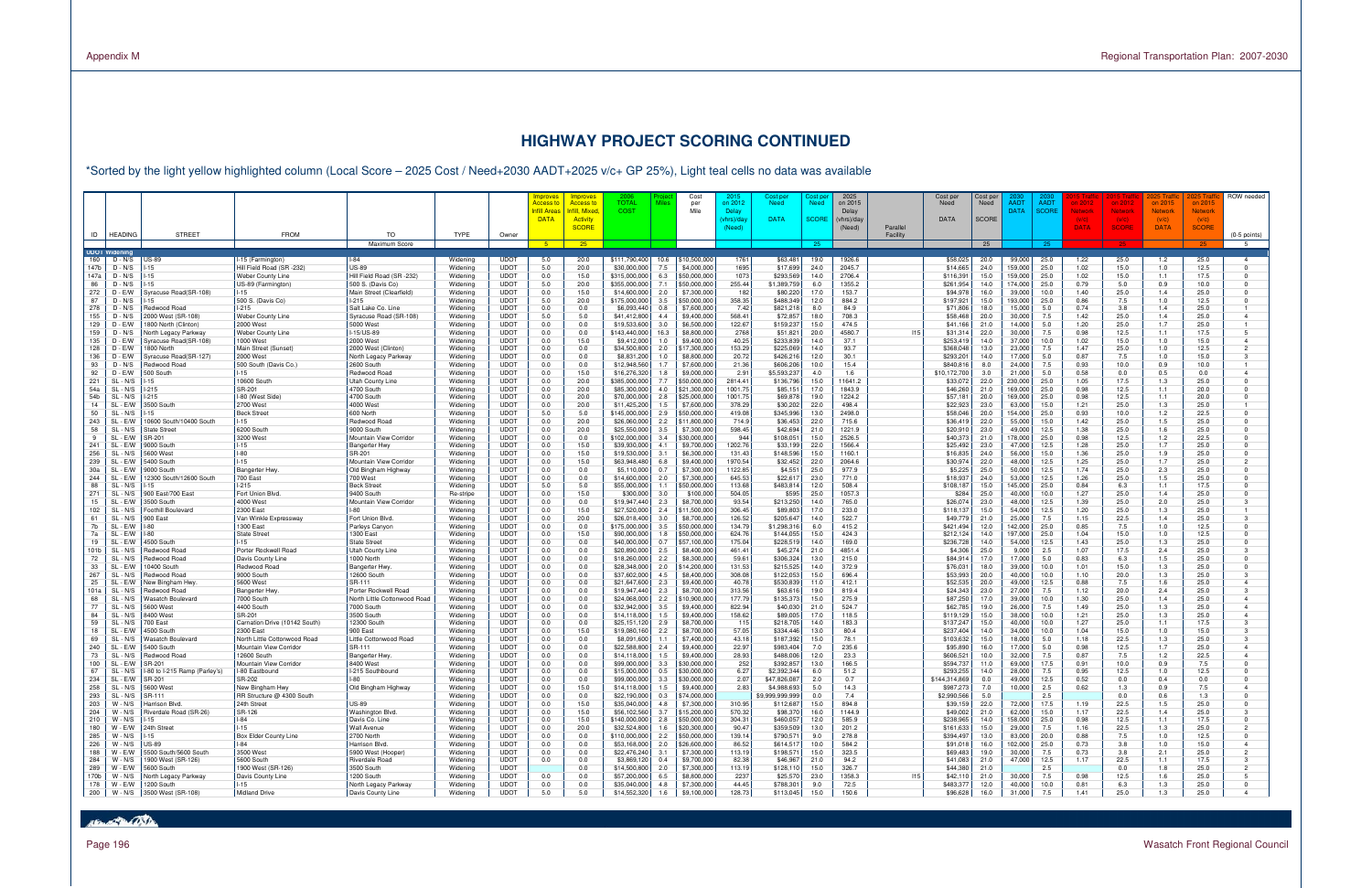### Page 196 Wasatch Front Regional Council

# **HIGHWAY PROJECT SCORING CONTINUED**

\*Sorted by the light yellow highlighted column (Local Score – 2025 Cost / Need+2030 AADT+2025 v/c+ GP 25%), Light teal cells no data was available

|                                                                                             |                                                        |                                               |                      |                            | Improves<br>nnroves<br><b>Access t</b><br>Access to           | 2006<br><b>TOTAL</b>          | <b>Miles</b>                             | Cost<br>per                               | -201<br>on 2012    | Cost per<br><b>Need</b>        | cost pe<br>Need | 2025<br>on 2015     |          | Cost per<br>Need          | Cost per<br>Need | AAD1              | AAD <sub>1</sub> | 2012         | on 201:          | on 2015                 | on 2015                 | ROW needed                       |
|---------------------------------------------------------------------------------------------|--------------------------------------------------------|-----------------------------------------------|----------------------|----------------------------|---------------------------------------------------------------|-------------------------------|------------------------------------------|-------------------------------------------|--------------------|--------------------------------|-----------------|---------------------|----------|---------------------------|------------------|-------------------|------------------|--------------|------------------|-------------------------|-------------------------|----------------------------------|
|                                                                                             |                                                        |                                               |                      |                            | <b>Infill Area</b><br>าfill. Mixec<br><b>DATA</b><br>Activity | <b>COST</b>                   |                                          | Mile                                      | Delay<br>hrs)/da\  | <b>DATA</b>                    | <b>SCORE</b>    | Delay<br>(vhrs)/day |          | <b>DATA</b>               | <b>SCORE</b>     | <b>DATA</b>       | <b>SCOR</b>      | etworl       | Network<br>(V/C) | <b>Network</b><br>(V/C) | <b>Network</b><br>(V/C) |                                  |
|                                                                                             |                                                        |                                               |                      |                            | <b>SCORE</b>                                                  |                               |                                          |                                           | (Need)             |                                |                 | (Need)              | Parallel |                           |                  |                   |                  | <b>DATA</b>  | <b>SCORE</b>     | <b>DATA</b>             | <b>SCORE</b>            |                                  |
| <b>HEADING</b><br><b>STREET</b><br>ID                                                       | <b>FROM</b>                                            | TO<br>Maximum Score                           | <b>TYPE</b>          | Owner                      | 25<br>-5 -                                                    |                               |                                          |                                           |                    |                                | 25              |                     | Facility |                           | 25               |                   | 25               |              |                  |                         |                         | $(0-5$ points)<br>- 5            |
| <b>UDOT Widening</b>                                                                        |                                                        |                                               |                      |                            |                                                               |                               |                                          |                                           |                    |                                |                 |                     |          |                           |                  |                   |                  |              |                  |                         |                         |                                  |
| D - N/S<br>160<br><b>US-89</b><br>147b<br>D - N/S                                           | -15 (Farmington)<br>Hill Field Road (SR -232           | <b>US-89</b>                                  | Widening<br>Widening | <b>UDOT</b><br><b>UDOT</b> | 5.0<br>20.0<br>5.0<br>20.0                                    | 6111,790,400<br>\$30,000,000  | 10.6<br>7.5                              | \$10,500,000<br>\$4,000,000               | 1761<br>1695       | \$63,481<br>\$17,699           | 19.0<br>24.0    | 1926.6<br>2045.7    |          | \$58,025<br>\$14,665      | 20.0<br>24.0     | 99,000<br>159,000 | 25.0<br>25.0     | 1.22<br>1.02 | 25.0<br>15.0     | 1.2<br>1.0              | 25.0<br>12.5            | $\overline{4}$<br>$\Omega$       |
| 147a<br>D - N/S                                                                             | Weber County Line                                      | Hill Field Road (SR-232)                      | Widening             | <b>UDOT</b>                | 0.0<br>15.0                                                   | \$315,000,000                 | 6.3                                      | \$50,000,000                              | 1073               | \$293,569                      | 14.0            | 2706.4              |          | \$116,39                  | 15.0             | 159,000           | 25.0             | 1.02         | 15.0             | 1.1                     | 17.5                    | $\Omega$                         |
| 86<br>D - N/S<br>272<br>D - E/W<br>Svracuse Road(SR-108)                                    | US-89 (Farmington<br>$-15$                             | 500 S. (Davis Co)<br>Main Street (Clearfield) | Widening<br>Widening | <b>UDOT</b><br><b>UDOT</b> | 5.0<br>20.0<br>0.0<br>15.0                                    | \$355,000,000<br>\$14,600,000 | 7.1<br>2.0                               | \$50,000,000<br>\$7.300.000               | 255.44<br>182      | \$1,389,759<br>\$80,220        | 6.0<br>17.0     | 1355.2<br>153.7     |          | \$261,954<br>\$94,978     | 14.0<br>16.0     | 174,000<br>39,000 | 25.0<br>10.0     | 0.79<br>1.40 | 5.0<br>25.0      | 0.9<br>1.4              | 10.0<br>25.0            | $\Omega$                         |
| 87<br>D - N/S                                                                               | 500 S. (Davis Co)                                      | $1-215$                                       | Widening             | <b>UDOT</b>                | 5.0<br>20.0                                                   | 6175.000.000                  | 3.5                                      | \$50,000,000                              | 358.35             | \$488,349                      | 12.0            | 884.2               |          | \$197,921                 | 15.0             | 93,000            | 25.0             | 0.86         | 7.5              | 1.0                     | 12.5                    |                                  |
| 278<br>D - N/S<br>Redwood Road                                                              | $-215$                                                 | Salt Lake Co. Line                            | Widening             | <b>UDOT</b>                | 0.0<br>0.0                                                    | \$6,093,440                   | 0.8                                      | \$7,600,000                               | 7.42               | \$821,218                      | 8.0             | 84.9<br>708.3       |          | \$71,806                  | 18.0             | 15,000            | 5.0              | 0.74         | 3.8              | 1.4                     | 25.0                    | $\overline{a}$                   |
| 155<br>2000 West (SR-108)<br>D - N/S<br>129<br>800 North (Clinton)<br>D - EM                | Weber County Line<br>2000 West                         | Syracuse Road (SR-108)<br>5000 West           | Widening<br>Widening | <b>UDOT</b><br><b>UDOT</b> | 5.0<br>5.0<br>0.0<br>0.0                                      | \$41,412,800<br>\$19,533,600  | 4.4<br>3.0                               | \$9,400,000<br>\$6,500,000                | 568.41<br>122.67   | \$72,857<br>\$159,237          | 18.0<br>15.0    | 474.5               |          | \$58,468<br>\$41,166      | 20.0<br>21.0     | 30,000<br>14,000  | 7.5<br>5.0       | 1.42<br>1.20 | 25.0<br>25.0     | 1.4<br>1.7              | 25.0<br>25.0            |                                  |
| 159<br>D - N/S<br>North Legacy Parkway                                                      | Weber County Line                                      | I-15/US-89                                    | Widening             | <b>UDOT</b>                | 0.0<br>0.0                                                    | 143,440,000                   | 16.3                                     | \$8,800,000                               | 2768               | \$51,821                       | 20.0            | 4580.7              | 115      | \$31,314                  | 22.0             | 30,000            | 7.5              | 0.98         | 12.5             | 1.1                     | 17.5                    | -5                               |
| 135<br>Syracuse Road(SR-108)<br>D - EM<br>128<br>D - E/W<br>800 North                       | 1000 West<br>Main Street (Sunset)                      | 2000 West<br>2000 West (Clinton)              | Widening<br>Widening | <b>UDOT</b><br><b>UDOT</b> | 0.0<br>15.0<br>0.0<br>0.0                                     | \$9,412,000<br>\$34,500,800   | 1.0<br>2.0                               | \$9,400,000<br>\$17,300,000               | 40.25<br>153.29    | \$233,839<br>\$225,069         | 14.0<br>14.0    | 37.1<br>93.7        |          | \$253,419<br>\$368,048    | 14.0<br>13.0     | 37,000<br>23,000  | 10.0<br>7.5      | 1.02<br>1.47 | 15.0<br>25.0     | 1.0<br>1.0              | 15.0<br>12.5            | 4<br>$\overline{2}$              |
| 136<br>yracuse Road(SR-127)<br>D - E/W                                                      | 2000 West                                              | North Legacy Parkway                          | Widening             | <b>UDOT</b>                | 0.0<br>0.0                                                    | \$8,831,200                   | 1.0                                      | \$8,800,000                               | 20.72              | \$426,216                      | 12.0            | 30.1                |          | \$293,20                  | 14.0             | 17,000            | 5.0              | 0.87         | 7.5              | 1.0                     | 15.0                    |                                  |
| 93<br>Redwood Road<br>D - N/S<br>92<br>D - E/W<br>500 South                                 | 500 South (Davis Co.)<br>$-15$                         | 2600 South<br>Redwood Roac                    | Widening<br>Widening | <b>UDOT</b><br><b>UDOT</b> | 0.0<br>0.0<br>0.0<br>15.0                                     | \$12,948,560<br>\$16,276,320  | 1.7<br>1.8                               | \$7,600,000<br>\$9,000,000                | 21.36<br>2.91      | \$606,206<br>\$5,593,237       | 10.0<br>4.0     | 15.4<br>1.6         |          | \$840.816<br>\$10,172,700 | 8.0<br>3.0       | 24,000<br>21,000  | 7.5<br>5.0       | 0.93<br>0.58 | 10.0<br>0.0      | 0.9<br>0.5              | 10.0<br>0.0             | $\overline{a}$                   |
| 221<br>SL<br>N/S                                                                            | 10600 South                                            | <b>Utah County Line</b>                       | Widening             | <b>UDOT</b>                | 0.0<br>20.0                                                   | \$385,000,000                 | 7.7                                      | \$50,000,000                              | 2814.41            | \$136,796                      | 15.0            | 11641.2             |          | \$33,072                  | 22.0             | 230,000           | 25.0             | 1.05         | 17.5             | 1.3                     | 25.0                    |                                  |
| 54a<br>SL<br>N/S<br>$-215$                                                                  | SR-201                                                 | 4700 South<br>4700 South                      | Widening             | <b>UDOT</b><br><b>UDOT</b> | 0.0<br>20.0<br>0.0                                            | \$85,300,000                  | 4.0                                      | \$21,300,000                              | 1001.75<br>1001.75 | \$85,151                       | 17.0            | 1843.9              |          | \$46,260<br>\$57,181      | 21.0             | 169,000           | 25.0             | 0.98         | 12.5<br>12.5     | 1.1                     | 20.0                    |                                  |
| 54b<br>SL<br>N/S<br>$-215$<br>SL<br>3500 South<br>14<br>- FM                                | I-80 (West Side)<br>2700 West                          | 4000 West                                     | Widening<br>Widening | <b>UDOT</b>                | 20.0<br>0.0<br>20.0                                           | \$70,000,000<br>\$11,425,200  | 2.8<br>1.5                               | \$25,000,000<br>\$7,600,000               | 378.29             | \$69,878<br>\$30,202           | 19.0<br>22.0    | 1224.2<br>498.4     |          | \$22,923                  | 20.0<br>23.0     | 169,000<br>63,000 | 25.0<br>15.0     | 0.98<br>1.21 | 25.0             | 1.1<br>1.3              | 20.0<br>25.0            |                                  |
| 50<br>SL<br>- N/S                                                                           | <b>Beck Street</b>                                     | 600 North                                     | Widening             | <b>UDOT</b>                | 5.0<br>5.0                                                    | \$145,000,000                 | 2.9                                      | \$50,000,000                              | 419.08             | \$345,996                      | 13.0            | 2498.0              |          | \$58,046                  | 20.0             | 54,000            | 25.0             | 0.93         | 10.0             | 1.2                     | 22.5                    |                                  |
| 243<br>SL<br>E/W<br>0600 South/10400 South<br>58<br>SL <sub>2</sub><br>- N/S<br>State Stree | $-15$<br>6200 South                                    | Redwood Road<br>9000 South                    | Widening<br>Widening | <b>UDOT</b><br><b>UDOT</b> | 0.0<br>20.0<br>0.0<br>20.0                                    | \$26,060,000<br>\$25,550,000  | 2.2<br>3.5                               | \$11,800,000<br>\$7,300,000               | 714.9<br>598.45    | \$36,453<br>\$42,694           | 22.0<br>21.0    | 715.6<br>1221.9     |          | \$36,419<br>\$20.910      | 22.0<br>23.0     | 55,000<br>49,000  | 15.0<br>12.5     | 1.42<br>1.38 | 25.0<br>25.0     | 1.5<br>1.6              | 25.0<br>25.0            |                                  |
| SL.<br>· E/W<br>SR-201<br>9                                                                 | 3200 West                                              | Mountain View Corridor                        | Widening             | <b>UDOT</b>                | 0.0<br>0.0                                                    | 102,000,000                   | 3.4                                      | \$30,000,000                              | 944                | \$108,051                      | 15.0            | 2526.5              |          | \$40,373                  | 21.0             | 178,000           | 25.0             | 0.98         | 12.5             | 1.2                     | 22.5                    |                                  |
| 241<br>SL.<br>9000 South<br>- FM<br>256<br>SL - N/S<br>5600 West                            | $-15$<br>$-80$                                         | <b>Bangerter Hwy</b><br>SR-201                | Widening<br>Widening | <b>UDOT</b><br><b>UDOT</b> | 0.0<br>15.0<br>0.0<br>15.0                                    | \$39,930,000<br>\$19,530,000  | 4.1<br>3.1                               | \$9,700,000<br>\$6,300,000                | 1202.76<br>131.43  | \$33,199<br>\$148,596          | 22.0<br>15.0    | 1566.4<br>1160.1    |          | \$25,492<br>\$16,835      | 23.0<br>24.0     | 47,000<br>56,000  | 12.5<br>15.0     | 1.28<br>1.36 | 25.0<br>25.0     | 1.7<br>1.9              | 25.0<br>25.0            |                                  |
| 239<br>SL.<br>5400 South<br>- FM                                                            | $-15$                                                  | Mountain View Corridor                        | Widening             | <b>UDOT</b>                | 0.0<br>15.0                                                   | \$63,948,480                  | 6.8                                      | \$9,400,000                               | 1970.54            | \$32,452                       | 22.0            | 2064.6              |          | \$30,974                  | 22.0             | 48,000            | 12.5             | 1.25         | 25.0             | 1.7                     | 25.0                    |                                  |
| 30a<br>SL.<br>E/W<br>9000 South                                                             | Bangerter Hwy                                          | Old Bingham Highway                           | Widening             | <b>UDOT</b>                | 0.0<br>0.0                                                    | \$5,110,000                   | 0.7                                      | \$7,300,000                               | 1122.85            | \$4,551                        | 25.0            | 977.9               |          | \$5,225                   | 25.0             | 50,000            | 12.5             | 1.74         | 25.0             | 2.3                     | 25.0                    |                                  |
| 244<br>SL<br>2300 South/12600 South<br>EM<br>88<br><b>SL</b><br>- N/S                       | 700 East<br>l-215                                      | 700 West<br><b>Beck Street</b>                | Widening<br>Widening | <b>UDOT</b><br><b>UDOT</b> | 0.0<br>0.0<br>5.0<br>5.0                                      | \$14,600,000<br>\$55,000,000  | 2.0<br>1.1                               | \$7,300,000<br>\$50,000,000               | 645.53<br>113.68   | \$22,617<br>\$483,814          | 23.0<br>12.0    | 771.0<br>508.4      |          | \$18,937<br>\$108.187     | 24.0<br>15.0     | 53,000<br>145,000 | 12.5<br>25.0     | 1.26<br>0.84 | 25.0<br>6.3      | 1.5<br>1.1              | 25.0<br>17.5            |                                  |
| 271<br>SL<br>N/S<br>900 East/700 East                                                       | Fort Union Blvd                                        | 9400 South                                    | Re-stripe            | <b>UDOT</b>                | 0.0<br>15.0                                                   |                               | \$300,000<br>3.0                         | \$100,000                                 | 504.05             | \$595                          | 25.0            | 1057.3              |          | \$284                     | 25.0             | 40,000            | 10.0             | 1.27         | 25.0             | 1.4                     | 25.0                    |                                  |
| 15<br>SL<br>E/W<br>3500 South<br>102<br>SL <sub>2</sub><br>N/S<br>Foothill Boulevard        | 4000 West<br>2300 East                                 | Mountain View Corridor<br><b>I-80</b>         | Widening<br>Widening | <b>UDOT</b><br><b>UDOT</b> | 0.0<br>0.0<br>0.0<br>15.0                                     | \$19,947,440<br>\$27,520,000  | 2.3<br>2.4                               | \$8,700,000<br>\$11,500,000               | 93.54<br>306.45    | \$213,250<br>\$89,803          | 14.0<br>17.0    | 765.0<br>233.0      |          | \$26,074<br>\$118.137     | 23.0<br>15.0     | 48,000<br>54,000  | 12.5<br>12.5     | 1.39<br>1.20 | 25.0<br>25.0     | 2.0<br>1.3              | 25.0<br>25.0            |                                  |
| 61<br>SL<br>N/S<br>900 East                                                                 | Van Winkle Expressway                                  | Fort Union Blvd.                              | Widening             | <b>UDOT</b>                | 0.0<br>20.0                                                   | \$26,018,400                  | 3.0                                      | \$8,700,000                               | 126.52             | \$205,647                      | 14.0            | 522.7               |          | \$49,779                  | 21.0             | 25,000            | 7.5              | 1.15         | 22.5             | 1.4                     | 25.0                    | $\mathcal{R}$                    |
| 7b<br>SL.<br>- FM<br>SL - E/W<br>-80                                                        | 1300 East<br><b>State Street</b>                       | Parleys Canyon<br>1300 East                   | Widening<br>Widening | <b>UDOT</b><br><b>UDOT</b> | 0.0<br>0.0                                                    | \$175,000,000                 | 3.5<br>1.8                               | \$50,000,000                              | 134.79<br>624.76   | \$1,298,316                    | 6.0<br>15.0     | 415.2<br>424.3      |          | \$421,494<br>\$212.124    | 12.0<br>14.0     | 42,000<br>197.000 | 25.0             | 0.85<br>1.04 | 7.5<br>15.0      | 1.0<br>1.0              | 12.5<br>12.5            |                                  |
| 7a<br>19<br>SL.<br>- E/W<br>4500 South                                                      | $-15$                                                  | <b>State Street</b>                           | Widening             | <b>UDOT</b>                | 0.0<br>15.0<br>0.0<br>0.0                                     | \$90,000,000<br>\$40,000,000  | 0.7                                      | \$50,000,000<br>\$57,100,000              | 175.04             | \$144,055<br>\$228,519         | 14.0            | 169.0               |          | \$236,728                 | 14.0             | 54,000            | 25.0<br>12.5     | 1.43         | 25.0             | 1.3                     | 25.0                    |                                  |
| 101b<br>SL<br>Redwood Road<br>N/S                                                           | Porter Rockwell Road                                   | Utah County Line                              | Widening             | <b>UDOT</b>                | 0.0<br>0.0                                                    | \$20,890,000                  | 2.5                                      | \$8,400,000                               | 461.41             | \$45,274                       | 21.0            | 4851.4              |          | \$4,306                   | 25.0             | 9,000             | 2.5              | 1.07         | 17.5             | 2.4                     | 25.0                    | 3                                |
| 72<br>SL<br>N/S<br>edwood Road<br>33<br>SL.<br>0400 South<br>- FM                           | Davis County Line<br>Redwood Road                      | 1000 North<br><b>Bangerter Hwy</b>            | Widening<br>Widening | <b>UDOT</b><br><b>UDOT</b> | 0.0<br>0.0<br>0.0<br>0.0                                      | \$18,260,000<br>\$28,348,000  | 2.2<br>2.0                               | \$8,300,000<br>\$14,200,000               | 59.61<br>131.53    | \$306,324<br>\$215,525         | 13.0<br>14.0    | 215.0<br>372.9      |          | \$84,914<br>\$76,031      | 17.0<br>18.0     | 17,000<br>39,000  | 5.0<br>10.0      | 0.83<br>1.01 | 6.3<br>15.0      | 1.5<br>1.3              | 25.0<br>25.0            |                                  |
| 267<br>SL - N/S<br>Redwood Road                                                             | 9000 South                                             | 12600 South                                   | Widening             | <b>UDOT</b>                | 0.0<br>0.0                                                    | \$37,602,000                  | 4.5                                      | \$8,400,000                               | 308.08             | \$122,053                      | 15.0            | 696.4               |          | \$53,993                  | 20.0             | 40,000            | 10.0             | 1.10         | 20.0             | 1.3                     | 25.0                    | 3                                |
| 25<br>SL.<br>· E/W<br>New Bingham Hwy<br>SL<br>101a<br>- N/S<br>Redwood Road                | 5600 West<br>Bangerter Hwy                             | SR-111<br>Porter Rockwell Road                | Widening<br>Widening | <b>UDOT</b><br><b>UDOT</b> | 0.0<br>0.0<br>0.0<br>0.0                                      | \$21,647,600<br>\$19,947,440  | 2.3<br>2.3                               | \$9,400,000<br>\$8,700,000                | 40.78<br>313.56    | \$530,839<br>\$63,616          | 11.0<br>19.0    | 412.1<br>819.4      |          | \$52,535<br>\$24,343      | 20.0<br>23.0     | 49,000<br>27,000  | 12.5<br>7.5      | 0.88<br>1.12 | 7.5<br>20.0      | 1.6<br>2.4              | 25.0<br>25.0            | 3                                |
| 68<br>-SL<br>N/S<br>Nasatch Boulevard                                                       | 7000 South                                             | North Little Cottonwood Road                  | Widening             | <b>UDOT</b>                | 0.0<br>0.0                                                    | \$24,068,000                  | 2.2                                      | \$10,900,000                              | 177.79             | \$135,373                      | 15.0            | 275.9               |          | \$87,250                  | 17.0             | 39,000            | 10.0             | 1.30         | 25.0             | 1.4                     | 25.0                    | $\overline{a}$                   |
| 77<br>SL<br>N/S<br>5600 West<br>84<br>SL<br>- N/S<br>8400 West                              | 4400 South<br>SR-201                                   | 7000 South<br>3500 South                      | Widening<br>Widening | <b>UDOT</b><br><b>UDOT</b> | 0.0<br>0.0<br>0.0<br>0.0                                      | \$32,942,000<br>\$14,118,000  | 3.5<br>1.5                               | \$9,400,000<br>\$9,400,000                | 822.94<br>158.62   | \$40,030<br>\$89,005           | 21.0<br>17.0    | 524.7<br>118.5      |          | \$62,785<br>\$119.129     | 19.0<br>15.0     | 26,000<br>38,000  | 7.5<br>10.0      | 1.49<br>1.21 | 25.0<br>25.0     | 1.3<br>1.3              | 25.0<br>25.0            | $\overline{4}$<br>$\overline{a}$ |
| 59<br>SL<br>N/S<br>700 East                                                                 | Carnation Drive (10142 South                           | 12300 South                                   | Widening             | <b>UDOT</b>                | 0.0<br>0.0                                                    | \$25,151,120                  | 2.9                                      | \$8,700,000                               | 115                | \$218,705                      | 14.0            | 183.3               |          | \$137,247                 | 15.0             | 40,000            | 10.0             | 1.27         | 25.0             | 1.1                     | 17.5                    |                                  |
| 18<br>SL.<br>- E/W<br>4500 South                                                            | 2300 East                                              | 900 East                                      | Widening             | <b>UDOT</b>                | 0.0<br>15.0                                                   | \$19,080,160                  | 2.2                                      | \$8,700,000                               | 57.05              | \$334,446                      | 13.0            | 80.4                |          | \$237,404                 | 14.0             | 34,000            | 10.0             | 1.04         | 15.0             | 1.0                     | 15.0                    | 3                                |
| 69<br>SL<br>N/S<br>/asatch Boulevard<br>240<br>SL.<br>5400 South<br>- FM                    | North Little Cottonwood Road<br>Mountain View Corridor | Little Cottonwood Road<br>SR-111              | Widening<br>Widening | <b>UDOT</b><br><b>UDOT</b> | 0.0<br>0.0<br>0.0<br>0.0                                      | \$8,091,600<br>\$22,588,800   | 1.1<br>2.4                               | \$7,400,000<br>\$9,400,000                | 43.18<br>22.97     | \$187,392<br>\$983,404         | 15.0<br>7.0     | 78.1<br>235.6       |          | \$103,632<br>\$95,890     | 15.0<br>16.0     | 18,000<br>17,000  | 5.0<br>5.0       | 1.18<br>0.98 | 22.5<br>12.5     | 1.3<br>1.7              | 25.0<br>25.0            | 4                                |
| 73<br>SL - N/S<br>Redwood Road                                                              | 12600 South                                            | <b>Bangerter Hwy</b>                          | Widening             | <b>UDOT</b>                | 0.0<br>0.0                                                    | \$14,118,000                  | 1.5                                      | \$9,400,000                               | 28.93              | \$488,006                      | 12.0            | 23.3                |          | \$606.52                  | 10.0             | 32,000            | 7.5              | 0.87         | 7.5              | 1.2                     | 22.5                    | $\overline{a}$                   |
| 100<br>SL.<br>- E/W<br><b>SR-201</b><br>67<br>SL<br>N/S<br>-80 to I-215 Ramp (Parley's)     | Mountain View Corridor<br>I-80 Eastbound               | 8400 West<br>I-215 Southbound                 | Widening<br>Widening | <b>UDOT</b><br><b>UDOT</b> | 0.0<br>0.0<br>0.0<br>0.0                                      | \$99,000,000<br>\$15,000,000  | 3.3<br>0.5                               | \$30,000,000<br>\$30,000,000              | 252<br>6.27        | \$392,857<br>\$2,392,344       | 13.0<br>6.0     | 166.5<br>51.2       |          | \$594,737<br>\$293.255    | 11.0<br>14.0     | 69,000<br>28,000  | 17.5<br>7.5      | 0.91<br>0.95 | 10.0<br>12.5     | 0.9<br>1.0              | 7.5<br>12.5             |                                  |
| 234<br>SL.<br>- E/W<br>SR-201                                                               | SR-202                                                 |                                               | Widening             | <b>UDOT</b>                | 0.0<br>0.0                                                    | \$99,000,000                  | 3.3                                      | \$30,000,000                              | 2.07               | \$47,826,087                   | 2.0             | 0.7                 |          | \$144,314,869             | 0.0              | 49,000            | 12.5             | 0.52         | 0.0              | 0.4                     | 0.0                     |                                  |
| 258<br>SL - N/S<br>5600 West<br>293  <br>SL-N/S SR-111                                      | New Bingham Hwy<br>RR Structure @ 4300 South           | Old Bingham Highway                           | Widening<br>Widening | <b>UDOT</b><br><b>UDOT</b> | 0.0<br>15.0<br>0.0<br>0.0                                     | \$14,118,000<br>\$22,190,000  | 1.5<br>0.3                               | \$9,400,000<br>$\frac{1}{2}$ \$74,000,000 | 2.83               | \$4,988,693<br>\$9,999,999,999 | 5.0<br>0.0      | 14.3<br>7.4         |          | \$987,273<br>\$2,990,566  | 7.0<br>5.0       | 10,000            | 2.5<br>2.5       | 0.62         | 1.3<br>0.0       | 0.9<br>0.6              | 7.5<br>1.3              |                                  |
| 203<br>W - N/S   Harrison Blvd.                                                             | 24th Street                                            | <b>US-89</b>                                  | Widening             | <b>UDOT</b>                | 0.0<br>15.0                                                   |                               | \$35,040,000<br>4.8                      | \$7,300,000                               | 310.95             | \$112,687                      | 15.0            | 894.8               |          | \$39,159                  | 22.0             | 72,000            | 17.5             | 1.19         | 22.5             | 1.5                     | 25.0                    |                                  |
| 204<br>Riverdale Road (SR-26)<br>W - N/S                                                    | SR-126                                                 | Washington Blvd.                              | Widening             | <b>UDOT</b>                | 0.0<br>15.0                                                   |                               | $$56,102,560$ 3.7                        | \$15,200,000                              | 570.32             | \$98,370                       | 16.0            | 1144.9              |          | \$49,002                  | 21.0             | 62,000            | 15.0             | 1.17         | 22.5             | 1.4                     | 25.0                    | 3                                |
| 210<br>W - N/S<br>$1 - 15$<br>W - $E/W$ 24th Street<br>180                                  | -84<br>$-15$                                           | Davis Co. Line<br>Wall Avenue                 | Widening<br>Widening | <b>UDOT</b><br><b>UDOT</b> | 0.0<br>15.0<br>0.0<br>20.0                                    | \$140,000,000<br>\$32,524,800 | 2.8<br>1.6                               | \$50,000,000<br>\$20,300,000              | 304.31<br>90.47    | \$460,057<br>\$359,509         | 12.0<br>13.0    | 585.9<br>201.2      |          | \$238,965<br>\$161,633    | 14.0<br>15.0     | 158,000<br>29,000 | 25.0<br>7.5      | 0.98<br>1.16 | 12.5<br>22.5     | 1.1<br>1.3              | 17.5<br>25.0            |                                  |
| 285<br>W - N/S<br>$1 - 15$                                                                  | Box Elder County Line                                  | 2700 North                                    | Widening             | <b>UDOT</b>                | 0.0<br>0.0                                                    |                               | $$110,000,000$ 2.2                       | \$50,000,000                              | 139.14             | \$790,571                      | 9.0             | 278.8               |          | \$394,497                 | 13.0             | 83,000            | 20.0             | 0.88         | 7.5              | 1.0                     | 12.5                    | $\Omega$                         |
| 226<br>W - N/S<br><b>US-89</b><br>188<br>W - E/W<br>5500 South/5600 South                   | -84<br>3500 West                                       | Harrison Blvd.<br>5900 West (Hooper)          | Widening<br>Widening | <b>UDOT</b><br><b>UDOT</b> | 0.0<br>0.0<br>0.0<br>0.0                                      |                               | $$53,168,000$ 2.0<br>$$22,476,240$ 3.1   | \$26,600,000<br>\$7,300,000               | 86.52<br>113.19    | \$614,517<br>\$198,571         | 10.0<br>15.0    | 584.2<br>323.5      |          | \$91,018<br>\$69,483      | 16.0<br>19.0     | 102,000<br>30,000 | 25.0<br>7.5      | 0.73<br>0.73 | 3.8<br>3.8       | 1.0<br>2.1              | 15.0<br>25.0            |                                  |
| 284<br>1900 West (SR-126)<br>$W - N/S$                                                      | 5600 South                                             | Riverdale Road                                | Widening             | <b>UDOT</b>                | 0.0<br>0.0                                                    |                               | $$3,869,120$ 0.4                         | \$9,700,000                               | 82.38              | \$46,967                       | 21.0            | 94.2                |          | \$41,083                  | 21.0             | 47,000            | 12.5             | 1.17         | 22.5             | 1.1                     | 17.5                    |                                  |
| 289<br>W - E/W<br>5600 South<br>170b                                                        | 1900 West (SR-126)                                     | 3500 South<br>1200 South                      | Widening             | <b>UDOT</b><br><b>UDOT</b> | 0.0<br>0.0                                                    |                               | $$14,500,800$ 2.0                        | \$7,300,000                               | 113.19             | \$128,110                      | 15.0            | 326.7<br>1358.3     | 15       | \$44,380                  | 21.0             |                   | 2.5              |              | 0.0              | 1.8<br>1.6              | 25.0                    | -5                               |
| W - N/S<br>North Legacy Parkway<br>178<br>W - E/W   1200 South                              | Davis County Line<br>$-15$                             | North Legacy Parkway                          | Widening<br>Widening | <b>UDOT</b>                | 0.0<br>0.0<br>0.0                                             |                               | \$57,200,000<br>6.5<br>$$35,040,000$ 4.8 | \$8,800,000<br>\$7,300,000                | 2237<br>44.45      | \$25,570<br>\$788,301          | 23.0<br>9.0     | 72.5                |          | \$42,110<br>\$483,377     | 21.0<br>12.0     | 30,000<br>40,000  | 7.5<br>10.0      | 0.98<br>0.81 | 12.5<br>6.3      | 1.3                     | 25.0<br>25.0            | $\mathbf 0$                      |
| 200   W - N/S 3500 West (SR-108)                                                            | Midland Drive                                          | Davis County Line                             | Widening             | <b>UDOT</b>                | 5.0<br>5.0                                                    |                               | $$14,552,320$ 1.6                        | \$9,100,000                               | 128.73             | \$113,045                      | 15.0            | 150.6               |          | \$96,628                  | 16.0             | 31,000            | 7.5              | 1.41         | 25.0             | 1.3                     | 25.0                    | $\overline{4}$                   |

How of the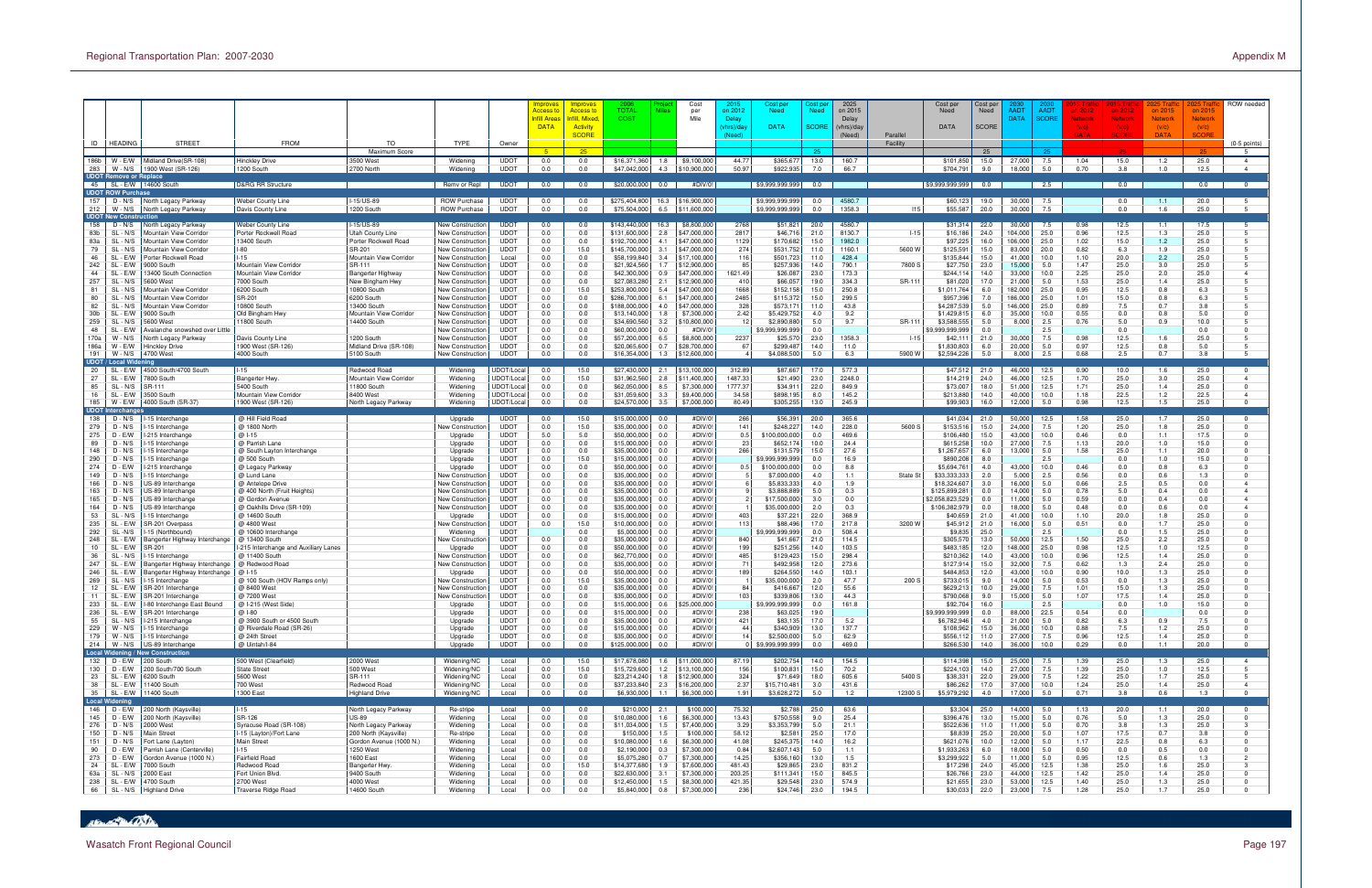|                   | ID   HEADING                              | <b>STREET</b>                                                       | <b>FROM</b>                                           | <b>TO</b>                                | <b>TYPE</b>                                        | Owner                           | <b>Improves</b><br><mark>Access to</mark><br><b>Infill Areas</b><br><b>DATA</b> | Improves<br><mark>Access to</mark><br>fill. Mixed<br><b>Activity</b><br><b>SCORE</b> | <b>TOTAL</b><br>COST           | Cost<br>Miles<br>per<br>Mile               | on 2012<br>Delay<br>vhrs)/da<br>Need) | Cost peı<br><b>Need</b><br><b>DATA</b> | Need<br><b>SCORE</b> | 2025<br>on 2015<br>Delay<br>(vhrs)/day<br>(Need) | Parallel<br>Facility | Cost per<br>Need<br><b>DATA</b> | Cost pe<br>Need<br><b>SCORE</b> | AADT<br><b>DATA</b> | <b>AADT</b><br><b>SCORE</b> | on 2012<br><b>Network</b><br>(V/C)<br>DATA | on 2012<br>Network<br>(V/C)<br><b>SCORE</b> | on 2015<br><b>Network</b><br>(V/C)<br><b>DATA</b> | on 2015<br><b>Network</b><br>(V/C)<br><b>SCORE</b> | ROW needed<br>$(0-5$ points)           |
|-------------------|-------------------------------------------|---------------------------------------------------------------------|-------------------------------------------------------|------------------------------------------|----------------------------------------------------|---------------------------------|---------------------------------------------------------------------------------|--------------------------------------------------------------------------------------|--------------------------------|--------------------------------------------|---------------------------------------|----------------------------------------|----------------------|--------------------------------------------------|----------------------|---------------------------------|---------------------------------|---------------------|-----------------------------|--------------------------------------------|---------------------------------------------|---------------------------------------------------|----------------------------------------------------|----------------------------------------|
| 186b<br>283       | W - E/W<br>W - N/S                        | Midland Drive(SR-108<br>1900 West (SR-126)                          | Hinckley Drive<br>1200 South                          | Maximum Score<br>3500 West<br>2700 North | Widening<br>Widening                               | <b>UDOT</b><br><b>UDOT</b>      | 0.0<br>0.0                                                                      | 25<br>0.0<br>0.0                                                                     | \$16,371,360<br>\$47,042,000   | 1.8<br>\$9,100,000<br>4.3<br>\$10,900,000  | 44.77<br>50.97                        | \$365,677<br>\$922,935                 | 25<br>13.0<br>7.0    | 160.7<br>66.7                                    |                      | \$101,850<br>\$704,79           | 25<br>15.0<br>9.0               | 27,000<br>18,000    | 25<br>7.5<br>5.0            | 1.04<br>0.70                               | 15.0<br>3.8                                 | 1.2<br>1.0                                        | 25.0<br>12.5                                       | -5<br>$\overline{4}$<br>$\overline{4}$ |
|                   | <b>UDOT Remove or Replace</b>             | 45   SL - E/W   14600 South                                         | <b>D&amp;RG RR Structure</b>                          |                                          | Remv or Repl                                       | <b>UDOT</b>                     | 0.0                                                                             | 0.0                                                                                  | \$20,000,000                   | 0.0<br>#DIV/0!                             |                                       | \$9,999,999,999                        | 0.0                  |                                                  |                      | \$9,999,999,999                 | 0.0                             |                     | 2.5                         |                                            | 0.0                                         |                                                   | 0.0                                                | $\overline{0}$                         |
| 157               | <b>UDOT ROW Purchase</b>                  | D - N/S North Legacy Parkway                                        | Weber County Line                                     | -15/US-89                                | <b>ROW Purchase</b>                                | <b>UDOT</b>                     | 0.0                                                                             | 0.0                                                                                  | \$275,404,800                  | \$16,900,000<br>16.3                       |                                       | \$9,999,999,999                        | 0.0                  | 4580.7                                           |                      | \$60,123                        | 19.0                            | 30,000              | 7.5                         |                                            | 0.0                                         | $-1.1$                                            | 20.0                                               |                                        |
| 212               | W - N/S<br><b>UDOT New Construction</b>   | North Legacy Parkway                                                | Davis County Line                                     | 1200 South                               | <b>ROW Purchase</b>                                | <b>UDOT</b>                     | 0.0                                                                             | 0.0                                                                                  | \$75,504,000                   | 6.5<br>\$11,600,000                        |                                       | \$9,999,999,999                        | 0.0                  | 1358.3                                           | 115                  | \$55,587                        | 20.0                            | 30,000              | 7.5                         |                                            | 0.0                                         | 1.6                                               | 25.0                                               |                                        |
| 158<br>83b        | D - N/S<br>SL - N/S                       | North Legacy Parkway<br>Mountain View Corridor                      | Weber County Line<br>Porter Rockwell Road             | I-15/US-89<br>Utah County Line           | New Construction<br>New Constructior               | <b>UDOT</b><br><b>UDOT</b>      | 0.0<br>0.0                                                                      | 0.0<br>0.0                                                                           | \$143,440,000<br>\$131,600,000 | \$8,800,000<br>16.3<br>2.8<br>\$47,000,000 | 2768<br>2817                          | \$51,821<br>\$46,716                   | 20.0<br>21.0         | 4580.7<br>8130.7                                 | $1 - 15$             | \$31,314<br>\$16,186            | 22.0<br>24.0                    | 30,000<br>104,000   | 7.5<br>25.0                 | 0.98<br>0.96                               | 12.5<br>12.5                                | 1.1<br>1.3                                        | 17.5<br>25.0                                       | 5                                      |
| 83a               | SL - N/S                                  | Mountain View Corridor                                              | 13400 South                                           | Porter Rockwell Road                     | New Constructior                                   | <b>UDOT</b>                     | 0.0                                                                             | 0.0                                                                                  | \$192,700,000                  | 4.1<br>\$47,000,000                        | 1129                                  | \$170,682                              | 15.0                 | 1982.0                                           |                      | \$97,225                        | 16.0                            | 106,000             | 25.0                        | 1.02                                       | 15.0                                        | 1.2                                               | 25.0                                               | 5                                      |
| 79<br>46          | SL - N/S<br>SL - E/W                      | Mountain View Corridor<br>Porter Rockwell Road                      | -80<br>$-15$                                          | SR-201<br>Mountain View Corridor         | <b>New Construction</b><br>New Constructior        | <b>UDOT</b><br>Local            | 0.0<br>0.0                                                                      | 15.0<br>0.0                                                                          | \$145,700,000<br>\$58,199,840  | 3.1<br>\$47,000,000<br>3.4<br>\$17,100,000 | 274<br>116                            | \$531,752<br>\$501,723                 | 11.0<br>11.0         | 1160.1<br>428.4                                  | 5600 W               | \$125,59<br>\$135,844           | 15.0<br>15.0                    | 83,000<br>41,000    | 20.0<br>10.0                | 0.82<br>1.10                               | 6.3<br>20.0                                 | 1.9<br>2.2                                        | 25.0<br>25.0                                       | 5<br>5                                 |
| 242               | SL - E/W                                  | 9000 South                                                          | Mountain View Corridor                                | SR-111                                   | <b>New Construction</b>                            | <b>UDOT</b>                     | 0.0                                                                             | 0.0                                                                                  | \$21,924,560                   | 1.7<br>\$12,900,000                        | 85                                    | \$257,936                              | 14.0                 | 790.1                                            | 7800 S               | \$27,750                        | 23.0                            | 15,000              | 5.0                         | 1.47                                       | 25.0                                        | 3.0                                               | 25.0                                               |                                        |
| 44<br>257         | SL<br>SL-<br>· N/S                        | 13400 South Connectior<br>5600 West                                 | <b>Mountain View Corridor</b><br>7000 South           | Bangerter Highway<br>New Bingham Hwy     | New Constructior<br>New Construction               | <b>UDOT</b><br><b>UDOT</b>      | 0.0<br>0.0                                                                      | 0.0<br>0.0                                                                           | \$42,300,000<br>\$27,083,280   | 0.9<br>\$47,000,000<br>2.1<br>\$12,900,000 | 621.49<br>410                         | \$26,087<br>\$66,057                   | 23.0<br>19.0         | 173.3<br>334.3                                   | SR-111               | \$244,114<br>\$81,020           | 14.0<br>17.0                    | 33,000<br>21,000    | 10.0<br>5.0                 | 2.25<br>1.53                               | 25.0<br>25.0                                | 2.0<br>1.4                                        | 25.0<br>25.0                                       | $\overline{4}$                         |
| 81                | SL - N/S                                  | Mountain View Corridor                                              | 6200 South                                            | 10800 South                              | <b>New Construction</b>                            | <b>UDOT</b>                     | 0.0                                                                             | 15.0                                                                                 | \$253,800,000                  | \$47,000,000<br>5.4                        | 1668                                  | \$152,158                              | 15.0                 | 250.8                                            |                      | \$1,011,764                     | 6.0                             | 182,000             | 25.0                        | 0.95                                       | 12.5                                        | 0.8                                               | 6.3                                                |                                        |
| 80<br>82          | SL - N/S<br>SL - N/S                      | <b>Mountain View Corridor</b><br>Mountain View Corridor             | SR-201<br>10800 South                                 | 6200 South<br>13400 South                | <b>New Construction</b><br><b>New Construction</b> | <b>UDOT</b><br><b>UDOT</b>      | 0.0<br>0.0                                                                      | 0.0<br>0.0                                                                           | \$286,700,000<br>\$188,000,000 | 6.1<br>\$47,000,000<br>4.0<br>\$47,000,000 | 2485<br>328                           | \$115,372<br>\$573,17                  | 15.0<br>11.0         | 299.5<br>43.8                                    |                      | \$957,396<br>\$4,287,539        | 7.0<br>5.0                      | 186,000<br>146,000  | 25.0<br>25.0                | 1.01<br>0.89                               | 15.0<br>7.5                                 | 0.8<br>0.7                                        | 6.3<br>3.8                                         |                                        |
| 30 <sub>b</sub>   | SL - E/W                                  | 9000 South                                                          | Old Bingham Hwy                                       | Mountain View Corridor                   | <b>New Construction</b>                            | <b>UDOT</b>                     | 0.0                                                                             | 0.0                                                                                  | \$13,140,000                   | 1.8<br>\$7,300,000                         | 2.42                                  | \$5,429,752                            | 4.0                  | 9.2                                              |                      | \$1,429,815                     | 6.0                             | 35,000              | 10.0                        | 0.55                                       | 0.0                                         | 0.8                                               | 5.0                                                |                                        |
| 259<br>48         | SL - N/S<br>SL - E/W                      | 5600 West<br>Avalanche snowshed over Little                         | 1800 South                                            | 14400 South                              | New Construction<br>New Construction               | <b>UDOT</b><br><b>UDOT</b>      | 0.0<br>0.0                                                                      | 0.0<br>0.0                                                                           | \$34,690,560<br>\$60,000,000   | 3.2<br>\$10,800,000<br>#DIV/0<br>0.0       | 12                                    | \$2,890,880<br>\$9,999,999,999         | 5.0<br>0.0           | 9.7                                              | SR-111               | \$3,588,555<br>\$9,999,999,999  | 5.0<br>0.0                      | 8,000               | 2.5<br>2.5                  | 0.76                                       | 5.0<br>0.0                                  | 0.9                                               | 10.0<br>0.0                                        |                                        |
| 170a              | $W - N/S$                                 | North Legacy Parkway                                                | Davis County Line                                     | 1200 South                               | New Construction                                   | <b>UDOT</b>                     | 0.0                                                                             | 0.0                                                                                  | \$57,200,000                   | 6.5<br>\$8,800,000                         | 2237                                  | \$25,570                               | 23.0                 | 1358.3                                           | $1 - 15$             | \$42,11                         | 21.0                            | 30,000              | 7.5                         | 0.98                                       | 12.5                                        | 1.6                                               | 25.0                                               |                                        |
| 186a<br>191       | W - E/W                                   | <b>Hinckley Drive</b>                                               | 1900 West (SR-126<br>4000 South                       | Midland Drive (SR-108)                   | New Construction                                   | <b>UDOT</b><br><b>UDOT</b>      | 0.0<br>0.0                                                                      | 0.0<br>0.0                                                                           | \$20,065,600                   | 0.7<br>\$28,700,000<br>1.3                 | 67                                    | \$299,487                              | 14.0<br>5.0          | 11.0<br>6.3                                      | 5900 W               | \$1,830,803                     | 6.0<br>5.0                      | 20,000              | 5.0<br>2.5                  | 0.97<br>0.68                               | 12.5<br>2.5                                 | 0.8<br>0.7                                        | 5.0<br>3.8                                         |                                        |
|                   | $W - N/S$<br><b>UDOT / Local Widenin</b>  | 4700 West                                                           |                                                       | 5100 South                               | New Construction                                   |                                 |                                                                                 |                                                                                      | \$16,354,000                   | \$12,600,000                               |                                       | \$4,088,500                            |                      |                                                  |                      | \$2,594,226                     |                                 | 8.000               |                             |                                            |                                             |                                                   |                                                    |                                        |
| 20<br>27          | SL - E/W                                  | 4500 South/4700 South                                               | l-15                                                  | Redwood Road                             | Widening                                           | JDOT/Local                      | 0.0                                                                             | 15.0                                                                                 | \$27,430,000<br>\$31,962,560   | 2.1<br>\$13,100,000                        | 312.89<br>1487.33                     | \$87,667                               | 17.0                 | 577.3                                            |                      | \$47,512                        | 21.0                            | 46,000              | 12.5                        | 0.90                                       | 10.0                                        | 1.6                                               | 25.0                                               | $\overline{a}$                         |
| 85                | SL - E/W<br>SL - N/S                      | 7800 South<br>SR-111                                                | <b>Bangerter Hwy</b><br>5400 South                    | Mountain View Corridor<br>11800 South    | Widening<br>Widening                               | JDOT/Loca<br>JDOT/Local         | 0.0<br>0.0                                                                      | 15.0<br>0.0                                                                          | \$62,050,000                   | 2.8<br>\$11,400,000<br>8.5<br>\$7,300,000  | 1777.37                               | \$21,490<br>\$34,91                    | 23.0<br>22.0         | 2248.0<br>849.9                                  |                      | \$14,21<br>\$73,007             | 24.0<br>18.0                    | 46,000<br>51,000    | 12.5<br>12.5                | 1.70<br>1.71                               | 25.0<br>25.0                                | 3.0<br>1.4                                        | 25.0<br>25.0                                       | $\Omega$                               |
| 16                | SL - E/W                                  | 3500 South                                                          | Mountain View Corrido                                 | 8400 West                                | Widening                                           | JDOT/Local                      | 0.0                                                                             | 0.0                                                                                  | \$31,059,600                   | 3.3<br>\$9,400,000                         | 34.58                                 | \$898,195                              | 8.0                  | 145.2                                            |                      | \$213,880                       | 14.0                            | 40,000              | 10.0                        | 1.18                                       | 22.5                                        | 1.2                                               | 22.5                                               | $\overline{a}$                         |
|                   | 185   W - E/W<br><b>UDOT Interchange:</b> | 4000 South (SR-37)                                                  | 1900 West (SR-126                                     | North Legacy Parkway                     | Widening                                           | JDOT/Loca                       | 0.0                                                                             | 0.0                                                                                  | \$24,570,000                   | 3.5<br>\$7,000,000                         | 80.49                                 | \$305,255                              | 13.0                 | 245.9                                            |                      | \$99,903                        | 16.0                            | 12,000              | 5.0                         | 0.98                                       | 12.5                                        | 1.5                                               | 25.0                                               | $\Omega$                               |
| 138               | $D - N/S$                                 | I-15 Interchange                                                    | @ Hill Field Road                                     |                                          | Upgrade                                            | <b>UDOT</b>                     | 0.0                                                                             | 15.0                                                                                 | \$15,000,000                   | 0.0<br>#DIV/0                              | 266                                   | \$56,391                               | 20.0                 | 365.6                                            |                      | \$41,034                        | 21.0                            | 50,000              | 12.5                        | 1.58                                       | 25.0                                        | 1.7                                               | 25.0                                               |                                        |
| 279<br>275        | $D - N/S$<br>D - E/W                      | 15 Interchange<br>-215 Interchange                                  | @ 1800 North<br>@ 1-15                                |                                          | <b>Jew Constructio</b><br>Upgrade                  | <b>UDOT</b><br><b>UDOT</b>      | 0.0<br>5.0                                                                      | 15.0<br>5.0                                                                          | \$35,000,000<br>\$50,000,000   | 0.0<br>#DIV/0<br>0.0<br>#DIV/0             | 141<br>0.5                            | \$248,227<br>\$100,000,000             | 14.0<br>0.0          | 228.0<br>469.6                                   | 5600 S               | \$153,516<br>\$106,480          | 15.0<br>15.0                    | 24,000<br>43,000    | 7.5<br>10.0                 | 1.20<br>0.46                               | 25.0<br>0.0                                 | 1.8<br>1.1                                        | 25.0<br>17.5                                       | $\Omega$                               |
| 89                | $D - N/S$                                 | 15 Interchange                                                      | @ Parrish Lane                                        |                                          | Upgrade                                            | <b>UDOT</b>                     | 0.0                                                                             | 0.0                                                                                  | \$15,000,000                   | #DIV/0<br>0.0                              | 23                                    | \$652,174                              | 10.0                 | 24.4                                             |                      | \$615,258                       | 10.0                            | 27,000              | 7.5                         | 1.13                                       | 20.0                                        | 1.0                                               | 15.0                                               |                                        |
| 148<br>290        | $D - N/S$<br>$D - N/S$                    | 15 Interchange                                                      | @ South Layton Interchange                            |                                          | Upgrade                                            | <b>UDOT</b><br><b>UDOT</b>      | 0.0<br>0.0                                                                      | 0.0<br>15.0                                                                          | \$35,000,000                   | 0.0<br>#DIV/0<br>0.0<br>#DIV/0             | 266                                   | \$131,579                              | 15.0                 | 27.6<br>16.9                                     |                      | \$1,267,657                     | 6.0                             | 13,000              | 5.0                         | 1.58                                       | 25.0                                        | 1.1<br>1.0                                        | 20.0<br>15.0                                       |                                        |
| 274               | D - E/W                                   | -15 Interchange<br>-215 Interchange                                 | @ 500 South<br>@ Legacy Parkway                       |                                          | Upgrade<br>Upgrade                                 | <b>UDOT</b>                     | 0.0                                                                             | 0.0                                                                                  | \$15,000,000<br>\$50,000,000   | 0.0<br>#DIV/0                              | 0.5                                   | \$9.999.999.999<br>\$100,000,000       | 0.0<br>0.0           | 8.8                                              |                      | \$890,208<br>\$5,694,76         | 8.0<br>4.0                      | 43,000              | 2.5<br>10.0                 | 0.46                                       | 0.0<br>0.0                                  | 0.8                                               | 6.3                                                |                                        |
| 149               | $D - N/S$                                 | 15 Interchange                                                      | @ Lund Lane                                           |                                          | Vew Constructio                                    | <b>UDOT</b>                     | 0.0                                                                             | 0.0                                                                                  | \$35,000,000                   | 0.0<br>#DIV/0                              |                                       | \$7,000,000                            | 4.0                  | 1.1                                              | State St             | \$33,333,333                    | 2.0                             | 5,000               | 2.5                         | 0.56                                       | 0.0                                         | 0.6                                               | 1.3                                                |                                        |
| 166<br>163        | $D - N/S$<br>$D - N/S$                    | US-89 Interchange<br>US-89 Interchange                              | @ Antelope Drive<br>@ 400 North (Fruit Heights        |                                          | New Constructior<br><b>New Construction</b>        | <b>UDOT</b><br><b>UDOT</b>      | 0.0<br>0.0                                                                      | 0.0<br>0.0                                                                           | \$35,000,000<br>\$35,000,000   | 0.0<br>#DIV/0<br>0.0<br>#DIV/0             |                                       | \$5,833,333<br>\$3,888,889             | 4.0<br>5.0           | 1.9<br>0.3                                       |                      | \$18,324,607<br>\$125,899,28    | 3.0<br>0.0                      | 16,000<br>14,000    | 5.0<br>5.0                  | 0.66<br>0.78                               | 2.5<br>5.0                                  | 0.5<br>0.4                                        | 0.0<br>0.0                                         | $\overline{a}$<br>$\overline{a}$       |
| 165               | $D - N/S$                                 | US-89 Interchange                                                   | @ Gordon Avenue                                       |                                          | New Constructior                                   | <b>UDOT</b>                     | 0.0                                                                             | 0.0                                                                                  | \$35,000,000                   | 0.0<br>#DIV/0                              |                                       | \$17,500,000                           | 3.0                  | 0.0                                              |                      | \$2,058,823,529                 | 0.0                             | 11,000              | 5.0                         | 0.59                                       | 0.0                                         | 0.4                                               | 0.0                                                | $\overline{4}$                         |
| 164<br>53         | D - N/S<br>SL - N/S                       | US-89 Interchang<br>-15 Interchange                                 | @ Oakhills Drive (SR-109<br>@ 14600 South             |                                          | New Constructior<br>Upgrade                        | <b>UDOT</b><br><b>UDOT</b>      | 0.0<br>0.0                                                                      | 0.0<br>0.0                                                                           | \$35,000,000<br>\$15,000,000   | 0.0<br>#DIV/0<br>0.0<br>#DIV/0             | 403                                   | \$35,000,000<br>\$37,221               | 2.0<br>22.0          | 0.3<br>368.9                                     |                      | \$106,382,979<br>\$40,659       | 0.0<br>21.0                     | 18,000<br>41,000    | 5.0<br>10.0                 | 0.48<br>1.10                               | 0.0<br>20.0                                 | 0.6<br>1.8                                        | 0.0<br>25.0                                        | $\overline{4}$                         |
| 235               | SL - E/V                                  | <b>SR-201 Overpass</b>                                              | @ 4800 West                                           |                                          | Vew Constructio                                    | <b>UDOT</b>                     | 0.0                                                                             | 15.0                                                                                 | \$10,000,000                   | 0.0<br>#DIV/0                              | 113                                   | \$88,496                               | 17.0                 | 217.8                                            | 3200 W               | \$45,912                        | 21.0                            | 16,000              | 5.0                         | 0.51                                       | 0.0                                         | 1.7                                               | 25.0                                               |                                        |
| 292<br>248        | SL-N/S                                    | I-15 (Northbound)                                                   | @ 10600 Interchange                                   |                                          | Widening                                           | <b>UDOT</b><br><b>UDOT</b>      |                                                                                 | 0.0<br>0.0                                                                           | \$5,000,000<br>\$35.000.000    | 0.0<br>#DIV/0<br>0.0<br>#DIV/0             | 840                                   | \$9,999,999,999                        | 0.0<br>21.0          | 508.4<br>114.5                                   |                      | \$9,835<br>\$305,570            | 25.0<br>13.0                    |                     | 2.5<br>12.5                 |                                            | 0.0<br>25.0                                 | 1.5<br>2.2                                        | 25.0<br>25.0                                       |                                        |
| 10                | SL - E/W<br>SL - E/W                      | Bangerter Highway Interchange<br>SR-20                              | @ 13400 South<br>-215 Interchange and Auxiliary Lanes |                                          | <b>New Constructio</b><br>Upgrade                  | <b>UDOT</b>                     | 0.0<br>0.0                                                                      | 0.0                                                                                  | \$50,000,000                   | 0.0<br>#DIV/0                              | 199                                   | \$41,667<br>\$251,256                  | 14.0                 | 103.5                                            |                      | \$483,185                       | 12.0                            | 50,000<br>148,000   | 25.0                        | 1.50<br>0.98                               | 12.5                                        | 1.0                                               | 12.5                                               |                                        |
| 36                | $SL - N/S$                                | 15 Interchange                                                      | @ 11400 South                                         |                                          | Vew Constructio                                    | <b>UDOT</b>                     | 0.0                                                                             | 0.0                                                                                  | \$62,770,000                   | 0.0<br>#DIV/0                              | 485                                   | \$129,423                              | 15.0                 | 298.4                                            |                      | \$210,362                       | 14.0                            | 43,000              | 10.0                        | 0.96                                       | 12.5                                        | 1.4                                               | 25.0                                               |                                        |
| 247<br>246        | SL<br>SL - E/W                            | Bangerter Highway Interchange<br>Bangerter Highway Interchange      | @ Redwood Road<br>@ 1-15                              |                                          | New Constructioı<br>Upgrade                        | <b>UDOT</b><br><b>UDOT</b>      | 0.0<br>0.0                                                                      | 0.0<br>0.0                                                                           | \$35,000,000<br>\$50,000,000   | #DIV/0<br>0.0<br>#DIV/0<br>0.0             | 7 <sup>1</sup><br>189                 | \$492,958<br>\$264,550                 | 12.0<br>14.0         | 273.6<br>103.1                                   |                      | \$127,914<br>\$484,853          | 15.0<br>12.0                    | 32,000<br>43,000    | 7.5<br>10.0                 | 0.62<br>0.90                               | 1.3<br>10.0                                 | 2.4<br>1.3                                        | 25.0<br>25.0                                       |                                        |
| 269               | SL - N/S                                  | I-15 Interchange                                                    | @ 100 South (HOV Ramps only)                          |                                          | New Constructior                                   | <b>UDOT</b>                     | 0.0                                                                             | 15.0                                                                                 | \$35,000,000                   | 0.0<br>#DIV/0                              |                                       | \$35,000,000                           | 2.0                  | 47.7                                             | 200 S                | \$733,01                        | 9.0                             | 14,000              | 5.0                         | 0.53                                       | 0.0                                         | 1.3                                               | 25.0                                               |                                        |
| $\frac{12}{12}$ . | SL - E/W                                  | SR-201 Interchange<br>11   SL - E/W   SR-201 Interchange            | @ 8400 West<br>@ 7200 West                            |                                          | New Construction<br>New Constructioı               | <b>UDOT</b><br>UDO <sub>1</sub> | 0.0<br>0.0                                                                      | 0.0<br>0.0                                                                           | \$35,000,000<br>\$35,000,000   | #DIV/0<br>0.0<br>0.0<br>#DIV/0             | 84<br>103                             | \$416,667<br>\$339,806                 | 12.0<br>13.0         | 55.6<br>44.3                                     |                      | \$629,21<br>\$790,068           | 10.0<br>9.0                     | 29,000<br>15,000    | 7.5<br>5.0                  | 1.01<br>1.07                               | 15.0<br>17.5                                | 1.3<br>1.4                                        | 25.0<br>25.0                                       |                                        |
|                   |                                           | 233   SL - E/W   I-80 Interchange East Bound                        | @ I-215 (West Side)                                   |                                          | Upgrade                                            | <b>UDOT</b>                     | 0.0                                                                             | 0.0                                                                                  | \$15,000,000                   | 0.6<br>\$25,000,000                        |                                       | \$9,999,999,999                        | 0.0                  | 161.8                                            |                      | \$92,704                        | 16.0                            |                     | 2.5                         |                                            | 0.0                                         | 1.0                                               | 15.0                                               |                                        |
| 55                |                                           | 236   SL - E/W   SR-201 Interchange<br>SL - N/S   I-215 Interchange | @ I-80<br>@ 3900 South or 4500 South                  |                                          | Upgrade<br>Upgrade                                 | <b>UDOT</b><br><b>UDOT</b>      | 0.0<br>0.0                                                                      | 0.0<br>0.0                                                                           | \$15,000,000<br>\$35,000,000   | 0.0<br>#DIV/0!<br>#DIV/0!<br>0.0           | 238<br>421                            | \$63,025<br>\$83,135                   | 19.0<br>17.0         | 5.2                                              |                      | \$9,999,999,999<br>\$6,782,946  | 0.0<br>4.0                      | 88,000<br>21,000    | 22.5<br>5.0                 | 0.54<br>0.82                               | 0.0<br>6.3                                  | 0.9                                               | 0.0<br>7.5                                         |                                        |
|                   | 229   W - N/S                             | I-15 Interchange                                                    | @ Riverdale Road (SR-26)                              |                                          | Upgrade                                            | <b>UDOT</b>                     | 0.0                                                                             | 0.0                                                                                  | \$15,000,000                   | 0.0<br>#DIV/0!                             | 44                                    | \$340,909                              | 13.0                 | 137.7                                            |                      | \$108,962                       | 15.0                            | 36,000              | 10.0                        | 0.88                                       | 7.5                                         | 1.2                                               | 25.0                                               |                                        |
|                   |                                           | 179   W - N/S   I-15 Interchange                                    | @ 24th Street<br>@ Uintah/I-84                        |                                          | Upgrade<br>Upgrade                                 | <b>UDOT</b><br><b>UDOT</b>      | 0.0<br>0.0                                                                      | 0.0<br>0.0                                                                           | \$35,000,000<br>\$125,000,000  | 0.0<br>#DIV/0!<br>0.0<br>#DIV/0!           | 14                                    | \$2,500,000<br>0 \$9,999,999,999       | 5.0<br>0.0           | 62.9<br>469.0                                    |                      | \$556,112<br>\$266,530          | 11.0<br>14.0                    | 27,000<br>36,000    | 7.5<br>10.0                 | 0.96<br>0.29                               | 12.5<br>0.0                                 | 1.4<br>1.1                                        | 25.0<br>20.0                                       | $\Omega$<br>$\Omega$                   |
|                   |                                           | 214 W - N/S US-89 Interchange<br>Local Widening / New Construction  |                                                       |                                          |                                                    |                                 |                                                                                 |                                                                                      |                                |                                            |                                       |                                        |                      |                                                  |                      |                                 |                                 |                     |                             |                                            |                                             |                                                   |                                                    |                                        |
|                   | 132 D - E/W 200 South<br>130 D - E/W      | 200 South/700 South                                                 | 500 West (Clearfield)<br><b>State Street</b>          | 2000 West<br>500 West                    | Widening/NC<br>Widening/NC                         | Local<br>Local                  | 0.0<br>0.0                                                                      | 15.0<br>15.0                                                                         | \$17,678,080<br>\$15,729,600   | 1.6<br>\$11,000,000<br>1.2<br>\$13,100,000 | 87.19<br>156                          | \$202,754<br>\$100,831                 | 14.0<br>15.0         | 154.5<br>70.2                                    |                      | \$114,398<br>\$224,103          | 15.0<br>14.0                    | 25,000<br>27,000    | 7.5<br>7.5                  | 1.39<br>1.39                               | 25.0<br>25.0                                | 1.3<br>1.0                                        | 25.0<br>12.5                                       | $\overline{4}$                         |
|                   | 23   SL - E/W                             | 6200 South                                                          | 5600 West                                             | SR-111                                   | Widening/NC                                        | Local                           | 0.0                                                                             | 0.0                                                                                  | \$23,214,240                   | 1.8<br>\$12,900,000                        | 324                                   | \$71,649                               | 18.0                 | 605.6                                            | 5400 S               | \$38,331                        | 22.0                            | 29,000              | 7.5                         | 1.22                                       | 25.0                                        | 1.7                                               | 25.0                                               | 5                                      |
|                   | 38   SL - E/W                             | 11400 South                                                         | 700 West                                              | Redwood Road                             | Widening/NC                                        | Local                           | 0.0<br>0.0                                                                      | 0.0                                                                                  | \$37,233,840                   | \$16,200,000<br>2.3                        | 2.37                                  | \$15,710,481                           | 3.0<br>5.0           | 431.6<br>1.2                                     |                      | \$86,262<br>\$5,979,292         | 17.0                            | 37,000              | 10.0                        | 1.24<br>0.71                               | 25.0<br>3.8                                 | 1.4                                               | 25.0<br>1.3                                        | $\overline{4}$<br>$\Omega$             |
|                   | 35 SL - E/W<br>Local Widening             | 11400 South                                                         | 1300 East                                             | <b>Highland Drive</b>                    | Widening/NC                                        | Local                           |                                                                                 | 0.0                                                                                  | \$6,930,000                    | 1.1<br>\$6,300,000                         | 1.91                                  | \$3,628,272                            |                      |                                                  | 12300 S              |                                 | 4.0                             | 17,000              | 5.0                         |                                            |                                             | 0.6                                               |                                                    |                                        |
|                   | $146$ D - E/W                             | 200 North (Kaysville)                                               | $1 - 15$                                              | North Legacy Parkway                     | Re-stripe                                          | Local                           | 0.0                                                                             | 0.0                                                                                  | \$210,000                      | \$100,000<br>2.1                           | 75.32                                 | \$2,788                                | 25.0                 | 63.6                                             |                      | \$3,304                         | 25.0                            | 14,000              | 5.0                         | 1.13                                       | 20.0                                        | 1.1                                               | 20.0                                               |                                        |
| 276               | 145 D - E/W<br>D - N/S                    | 200 North (Kaysville)<br>2000 West                                  | SR-126<br>Syracuse Road (SR-108)                      | US-89<br>North Legacy Parkway            | Widening<br>Widening                               | Local<br>Local                  | 0.0<br>0.0                                                                      | 0.0<br>0.0                                                                           | \$10,080,000<br>\$11,034,000   | 1.6<br>\$6,300,000<br>\$7,400,000<br>1.5   | 13.43<br>3.29                         | \$750,558<br>\$3,353,799               | 9.0<br>5.0           | 25.4<br>21.1                                     |                      | \$396,476<br>\$522,636          | 13.0<br>11.0                    | 15,000<br>11,000    | 5.0<br>5.0                  | 0.76<br>0.70                               | 5.0<br>3.8                                  | 1.3<br>1.3                                        | 25.0<br>25.0                                       | 3                                      |
| 150               | D - N/S                                   | <b>Main Street</b>                                                  | I-15 (Layton)/Fort Lane                               | 200 North (Kaysville)                    | Re-stripe                                          | Local                           | 0.0                                                                             | 0.0                                                                                  | \$150,000                      | 1.5<br>\$100,000                           | 58.12                                 | \$2,581                                | 25.0                 | 17.0                                             |                      | \$8,839                         | 25.0                            | 20,000              | 5.0                         | 1.07                                       | 17.5                                        | 0.7                                               | 3.8                                                | $\Omega$                               |
| 151<br>90         | D - N/S<br>D - E/W                        | Fort Lane (Layton)<br>Parrish Lane (Centerville)                    | Main Street<br>l-15                                   | Gordon Avenue (1000 N.)<br>1250 West     | Widening<br>Widening                               | Local<br>Local                  | 0.0<br>0.0                                                                      | 0.0<br>0.0                                                                           | \$10,080,000<br>\$2,190,000    | 1.6<br>\$6,300,000<br>0.3<br>\$7,300,000   | 41.08<br>0.84                         | \$245,375<br>\$2,607,143               | 14.0<br>5.0          | 16.2<br>1.1                                      |                      | \$621,076<br>\$1,933,263        | 10.0<br>6.0                     | 12,000<br>18,000    | 5.0<br>5.0                  | 1.17<br>0.50                               | 22.5<br>0.0                                 | 0.8<br>0.5                                        | 6.3<br>0.0                                         | $\Omega$                               |
| 273               | D - E/W                                   | Gordon Avenue (1000 N.)                                             | <b>Fairfield Road</b>                                 | 1600 East                                | Widening                                           | Local                           | 0.0                                                                             | 0.0                                                                                  | \$5,075,280                    | \$7,300,000<br>0.7                         | 14.25                                 | \$356,160                              | 13.0                 | 1.5                                              |                      | \$3,299,922                     | 5.0                             | 11,000              | 5.0                         | 0.95                                       | 12.5                                        | 0.6                                               | 1.3                                                | $\overline{2}$                         |
| 24                | SL - E/W<br>63a   SL - N/S   2000 East    | 7000 South                                                          | Redwood Road<br>Fort Union Blvd.                      | Bangerter Hwy.<br>9400 South             | Widening<br>Widening                               | Local<br>Local                  | 0.0<br>0.0                                                                      | 15.0<br>0.0                                                                          | \$14,377,680<br>\$22,630,000   | \$7,600,000<br>1.9<br>\$7,300,000<br>3.1   | 481.43<br>203.25                      | \$29,865<br>\$111,341                  | 23.0<br>15.0         | 831.2<br>845.5                                   |                      | \$17,298<br>\$26,766            | 24.0<br>23.0                    | 45,000<br>44,000    | 12.5<br>12.5                | 1.38<br>1.42                               | 25.0<br>25.0                                | 1.6<br>1.4                                        | 25.0<br>25.0                                       |                                        |
|                   | 238   SL - E/W   4700 South               |                                                                     | 2700 West                                             | 4000 West                                | Widening                                           | Local                           | 0.0                                                                             | 0.0                                                                                  | \$12,450,000                   | 1.5<br>\$8,300,000                         | 421.35                                | \$29,548                               | 23.0                 | 574.9                                            |                      | \$21,655                        | 23.0                            | 53,000              | 12.5                        | 1.40                                       | 25.0                                        | 1.3                                               | 25.0                                               |                                        |
|                   |                                           | 66 SL - N/S Highland Drive                                          | Traverse Ridge Road                                   | 14600 South                              | Widening                                           | Local                           | 0.0                                                                             | 0.0                                                                                  | \$5,840,000                    | 0.8<br>\$7,300,000                         | 236                                   | \$24,746                               | 23.0                 | 194.5                                            |                      | \$30,033                        | 22.0                            | 23,000              | 7.5                         | 1.28                                       | 25.0                                        | 1.7                                               | 25.0                                               |                                        |

Hampton Color

## Appendix M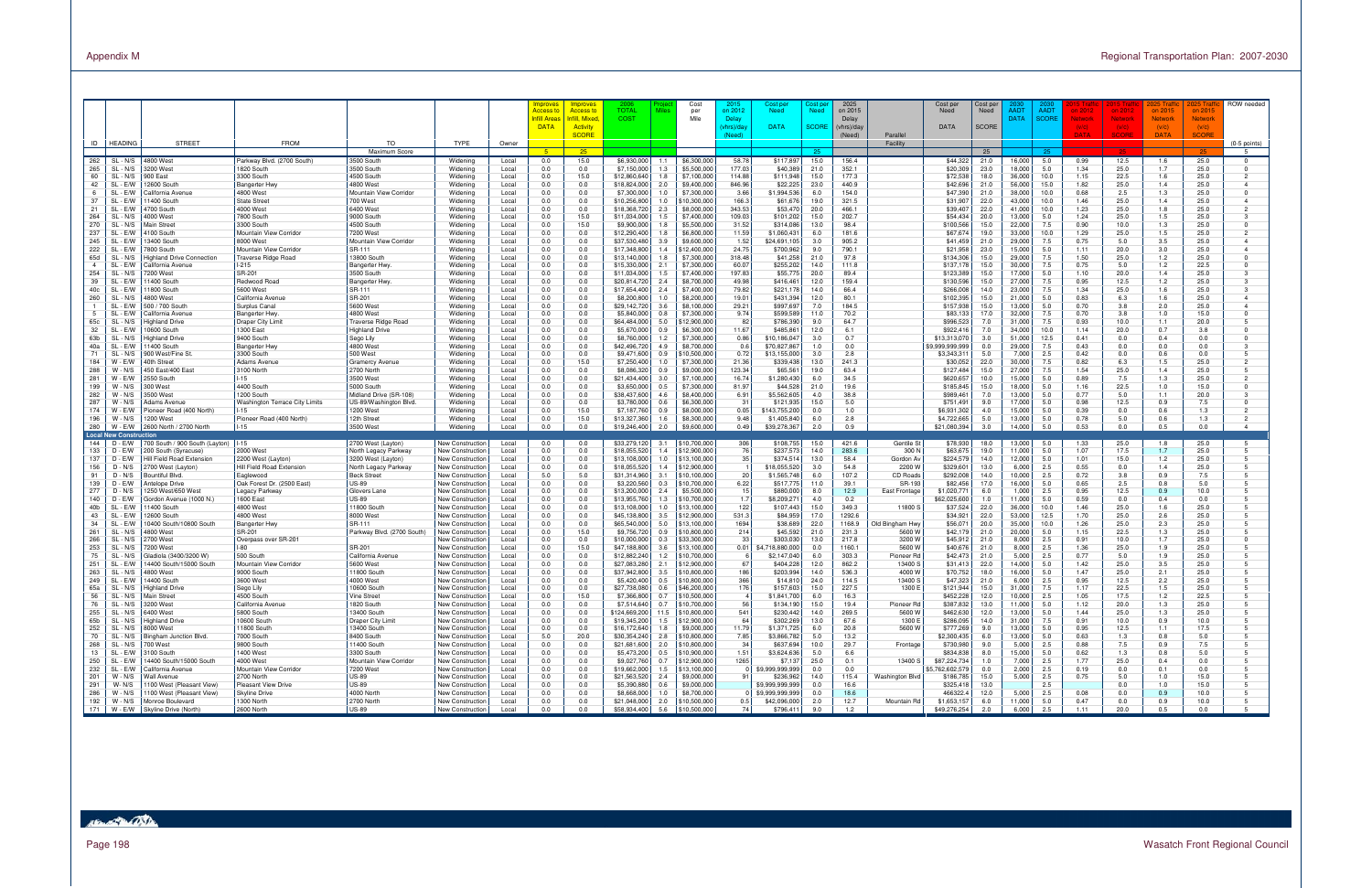|                       |                               |                                                                |                                            |                                            |                                      |                | mprove:                     | <b>Improves</b>                  | TOTAL                                | Cost<br><b>Miles</b>                                                 | on 2012            | Cost pe<br><b>Need</b>             | ost pe<br><b>Need</b> | 2025<br>on 2015      | Cost per                                     | Cost per<br>Need | AADT             | AAD <sub>1</sub> | i 2012       |                       |                           | 2025 Tra              | ROW needed           |
|-----------------------|-------------------------------|----------------------------------------------------------------|--------------------------------------------|--------------------------------------------|--------------------------------------|----------------|-----------------------------|----------------------------------|--------------------------------------|----------------------------------------------------------------------|--------------------|------------------------------------|-----------------------|----------------------|----------------------------------------------|------------------|------------------|------------------|--------------|-----------------------|---------------------------|-----------------------|----------------------|
|                       |                               |                                                                |                                            |                                            |                                      |                | <b>Access</b><br>nfill Area | <b>Access to</b><br>hfill, Mixed | <b>COST</b>                          | per<br>Mile                                                          | Delay              |                                    |                       | Delay                | Need                                         |                  | <b>DATA</b>      | <b>SCORE</b>     | letwori      | on 2012<br>Network    | on 2015<br><b>Network</b> | on $2015$<br>Network  |                      |
|                       |                               |                                                                |                                            |                                            |                                      |                | <b>DATA</b>                 | <b>Activity</b><br><b>SCORE</b>  |                                      |                                                                      | /hrs)/da<br>(Need) | <b>DATA</b>                        | <b>SCORE</b>          | (vhrs)/day<br>(Need) | <b>DATA</b><br>Parallel                      | <b>SCORE</b>     |                  |                  |              | (V/C)<br><b>SCORE</b> | (V/C)<br><b>DATA</b>      | (V/C)<br><b>SCORE</b> |                      |
| ID                    | <b>HEADING</b>                | <b>STREET</b>                                                  | <b>FROM</b>                                | TO                                         | TYPE                                 | Owner          |                             |                                  |                                      |                                                                      |                    |                                    |                       |                      | Facility                                     |                  |                  |                  |              |                       |                           |                       | $(0-5$ points)       |
| 262                   | SL - N/S                      | l800 West                                                      | Parkway Blvd. (2700 South)                 | Maximum Score<br>3500 South                | Widening                             | Local          | $5 -$<br>0.0                | $-25$<br>15.0                    | \$6,930,000                          | \$6,300,000<br>1.1                                                   | 58.78              | \$117,897                          | 15.0                  | 156.4                | \$44,322                                     | 25<br>21.0       | 16,000           | 25<br>5.0        | 0.99         | 12.5                  | 1.6                       | 25.0                  | -5<br>$^{\circ}$     |
| 265                   | SL<br>- N/S                   | 200 West                                                       | 1820 South                                 | 3500 South                                 | Widening                             | Local          | 0.0                         | 0.0                              | \$7,150,000                          | \$5,500,000<br>1.3                                                   | 177.03             | \$40,389                           | 21.0                  | 352.1                | \$20,309                                     | 23.0             | 18,000           | 5.0              | 1.34         | 25.0                  | 1.7                       | 25.0                  | $\Omega$             |
| 60                    | SL - N/S                      | 900 East                                                       | 3300 South                                 | 4500 South                                 | Widening                             | Local          | 0.0                         | 15.0                             | \$12,860,640                         | 1.8<br>\$7,100,000                                                   | 114.88             | \$111,948                          | 15.0                  | 177.3                | \$72,538                                     | 18.0             | 36,000           | 10.0             | 1.15         | 22.5                  | 1.6                       | 25.0                  | $\overline{2}$       |
| 42<br>6               | SL<br>· E/W<br>SL - E/V       | 2600 South<br>alifornia Avenue                                 | Bangerter Hw<br>4800 West                  | 4800 West<br>Mountain View Corridor        | Widening<br>Widening                 | Local<br>Local | 0.0<br>0.0                  | 0.0<br>0.0                       | \$18,824,000<br>\$7,300,000          | 2.0<br>\$9,400,000<br>\$7,300,000<br>1.0                             | 846.96<br>3.66     | \$22,225<br>\$1,994,536            | 23.0<br>6.0           | 440.9<br>154.0       | \$42,696<br>\$47,390                         | 21.0<br>21.0     | 56,000<br>38,000 | 15.0<br>10.0     | 1.82<br>0.68 | 25.0<br>2.5           | 1.4<br>1.3                | 25.0<br>25.0          | $\Omega$             |
| 37                    | SL - E/V                      | 400 South                                                      | <b>State Street</b>                        | 700 West                                   | Widening                             | Local          | 0.0                         | 0.0                              | \$10,256,800                         | \$10,300,000<br>1.0                                                  | 166.3              | \$61,676                           | 19.0                  | 321.5                | \$31,907                                     | 22.0             | 43,000           | 10.0             | 1.46         | 25.0                  | 1.4                       | 25.0                  | $\overline{a}$       |
| 21                    | SL<br>- E/V                   | 700 South                                                      | 4000 West                                  | 6400 West                                  | Widening                             | Local          | 0.0                         | 0.0                              | \$18,368,720                         | 2.3<br>\$8,000,000                                                   | 343.53             | \$53,47                            | 20.0                  | 466.1                | \$39,407                                     | 22.0             | 41,000           | 10.0             | 1.23         | 25.0                  | 1.8                       | 25.0                  |                      |
| 264                   | SL - N/S                      | 4000 West                                                      | 7800 South                                 | 9000 South                                 | Widening                             | Local          | 0.0                         | 15.0                             | \$11,034,000                         | 1.5<br>\$7,400,000                                                   | 109.03             | \$101,202                          | 15.0                  | 202.7                | \$54,434                                     | 20.0             | 13,000           | 5.0              | 1.24         | 25.0                  | 1.5                       | 25.0                  | 3                    |
| 270<br>237            | SL<br>N/S<br>SL               | ain Street<br>100 South                                        | 3300 South<br>Mountain View Corridor       | 4500 South<br>7200 West                    | Widening<br>Widening                 | Local<br>Local | 0.0<br>0.0                  | 15.0<br>0.0                      | \$9,900,000<br>\$12,290,400          | \$5,500,000<br>1.8<br>1.8<br>\$6,800,000                             | 31.52<br>11.59     | \$314,086<br>\$1,060,431           | 13.0<br>6.0           | 98.4<br>181.6        | \$100,566<br>\$67,674                        | 15.0<br>19.0     | 22,000<br>33,000 | 7.5<br>10.0      | 0.90<br>1.29 | 10.0<br>25.0          | 1.3<br>1.5                | 25.0<br>25.0          | $\Omega$             |
| 245                   | SL<br>- F/V                   | 3400 South                                                     | 8000 West                                  | Mountain View Corridor                     | Widening                             | Local          | 0.0                         | 0.0                              | \$37,530,480                         | 3.9<br>\$9,600,000                                                   | 1.52               | \$24,691,105                       | 3.0                   | 905.2                | \$41,459                                     | 21.0             | 29,000           | 7.5              | 0.75         | 5.0                   | 3.5                       | 25.0                  |                      |
| 222                   | SL.<br>- E/W                  | '800 South                                                     | Mountain View Corridor                     | SR-111                                     | Widening                             | Local          | 0.0                         | 0.0                              | \$17,348,800                         | 1.4<br>\$12,400,000                                                  | 24.75              | \$700,962                          | 9.0                   | 790.1                | \$21,958                                     | 23.0             | 15,000           | 5.0              | 1.11         | 20.0                  | 3.0                       | 25.0                  |                      |
| 65d<br>$\overline{4}$ | SL-<br>N/S                    | ighland Drive Connection                                       | <b>Traverse Ridge Road</b>                 | 13800 South                                | Widening                             | Local          | 0.0<br>0.0                  | 0.0                              | \$13,140,000                         | 1.8<br>\$7,300,000                                                   | 318.48             | \$41,258                           | 21.0                  | 97.8                 | \$134,306                                    | 15.0             | 29,000           | 7.5              | 1.50         | 25.0                  | 1.2                       | 25.0                  | $\Omega$<br>$\Omega$ |
| 254                   | SL<br>- E/W<br>$SL -$<br>N/S  | alifornia Avenue<br>200 West                                   | $1-215$<br>SR-201                          | Bangerter Hwy<br>3500 South                | Widening<br>Widening                 | Local<br>Local | 0.0                         | 0.0<br>0.0                       | \$15,330,000<br>\$11,034,000         | 2.1<br>\$7,300,000<br>\$7,400,000<br>1.5                             | 60.07<br>197.83    | \$255,202<br>\$55,775              | 14.0<br>20.0          | 111.8<br>89.4        | \$137,178<br>\$123,389                       | 15.0<br>15.0     | 30,000<br>17,000 | 7.5<br>5.0       | 0.75<br>1.10 | 5.0<br>20.0           | 1.2<br>1.4                | 22.5<br>25.0          |                      |
| 39                    | SL.<br>- E/V                  | 400 South                                                      | Redwood Road                               | <b>Bangerter Hwy</b>                       | Widening                             | Local          | 0.0                         | 0.0                              | \$20,814,720                         | \$8,700,000<br>2.4                                                   | 49.98              | \$416,461                          | 12.0                  | 159.4                | \$130,596                                    | 15.0             | 27,000           | 7.5              | 0.95         | 12.5                  | 1.2                       | 25.0                  | $\mathbf{B}$         |
| 40c                   | SL.<br>- E/V                  | 1800 South                                                     | 5600 West                                  | SR-111                                     | Widening                             | Local          | 0.0                         | 0.0                              | \$17,654,400                         | 2.4<br>\$7,400,000                                                   | 79.82              | \$221,178                          | 14.0                  | 66.4                 | \$266,008                                    | 14.0             | 23,000           | 7.5              | 1.34         | 25.0                  | 1.6                       | 25.0                  |                      |
| 260                   | SL - N/S<br>SL.<br>- E/V      | 800 West<br>500 / 700 South                                    | California Avenue<br>Surplus Canal         | SR-201<br>5600 West                        | Widening<br>Widening                 | Local<br>Local | 0.0<br>0.0                  | 0.0<br>0.0                       | \$8,200,800<br>\$29,142,720          | 1.0<br>\$8,200,000<br>3.6<br>\$8,100,000                             | 19.01<br>29.21     | \$431,394<br>\$997,697             | 12.0<br>7.0           | 80.1<br>184.5        | \$102,395<br>\$157,938                       | 15.0<br>15.0     | 21,000<br>13,000 | 5.0<br>5.0       | 0.83<br>0.70 | 6.3<br>3.8            | 1.6<br>2.0                | 25.0<br>25.0          | $\overline{4}$       |
|                       | SL.                           | alifornia Avenu                                                | Bangerter Hwy                              | 4800 West                                  | Widening                             | Local          | 0.0                         | 0.0                              | \$5,840,000                          | 0.8<br>\$7,300,000                                                   | 9.74               | \$599,589                          | 11.0                  | 70.2                 | \$83,133                                     | 17.0             | 32,000           | 7.5              | 0.70         | 3.8                   | 1.0                       | 15.0                  | $\Omega$             |
| 65c                   | SL<br>N/S                     | ghland Drive                                                   | Draper City Limit                          | Traverse Ridge Road                        | Widening                             | Local          | 0.0                         | 0.0                              | \$64,484,000                         | 5.0<br>\$12,900,000                                                  | 82                 | \$786,390                          | 9.0                   | 64.7                 | \$996,523                                    | 7.0              | 31,000           | 7.5              | 0.93         | 10.0                  | 1.1                       | 20.0                  |                      |
| 32                    | SL.<br>- E/V                  | 0600 South                                                     | 1300 East                                  | <b>Highland Drive</b>                      | Widening                             | Local          | 0.0                         | 0.0                              | \$5,670,000                          | 0.9<br>\$6,300,000                                                   | 11.67              | \$485,861                          | 12.0                  | 6.1<br>0.7           | \$922,416                                    | 7.0              | 34,000           | 10.0             | 1.14         | 20.0                  | 0.7                       | 3.8                   | $\Omega$             |
| 63b<br>40a            | $SL -$<br>N/S<br>-SL<br>- E/W | ighland Drive<br>1400 South                                    | 9400 South<br>Bangerter Hwy                | Sego Lily<br>4800 West                     | Widening<br>Widening                 | Local<br>Local | 0.0<br>0.0                  | 0.0<br>0.0                       | \$8,760,000<br>\$42,496,720          | 1.2<br>\$7,300,000<br>4.9<br>\$8,700,000                             | 0.86<br>0.6        | \$10,186,04<br>\$70,827,867        | 3.0<br>1.0            | 0.0                  | \$13,313,070<br>59.999.999.999               | 3.0<br>0.0       | 51,000<br>29,000 | 12.5<br>7.5      | 0.41<br>0.43 | 0.0<br>0.0            | 0.4<br>0.0                | 0.0<br>0.0            | $\Omega$             |
| 71                    | $SL -$                        | 900 West/Fine St                                               | 3300 South                                 | 500 West                                   | Widening                             | Local          | 0.0                         | 0.0                              | \$9,471,600                          | 0.9<br>\$10,500,000                                                  | 0.72               | \$13,155,000                       | 3.0                   | 2.8                  | \$3,343,311                                  | 5.0              | 7,000            | 2.5              | 0.42         | 0.0                   | 0.6                       | 0.0                   |                      |
| 184                   | W - E/W                       | 40th Street                                                    | Adams Avenue                               | <b>Gramercy Avenue</b>                     | Widening                             | Local          | 0.0                         | 15.0                             | \$7,250,400                          | \$7,300,000<br>1.0                                                   | 21.36              | \$339,438                          | 13.0                  | 241.3                | \$30,052                                     | 22.0             | 30,000           | 7.5              | 0.82         | 6.3                   | 1.5                       | 25.0                  |                      |
| 288<br>281            | W - N/S<br>W - E/W            | 450 East/400 East<br>2550 South                                | 3100 North<br>$-15$                        | 2700 North<br>3500 West                    | Widening<br>Widening                 | Local<br>Local | 0.0<br>0.0                  | 0.0<br>0.0                       | \$8,086,320<br>\$21,434,400          | 0.9<br>\$9,000,000<br>3.0<br>\$7,100,000                             | 123.34<br>16.74    | \$65,561<br>\$1,280,430            | 19.0<br>6.0           | 63.4<br>34.5         | \$127,484<br>\$620,657                       | 15.0<br>10.0     | 27,000<br>15,000 | 7.5<br>5.0       | 1.54<br>0.89 | 25.0<br>7.5           | 1.4<br>1.3                | 25.0<br>25.0          |                      |
| 199                   | W - N/S                       | 300 West                                                       | 4400 South                                 | 5000 South                                 | Widening                             | Local          | 0.0                         | 0.0                              | \$3,650,000                          | \$7,300,000<br>0.5                                                   | 81.97              | \$44,528                           | 21.0                  | 19.6                 | \$185,845                                    | 15.0             | 18,000           | 5.0              | 1.16         | 22.5                  | 1.0                       | 15.0                  | $\Omega$             |
| 282                   | W - N/S                       | 500 West                                                       | 1200 South                                 | Midland Drive (SR-108)                     | Widening                             | Local          | 0.0                         | 0.0                              | \$38,437,600                         | 4.6<br>\$8,400,000                                                   | 6.91               | \$5,562,605                        | 4.0                   | 38.8                 | \$989,461                                    | 7.0              | 13,000           | 5.0              | 0.77         | 5.0                   | 1.1                       | 20.0                  | 3                    |
| 287<br>174            | W - N/S<br>W - E/W            | dams Avenue<br>Pioneer Road (400 North)                        | Washington Terrace City Limits<br>$1 - 15$ | US-89/Washington Blvd<br>1200 West         | Widening                             | Local          | 0.0<br>0.0                  | 0.0<br>15.0                      | \$3,780,000<br>\$7,187,760           | 0.6<br>\$6,300,000<br>0.9<br>\$8,000,000                             | - 31<br>0.05       | \$121,935                          | 15.0<br>0.0           | 5.0<br>1.0           | \$751,491<br>\$6.931.302                     | 9.0<br>4.0       | 17,000<br>15,000 | 5.0<br>5.0       | 0.98<br>0.39 | 12.5<br>0.0           | 0.9<br>0.6                | 7.5<br>1.3            | $\Omega$<br>2        |
| 196                   | W - N/S                       | 200 West                                                       | Pioneer Road (400 North                    | 12th Street                                | Widening<br>Widening                 | Local<br>Local | 0.0                         | 15.0                             | \$13,327,360                         | 1.6<br>\$8,300,000                                                   | 9.48               | \$143,755,200<br>\$1,405,840       | 6.0                   | 2.8                  | \$4,722,665                                  | 5.0              | 13,000           | 5.0              | 0.78         | 5.0                   | 0.6                       | 1.3                   | $\overline{2}$       |
| 280                   | W - E/W                       | 600 North / 2700 North                                         | $1 - 15$                                   | 3500 West                                  | Widening                             | Local          | 0.0                         | 0.0                              | \$19,246,400                         | \$9,600,000<br>2.0                                                   | 0.49               | \$39,278,36                        | 2.0                   | 0.9                  | \$21,080,394                                 | 3.0              | 14,000           | 5.0              | 0.53         | 0.0                   | 0.5                       | 0.0                   | $\overline{4}$       |
| 144                   | Local New Constructior<br>n - | 700 South / 900 South (Layton)                                 | $1 - 15$                                   | 2700 West (Layton)                         | New Construction                     |                | 0.0                         | 0.0                              | \$33,279,120                         | \$10,700,000<br>3.1                                                  | 306                | \$108,755                          | 15.0                  | 421.6                | Gentile St<br>\$78,930                       | 18.0             | 13,000           | 5.0              | 1.33         | 25.0                  | 1.8                       | 25.0                  |                      |
| 133                   | D - E/W                       | 200 South (Syracuse)                                           | 2000 West                                  | North Legacy Parkway                       | New Constructior                     | Local<br>Local | 0.0                         | 0.0                              | \$18,055,520                         | 1.4<br>\$12,900,000                                                  | 76                 | \$237,573                          | 14.0                  | 283.6                | \$63,675<br>300 N                            | 19.0             | 11,000           | 5.0              | 1.07         | 17.5                  | 1.7                       | 25.0                  |                      |
| 137                   | D - E/W                       | Hill Field Road Extension                                      | 2200 West (Layton)                         | 3200 West (Layton)                         | New Construction                     | Local          | 0.0                         | 0.0                              | \$13,108,000                         | 1.0<br>\$13,100,000                                                  |                    | \$374,514                          | 13.0                  | 58.4                 | Gordon Av<br>\$224,579                       | 14.0             | 12,000           | 5.0              | 1.01         | 15.0                  | 1.2                       | 25.0                  |                      |
| 156<br>91             | D - N/S<br>D - N/S            | 700 West (Layton)<br>ountiful Blvd.                            | Hill Field Road Extension<br>Eaglewood     | North Legacy Parkway<br><b>Beck Street</b> | New Constructior                     | Local          | 0.0<br>5.0                  | 0.0<br>5.0                       | \$18,055,520<br>\$31,314,960         | 1.4<br>\$12,900,000<br>3.1<br>\$10,100,000                           | -20                | \$18,055,520<br>\$1,565,748        | 3.0<br>6.0            | 54.8<br>107.2        | \$329,601<br>2200 W<br>\$292,008<br>CD Roads | 13.0<br>14.0     | 6,000<br>10,000  | 2.5<br>2.5       | 0.55<br>0.72 | 0.0<br>3.8            | 1.4<br>0.9                | 25.0<br>7.5           | 5                    |
| 139                   | D - E/W                       | ntelope Drive                                                  | Oak Forest Dr. (2500 East)                 | <b>US-89</b>                               | New Constructior<br>New Constructior | Local<br>Local | 0.0                         | 0.0                              | \$3,220,560                          | 0.3<br>\$10,700,000                                                  | 6.22               | \$517,775                          | 11.0                  | 39.1                 | \$82,456<br>SR-193                           | 17.0             | 16,000           | 5.0              | 0.65         | 2.5                   | 0.8                       | 5.0                   | -5                   |
| 277                   | D - N/S                       | 250 West/650 West                                              | Legacy Parkway                             | Glovers Lane                               | New Constructior                     | Local          | 0.0                         | 0.0                              | \$13,200,000                         | 2.4<br>\$5,500,000                                                   | 15                 | \$880,000                          | 8.0                   | 12.9                 | East Frontage<br>\$1,020,771                 | 6.0              | 1,000            | 2.5              | 0.95         | 12.5                  | 0.9                       | 10.0                  |                      |
| 140                   | D - E/W                       | Gordon Avenue (1000 N.)                                        | 1600 East                                  | <b>US-89</b>                               | New Construction                     | Local          | 0.0                         | 0.0                              | \$13,955,760                         | 1.3<br>\$10,700,000                                                  | 1.7                | \$8,209,27                         | 4.0                   | 0.2                  | \$62,025,600                                 | 1.0              | 11,000           | 5.0              | 0.59         | 0.0                   | 0.4                       | 0.0                   |                      |
| 40b<br>43             | SL - E/V<br>SL                | 400 South<br>2600 South                                        | 4800 West<br>4800 West                     | 11800 South<br>8000 West                   | New Constructior<br>New Constructior | Local<br>Local | 0.0<br>0.0                  | 0.0<br>0.0                       | \$13,108,000<br>\$45,138,800         | 1.0<br>\$13,100,000<br>3.5<br>\$12,900,000                           | 122<br>531.3       | \$107,443<br>\$84,959              | 15.0<br>17.0          | 349.3<br>1292.6      | \$37,524<br>11800 \$<br>\$34,921             | 22.0<br>22.0     | 36,000<br>53,000 | 10.0<br>12.5     | 1.46<br>1.70 | 25.0<br>25.0          | 1.6<br>2.6                | 25.0<br>25.0          |                      |
| 34                    | SL<br>· E/V                   | 0400 South/10800 South                                         | Bangerter Hwy                              | SR-111                                     | New Constructior                     | Local          | 0.0                         | 0.0                              | \$65,540,000                         | 5.0<br>\$13,100,000                                                  | 1694               | \$38,689                           | 22.0                  | 1168.9               | Old Bingham Hwy<br>\$56,071                  | 20.0             | 35,000           | 10.0             | 1.26         | 25.0                  | 2.3                       | 25.0                  |                      |
| 261                   | SL<br>N/S                     | 800 West                                                       | SR-201                                     | Parkway Blvd. (2700 South)                 | <b>Jew Constructior</b>              | Local          | 0.0                         | 15.0                             | \$9,756,720                          | 0.9<br>\$10,800,000                                                  | 214                | \$45,592                           | 21.0                  | 231.3                | 5600 W<br>\$42,179                           | 21.0             | 20,000           | 5.0              | 1.15         | 22.5                  | 1.3                       | 25.0                  |                      |
| 266<br>253            | SL-<br>N/S<br>SL<br>N/S       | 700 West<br>200 West                                           | Overpass over SR-201<br>-80                | SR-201                                     | New Constructior<br>New Constructior | Local<br>Local | 0.0<br>0.0                  | 0.0<br>15.0                      | \$10,000,000<br>\$47,188,800         | 0.3<br>\$33,300,000<br>3.6<br>\$13,100,000                           | -33<br>0.01        | \$303,030<br>18,880,000            | 13.0<br>0.0           | 217.8<br>1160.1      | 3200 W<br>\$45,912<br>5600 W<br>\$40,676     | 21.0<br>21.0     | 8,000<br>8,000   | 2.5<br>2.5       | 0.91<br>1.36 | 10.0<br>25.0          | 1.7<br>1.9                | 25.0<br>25.0          | $\Omega$             |
| 75                    | $SL -$<br>N/S                 | iladiola (3400/3200 W                                          | 500 South                                  | California Avenue                          | New Constructior                     | Local          | 0.0                         | 0.0                              | \$12,882,240                         | 1.2<br>\$10,700,000                                                  |                    | \$2,147,040                        | 6.0                   | 303.3                | \$42,473<br>Pioneer Rd                       | 21.0             | 5,000            | 2.5              | 0.77         | 5.0                   | 1.9                       | 25.0                  | 5                    |
| 251                   | SL.<br>- E/V                  | 4400 South/15000 South                                         | Mountain View Corridor                     | 5600 West                                  | New Construction                     | Local          | 0.0                         | 0.0                              | \$27,083,280                         | 2.1<br>\$12,900,000                                                  | 67                 | \$404,228                          | 12.0                  | 862.2                | 13400 S<br>\$31,413                          | 22.0             | 14,000           | 5.0              | 1.42         | 25.0                  | 3.5                       | 25.0                  | 5                    |
| 263<br>249            | SL<br>- N/S<br>SL - E/W       | 800 West<br>4400 South                                         | 9000 South<br>3600 West                    | 11800 South<br>4000 West                   | New Construction<br>New Construction | Local<br>Local | 0.0<br>0.0                  | 0.0<br>0.0                       | \$37,942,800<br>\$5,420,400          | 3.5<br>\$10,800,000<br>0.5<br>\$10,800,000                           | 186<br>366         | \$203,99<br>\$14,810               | 14.0<br>24.0          | 536.3<br>114.5       | 4000 W<br>\$70.752<br>13400 S<br>\$47,323    | 18.0<br>21.0     | 16.000<br>6,000  | 5.0<br>2.5       | 1.47<br>0.95 | 25.0<br>12.5          | 2.1<br>2.2                | 25.0<br>25.0          |                      |
| 65a                   | SL - N/S                      | lighland Drive                                                 | Sego Lily                                  | 10600 South                                | New Construction                     | Local          | 0.0                         | 0.0                              | \$27,738,080                         | 0.6<br>\$46,200,000                                                  | 176                | \$157,603                          | 15.0                  | 227.5                | 1300 E<br>\$121,944                          | 15.0             | 31,000           | 7.5              | 1.17         | 22.5                  | 1.5                       | 25.0                  |                      |
|                       |                               | SL - N/S   Main Street                                         | 4500 South                                 | Vine Street                                | New Construction                     | Local          | 0.0                         | 15.0                             |                                      | \$7,366,800   0.7   \$10,500,000                                     |                    | \$1,841,700                        | -6.0                  |                      | \$452,228                                    | 12.0             | 10,000           | 2.5              | 1.05         | 17.5                  | 1.2                       | 22.5                  |                      |
| 76                    |                               | SL - N/S 3200 West                                             | California Avenue                          | 1820 South                                 | New Construction                     | Local          | 0.0                         | 0.0                              |                                      | $$7,514,640$ 0.7 \\$10,700,000                                       | 56                 | \$134,190                          | 15.0                  | 19.4                 | \$387,832<br>Pioneer Rd                      | 13.0             | 11,000           | 5.0              | 1.12         | 20.0                  | 1.3                       | 25.0                  |                      |
| 255<br>65b            |                               | SL - N/S 6400 West<br>SL - N/S   Highland Drive                | 5800 South<br>10600 South                  | 13400 South<br>Draper City Limit           | New Construction<br>New Construction | Local<br>Local | 0.0<br>0.0                  | 0.0<br>0.0                       |                                      | \$124,669,200   11.5   \$10,800,000<br>\$19,345,200 1.5 \$12,900,000 | 541<br>64          | \$230,442<br>\$302,269             | 14.0<br>13.0          | 269.5<br>67.6        | 5600 W<br>\$462,630<br>1300 E<br>\$286,095   | 12.0<br>14.0     | 13,000<br>31,000 | 5.0<br>7.5       | 1.44<br>0.91 | 25.0<br>10.0          | 1.3<br>0.9                | 25.0<br>10.0          | -5                   |
| 252                   |                               | SL - N/S 8000 West                                             | 11800 South                                | 13400 South                                | New Construction                     | Local          | 0.0                         | 0.0                              | \$16,172,640                         | 1.8<br>\$9,000,000                                                   | 11.79              | \$1,371,725                        | 6.0                   | 20.8                 | \$777,269<br>5600W                           | 9.0              | 13,000           | 5.0              | 0.95         | 12.5                  | 1.1                       | 17.5                  |                      |
| 70                    |                               | SL - N/S   Bingham Junction Blvd.                              | 7000 South                                 | 8400 South                                 | New Construction                     | Local          | 5.0                         | 20.0                             | $$30,354,240$ 2.8                    | \$10,800,000                                                         | 7.85               | \$3,866,782                        | 5.0                   | 13.2                 | \$2,300,435                                  | 6.0              | 13,000           | 5.0              | 0.63         | 1.3                   | 0.8                       | 5.0                   |                      |
| 268<br>13             |                               | SL - N/S 700 West<br>SL - E/W 3100 South                       | 9800 South<br>1400 West                    | 11400 South<br>3300 South                  | New Construction<br>New Construction | Local<br>Local | 0.0<br>0.0                  | 0.0<br>0.0                       | $$21,681,600$ 2.0                    | \$10,800,000<br>\$5,473,200 0.5 \$10,900,000                         | 34<br>1.51         | \$637,694<br>\$3,624,636           | 10.0<br>5.0           | 29.7<br>6.6          | \$730,980<br>Frontage<br>\$834,838           | 9.0<br>8.0       | 5,000<br>15,000  | 2.5<br>5.0       | 0.88<br>0.62 | 7.5<br>1.3            | 0.9<br>0.8                | 7.5<br>5.0            |                      |
| 250                   |                               | SL - E/W   14400 South/15000 South                             | 4000 West                                  | Mountain View Corridor                     | New Construction                     | Local          | 0.0                         | 0.0                              | \$9,027,760 0.7                      | \$12,900,000                                                         | 1265               | \$7,137                            | 25.0                  | 0.1                  | \$87,224,734<br>13400 S                      | 1.0              | 7,000            | 2.5              | 1.77         | 25.0                  | 0.4                       | 0.0                   |                      |
| 232                   | SL - E/W                      | California Avenue                                              | Mountain View Corridor                     | 7200 West                                  | New Construction                     | Local          | 0.0                         | 0.0                              | $$19,662,000$ 1.5                    | \$13,100,000                                                         |                    | \$9,999,999,999                    | 0.0                   | 0.0                  | \$5,762,602,579                              | 0.0              | 2,000            | 2.5              | 0.19         | 0.0                   | 0.1                       | 0.0                   |                      |
| 201<br>291            | W - N/S<br>W-N/S              | <b>Wall Avenue</b>                                             | 2700 North                                 | <b>US-89</b><br><b>US-89</b>               | New Construction                     | Local          | 0.0                         | 0.0                              | $$21,563,520$ 2.4<br>\$5,390,880 0.6 | \$9,000,000                                                          | 91                 | \$236,962                          | 14.0                  | 115.4                | Washington Blvd<br>\$186,785                 | 15.0             | 5,000            | 2.5              | 0.75         | 5.0                   | 1.0                       | 15.0                  | 5                    |
| 286                   |                               | 1100 West (Pleasant View)<br>W - N/S 1100 West (Pleasant View) | Pleasant View Drive<br>Skyline Drive       | 4000 North                                 | New Construction<br>New Construction | Local<br>Local | 0.0<br>0.0                  | 0.0<br>0.0                       | \$8,668,000 1.0                      | \$9,000,000<br>\$8,700,000                                           |                    | \$9,999,999,999<br>\$9,999,999,999 | 0.0<br>0.0            | 16.6<br>18.6         | \$325,418<br>466322.4                        | 13.0<br>12.0     | 5,000            | 2.5<br>2.5       | 0.08         | 0.0<br>0.0            | 1.0<br>0.9                | 15.0<br>10.0          | -5                   |
| 192                   |                               | W - N/S   Monroe Boulevard                                     | 1300 North                                 | 2700 North                                 | New Construction                     | Local          | 0.0                         | 0.0                              |                                      | $$21,048,000$ 2.0 \\$10,500,000                                      | 0.5                | \$42,096,000                       | 2.0                   | 12.7                 | Mountain Rd<br>\$1,653,157                   | 6.0              | 11,000           | 5.0              | 0.47         | 0.0                   | 0.9                       | 10.0                  | 5                    |
|                       |                               | 171   W - E/W   Skyline Drive (North)                          | 2600 North                                 | <b>US-89</b>                               | New Construction                     | Local          | 0.0                         | 0.0                              |                                      | \$58,934,400 5.6 \$10,500,000                                        | 74                 | \$796,411                          | 9.0                   | 1.2                  | \$49,276,254                                 | 2.0              | 6,000            | 2.5              | 1.11         | 20.0                  | 0.5                       | 0.0                   | -5                   |

# HELL OST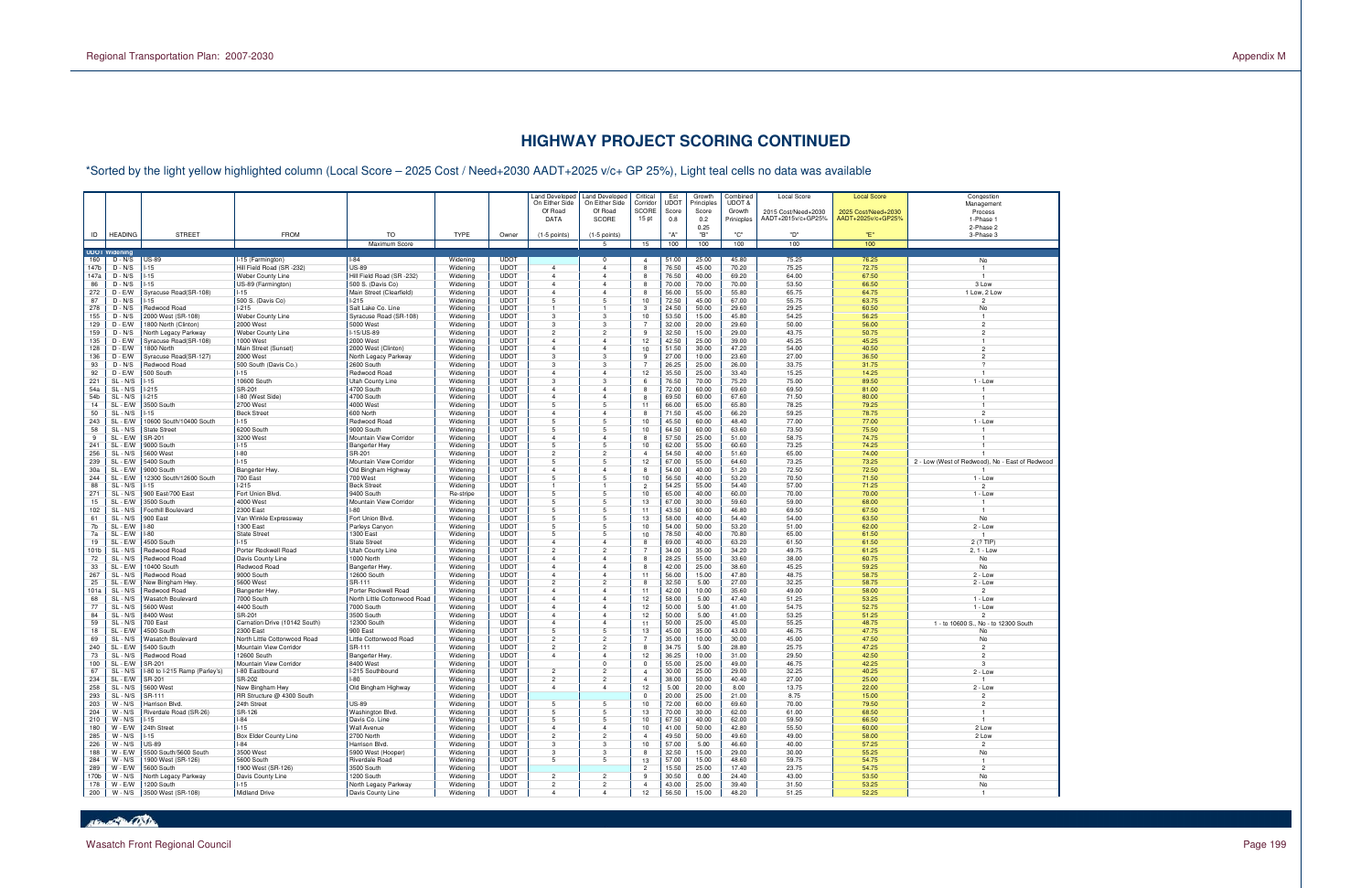

# **HIGHWAY PROJECT SCORING CONTINUED**

Land Developed<br>On Either Side d Land Developed Critical Est Growth Combined Local Score **Local Score Congestion** Congestion On Either Side On Either Side Corridor UDOT Principles UDOT & 2015 Cost/Need+2030 0.8 **0.2** Prinicples AADT+2015v/c+GP25% AADT+2025v/c+GP25% 0.8 1-Phase 1 2025 Cost/Need+2030 AADT+2025v/c+GP25% Congestion<br>Management It is a constructed to the SCORE Score I Score Growth I 2015 Cost/Need+2030 I 2025 Cost/Need+2030 I Process Process ( Process Process ) Process ( Process ) Process ( Process ) and the SCORE I Score I Growth I 2015 Cost/Nee Process<br>1-Phase 1 ا العربية العام المساوات المساوات المساوات المساوات المساوات المساوات المساوات المساوات المساوات المساوات المس 2-Phase 2 0.25 2-Phase 2 3-Phase 3 ID | HEADING | STREET | FROM | TO | TYPE | Owner | (1-5 points) | (1-5 points) | "A" | "B" | "C" | "D" | "E" | 3-Phase 3 Maximum Score 5 15 100 100 100 100 100 **DOT**<br>160  $D - N/S$ 160 D - N/S US-89 I-15 (Farmington) I-84 Widening UDOT 0 4 51.00 25.00 45.80 75.25 76.25 No 147b D - N/S I-15 Hill Field Road (SR -232) US-89 Widening UDOT 4 4 8 76.50 45.00 70.20 75.25 72.75 1 147a D - N/S I-15 Weber County Line Hill Field Road (SR -232) Widening UDOT 4 4 8 76.50 40.00 69.20 64.00 67.50 1 3 Low 86 D - N/S I-15 US-89 (Farmington) 500 S. (Davis Co) Widening UDOT 4 4 8 70.00 70.00 70.00 53.50 66.50 3 Low 1 Low, 2 Low 272 | D - E/W | Syracuse Road(SR-108) | I-15 | Main Street (Clearfield) | Widening | UDOT | 4 | 8 | 65.00 | 55.00 | 55.80 | 65.75 | 64.75 | 1 Low, 2 Low 87 D - N/S I-15 500 S. (Davis Co) I-215 Widening UDOT 5 5 10 72.50 45.00 67.00 55.75 63.75 2 278 D - N/S Redwood Road I-215 Salt Lake Co. Line Widening UDOT 1 1 3 24.50 50.00 29.60 29.25 60.50 No 155 | D - N/S | 2000 West (SR-108) | Weber County Line | Syracuse Road (SR-108) | Widening | UDOT | 3 1 53.50 | 15.00 | 45.80 | 54.25 | 56.25 | 1 129 | D - E/W | 1800 North (Clinton) | 2000 West | Widening | UDOT | 3 7 | 32.00 | 29.60 | 56.00 | 2 2 159 | D - N/S | North Legacy Parkway | Weber County Line | H-15/US-89 | Widening | UDOT | 2 | 2 | 9 | 32.50 | 15.00 | 29.00 | 43.75 | 50.75 | 2 2 135 D - E/W Syracuse Road(SR-108) 1000 West 2000 West Widening UDOT 4 4 12 42.50 25.00 39.00 45.25 45.25 1 128 | D - E/W | 1800 North Main Street (Sunset) | 2000 West (Clinton) | Widening | UDOT | 4 | 4 | 10 | 51.50 | 30.00 | 47.20 | 54.00 | 40.50 | 20.00 | 40.50 | 20.00 | 20.00 | 40.50 | 20.00 | 40.50 | 20.00 | 40.50 | 20.00 | 136 D - E/W Syracuse Road(SR-127) 2000 West North Legacy Parkway Widening UDOT 3 3 9 27.00 10.00 23.60 27.00 36.50 2 93 | D - N/S |Redwood Road |500 South [Davis Co.) | 2600 South | Widening | UDOT | 3 | 3 | 7 | 26.25 | 25.00 | 26.00 | 33.75 | 31.75 | 31.75 | 31.75 ? 92 D - E/W 500 South I-15 Redwood Road Widening UDOT 4 4 12 35.50 25.00 33.40 15.25 14.25 1  $1 - \text{Low}$ 221 SL - N/S I-15 10600 South Utah County Line Widening UDOT 3 3 6 76.50 70.00 75.20 75.00 89.50 1 - Low 54a | SL - N/S | I-215 | SR-201 | 4700 South | Widening | UDOT | 4 | 8 | 72.00 | 60.00 | 69.50 | 81.00 | 1 54b SL - N/S I-215 I-80 (West Side) 4700 South Widening UDOT 4 4 8 69.50 60.00 67.60 71.50 80.00 1 14 | SL - E/W | 3500 South | 2700 West 5 1 65.00 | 65.00 | 65.80 | 78.25 1 50 SL - N/S I-15 Beck Street 600 North Widening UDOT 4 4 8 71.50 45.00 66.20 59.25 78.75 2  $1 - Low$ 243 | SL - E/W | 10600 South/10400 South | I-15 | Redwood Road | Widening | UDOT | 5 | 1<br>243 | SL - E/W | 10600 South/10400 South | I-15 | Redwood Road | Widening | UDOT | 5 | 58 | SL - N/S | State Street | 6200 South | 9000 South | Widening | UDOT | 5 | 10 | 64.50 | 63.60 | 73.50 | 75.50 | 75.50 | 17 9 SL - E/W SR-201 3200 West Mountain View Corridor Widening UDOT 4 4 8 57.50 25.00 51.00 58.75 74.75 1 241 SL - E/W 9000 South I-15 Bangerter Hwy Widening UDOT 5 5 10 62.00 55.00 60.60 73.25 74.25 1 256 | SL - N/S | 5600 West | -80 | SR-201 | Widening | UDOT | 2 | 4 | 54.50 | 40.00 | 51.60 | 65.00 | 74.00 | 1 239 SL - E/W | 5400 South | I-15 Mountain View Corridor | Widening | UDOT | 5 | 5 | 12 | 67.00 | 55.00 | 64.60 | 73.25 | 73.25 | 2 - Low (West of Redwood), No - East of Redwood 30a SL - E/W 9000 South Bangerter Hwy. Old Bingham Highway Widening UDOT 4 4 8 54.00 40.00 51.20 72.50 72.50 1 - Lov 244 SL - E/W 12300 South/12600 South 700 East 700 West Widening UDOT 5 5 10 56.50 40.00 53.20 70.50 71.50 1 - Low 88 SL - N/S I-15 I-215 Beck Street Widening UDOT 1 1 2 54.25 55.00 54.40 57.00 71.25 2 271 SL - N/S 900 East/700 East Fort Union Blvd. 9400 South Re-stripe UDOT 5 5 10 65.00 40.00 60.00 70.00 70.00 1 - Low 15 SL - E/W 3500 South 4000 West Mountain View Corridor Widening UDOT 5 5 13 67.00 30.00 59.60 59.00 68.00 1 102 | SL - N/S | Foothill Boulevard | 2300 East | I-80 | Widening | UDOT | 5 | 15 | 11 | 43.50 | 60.00 | 46.80 | 69.50 | 67.50 | 67.50 | 1 61 SL - N/S |900 East |Van Winkle Expressway | Fort Union Blvd. | Widening | UDOT | 5 5 | 13 | 58.00 | 40.00 | 54.00 | 54.00 | 63.50 | No  $2 - Low$ 7b SL - E/W I-80 1300 East Parleys Canyon Widening UDOT 5 5 10 54.00 50.00 53.20 51.00 62.00 2 - Low 7a SL - E/W I-80 State Street 1300 East Widening UDOT 5 5 10 78.50 40.00 70.80 65.00 61.50 1  $2(? TIP)$ 19 SL - E/W 4500 South I-15 State Street Widening UDOT 4 4 8 69.00 40.00 63.20 61.50 61.50 2 (? TIP)  $2, 1 - Low$ 101b SL - N/S Redwood Road Porter Rockwell Road Utah County Line Widening UDOT 2 2 7 34.00 35.00 34.20 49.75 2, 1 - Low 72 SL - N/S | Redwood Road | Davis County Line | 1000 North | Widening | UDOT | 4 | 8 | 28.25 | 55.00 | 33.60 | 38.00 | 60.75 | No N<sub>0</sub> 33 SL - E/W 10400 South Redwood Road Bangerter Hwy. Widening UDOT 4 4 8 42.00 25.00 38.60 45.25 59.25 No  $2 - Low$ 267 SL - N/S Redwood Road 9000 South 12600 South Widening UDOT 4 4 11 56.00 15.00 47.80 48.75 58.75 2 - Low  $2 - Low$ 25 | SL - E/W | New Bingham Hwy. | 5600 West | SR-111 | Widening | UDOT | 2 | 8 | 8 | 32.50 | 5.00 | 27.00 | 32.25 | 58.75 | 2 - Low 101a SL - N/S Redwood Road Bangerter Hwy. Porter Rockwell Road Widening UDOT 4 4 11 42.00 10.00 35.60 49.00 58.00 2  $1 - Low$ 68 SL - N/S |Wasatch Boulevard | 7000 South North Little Cottonwood Road | Widening | UDOT | 4 | 4 | 12 | 58.00 | 5.00 | 47.40 | 51.25 | 53.25 | 53.25 1 - Low  $1 - Low$ 77 SL - N/S 5600 West 4400 South 7000 South Widening UDOT 4 4 12 50.00 5.00 41.00 54.75 52.75 1 - Low 84 SL - N/S 8400 West SR-201 3500 South Widening UDOT 4 4 12 50.00 5.00 41.00 53.25 51.25 2 1 - to 10600 S., No - to 12300 South 59 SL - N/S | 700 East | Carnation Drive (10142 South Widening | UDOT 4 | 1 | 50.00 | 25.00 | 45.00 | 55.25 1 - to 10600 S., No - to 12300 South 18 SL - E/W 4500 South 2300 East 900 East Widening UDOT 5 5 13 45.00 35.00 43.00 46.75 47.75 No 69 SL - N/S | Wasatch Boulevard | North Little Cottonwood Road | Widening | UDOT | 2 | 2 | 7 | 35.00 | 10.00 | 30.00 | 45.00 | 47.50 No 240 SL - E/W 5400 South Mountain View Corridor SR-111 Widening UDOT 2 2 8 34.75 5.00 28.80 25.75 47.25 2 73 | SL - N/S |Redwood Road | 12600 South | Bangerter Hwy. | Widening | UDOT | 4 | 4 | 12 | 36.25 | 10.00 | 31.00 | 29.50 | 42.50 | 2 100 SL - E/W SR-201 |Mountain View Corridor | 8400 West | Widening | UDOT | 0 0 55.00 | 25.00 | 49.00 | 46.75 3 3  $2 - Low$ 67 SL - N/S I-80 to I-215 Ramp (Parley's) I-80 Eastbound I-215 Southbound Widening UDOT 2 2 4 30.00 25.00 29.00 32.25 40.25 2 - Low 234 SL - E/W SR-201 SR-202 I-80 Widening UDOT 2 2 4 38.00 50.00 40.40 27.00 25.00 1  $2 - Low$ 258 | SL - N/S | 5600 West | New Bingham Hwy | Old Bingham Highway | Widening | UDOT | 4 | 12 | 5.00 | 8.00 | 13.75 | 22.00 | 2 - Low 293 SL - N/S SR-111 RR Structure @ 4300 South Widening UDOT 0 20.00 25.00 21.00 8.75 15.00 2 203 | W - N/S |Harrison Blvd. | 24th Street | US-89 | Widening | UDOT | 5 | 10 | 72.00 | 60.00 | 69.60 | 70.00 | 79.50 | 2 204 | W - N/S |Riverdale Road (SR-26) | SR-126 | Washington Blvd. | Widening | UDOT | 5 | 5 | 13 | 70.00 | 30.00 | 62.00 | 61.00 | 68.5<mark>0 |</mark> 68.50 | 1 210 W - N/S I-15 I-84 Davis Co. Line Widening UDOT 5 5 10 67.50 40.00 62.00 59.50 66.50 1 2 Low 180 W - E/W 24th Street I-15 Wall Avenue Widening UDOT 4 4 10 41.00 50.00 42.80 55.50 60.00 2 Low 285 W - N/S I-15 Box Elder County Line 2700 North Widening UDOT 2 2 4 49.50 50.00 49.60 49.00 58.00 2 Low 226 W - N/S US-89 I-84 Harrison Blvd. Widening UDOT 3 3 10 57.00 5.00 46.60 40.00 57.25 2 **No** 188 | W - E/W | 5500 South/5600 South | 3500 West | S900 West (Hooper) | Widening | UDOT | 3 | 3 | 8 | 32.50 | 15.00 | 29.00 | 30.00 | 55.25 | No 284 | W - N/S |1900 West (SR-126) |5600 South | Riverdale Road | Widening | UDOT | 5 | 5 | 15.00 | 15.00 | 48.60 | 59.75 | 54.75 | 1 289 | W - E/W | 5600 South | 1900 West (SR-126) | 3500 South | Widening | UDOT | | 2 | 15.50 | 25.00 | 17.40 | 23.75 | 54.75 | 23.75 25.95 | No 170b | W - N/S | North Legacy Parkway | Davis County Line | 1200 South | Widening | UDOT | 2 | 2 | 9 | 30.50 | 0.00 | 24.40 | 43.00 | 53.50 | No N<sub>o</sub> 178 W - E/W 1200 South I-15 North Legacy Parkway Widening UDOT 2 2 4 43.00 25.00 39.40 31.50 53.25 No 200 | W - N/S |3500 West (SR-108) |Midland Drive | Davis County Line | Widening | UDOT | 4 | 12 | 56.50 | 15.00 | 48.20 | 51.25 | 52.25 | 1

\*Sorted by the light yellow highlighted column (Local Score – 2025 Cost / Need+2030 AADT+2025 v/c+ GP 25%), Light teal cells no data was available

**Branch Dal Branch**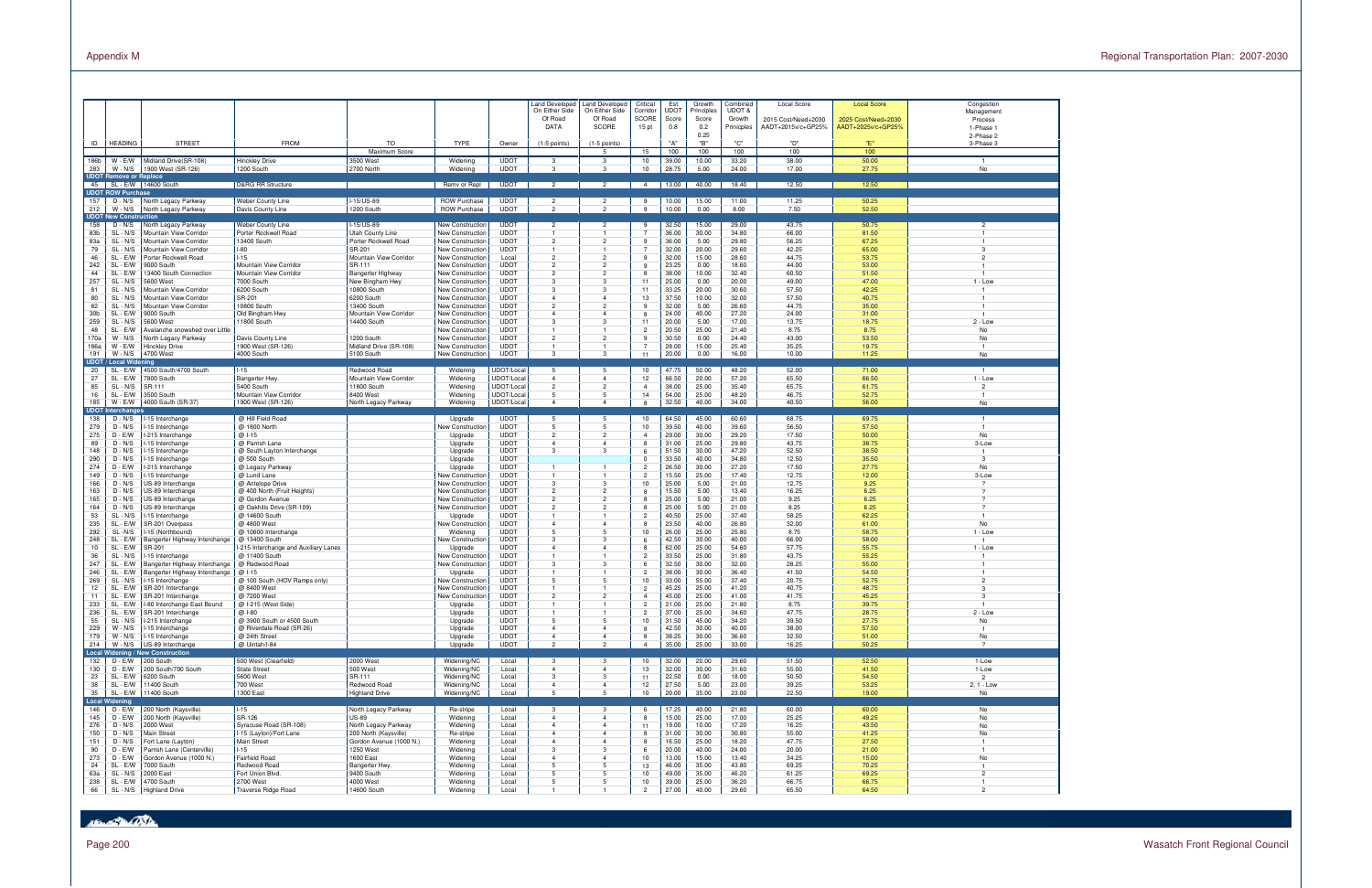



Page 200 Wasatch Front Regional Council

|                 |                                           |                                                   |                                                        |                                          |                                                    |                            | Land Developed<br>On Either Side<br>Of Road<br><b>DATA</b> | Land Developed<br>On Either Side<br>Of Road<br>SCORE | Critical<br>Corrido<br><b>SCORE</b><br>15 <sub>pt</sub> | Est<br>UDO1<br>Score<br>0.8 | Growth<br><sup>2</sup> rinciples<br>Score<br>0.2 | Combined<br>UDOT &<br>Growth<br>Prinicples | Local Score<br>2015 Cost/Need+2030<br>AADT+2015v/c+GP25% | <b>Local Score</b><br>2025 Cost/Need+2030<br>AADT+2025v/c+GP25% | Congestion<br>Management<br>Process<br>1-Phase 1 |
|-----------------|-------------------------------------------|---------------------------------------------------|--------------------------------------------------------|------------------------------------------|----------------------------------------------------|----------------------------|------------------------------------------------------------|------------------------------------------------------|---------------------------------------------------------|-----------------------------|--------------------------------------------------|--------------------------------------------|----------------------------------------------------------|-----------------------------------------------------------------|--------------------------------------------------|
| ID              | <b>HEADING</b>                            | <b>STREET</b>                                     | <b>FROM</b>                                            | TO                                       | <b>TYPE</b>                                        | Owner                      | $(1-5$ points)                                             | $(1-5$ points)                                       |                                                         | "A"                         | 0.25<br>"B"                                      | "C"                                        | "D"                                                      | "Е"                                                             | 2-Phase 2<br>3-Phase 3                           |
| 186b<br>283     | $W - E/W$<br>$W - N/S$                    | Midland Drive(SR-108)<br>1900 West (SR-126)       | <b>Hinckley Drive</b><br>1200 South                    | Maximum Score<br>3500 West<br>2700 North | Widening<br>Widening                               | <b>UDOT</b><br><b>UDOT</b> | -3<br>$\mathbf{3}$                                         | 5<br>3<br>3                                          | 15<br>10<br>10                                          | 100<br>39.00<br>28.75       | 100<br>10.00<br>5.00                             | 100<br>33.20<br>24.00                      | 100<br>38.00<br>17.00                                    | 100<br>50.00<br>27.75                                           | No                                               |
| 45              | <b>UDOT Remove or Replace</b>             | SL - E/W 14600 South                              | <b>D&amp;RG RR Structure</b>                           |                                          | Remv or Repl                                       | <b>UDOT</b>                | $\overline{2}$                                             | $\overline{2}$                                       | $\overline{4}$                                          | 13.00                       | 40.00                                            | 18.40                                      | 12.50                                                    | 12.50                                                           |                                                  |
| 157             | <b>UDOT ROW Purchase</b><br>$D - N/S$     | North Legacy Parkway                              | <b>Weber County Line</b>                               | I-15/US-89                               | <b>ROW Purchase</b>                                | <b>UDOT</b>                | $\overline{2}$                                             | $\overline{2}$                                       | -9                                                      | 10.00                       | 15.00                                            | 11.00                                      | 11.25                                                    | 50.25                                                           |                                                  |
| 212             | $W - N/S$                                 | North Legacy Parkway                              | Davis County Line                                      | 1200 South                               | <b>ROW Purchase</b>                                | <b>UDOT</b>                | $\overline{2}$                                             | $\overline{2}$                                       | 9                                                       | 10.00                       | 0.00                                             | 8.00                                       | 7.50                                                     | 52.50                                                           |                                                  |
| 158             | <b>UDOT New Construction</b><br>$D - N/S$ | North Legacy Parkway                              | Weber County Line                                      | I-15/US-89                               | <b>New Construction</b>                            | <b>UDOT</b>                | $\overline{c}$                                             | $\overline{2}$                                       | 9                                                       | 32.50                       | 15.00                                            | 29.00                                      | 43.75                                                    | 50.75                                                           | $\overline{2}$                                   |
| 83b             | SL - N/S                                  | Mountain View Corridor                            | Porter Rockwell Road                                   | <b>Utah County Line</b>                  | <b>New Construction</b>                            | <b>UDOT</b>                | 1                                                          | $\mathbf{1}$                                         | -7                                                      | 36.00                       | 30.00                                            | 34.80                                      | 66.00                                                    | 81.50                                                           | 1                                                |
| 83a             | SL - N/S                                  | Mountain View Corridor                            | 13400 South                                            | Porter Rockwell Road                     | <b>New Construction</b>                            | <b>UDOT</b>                | $\overline{2}$                                             | $\overline{2}$                                       | 9                                                       | 36.00                       | 5.00                                             | 29.80                                      | 56.25                                                    | 67.25                                                           | $\mathbf{1}$                                     |
| 79<br>46        | SL - N/S<br>SL - E/W                      | Mountain View Corridor<br>Porter Rockwell Road    | $I-80$<br>$-15$                                        | SR-201<br>Mountain View Corridor         | <b>New Construction</b><br><b>New Construction</b> | <b>UDOT</b><br>Local       | $\overline{2}$                                             | $\overline{1}$<br>$\overline{2}$                     | -7<br>-9                                                | 32.00<br>32.00              | 20.00<br>15.00                                   | 29.60<br>28.60                             | 42.25<br>44.75                                           | 65.00<br>53.75                                                  | 3<br>$\overline{2}$                              |
| 242             | SL - E/W                                  | 9000 South                                        | Mountain View Corridor                                 | SR-111                                   | <b>New Construction</b>                            | <b>UDOT</b>                | $\overline{2}$                                             | $\overline{2}$                                       | 9                                                       | 23.25                       | 0.00                                             | 18.60                                      | 44.00                                                    | 53.00                                                           |                                                  |
| 44              | SL - E/W                                  | 13400 South Connection                            | Mountain View Corridor                                 | Bangerter Highway                        | <b>New Construction</b>                            | <b>UDOT</b>                | $\overline{2}$                                             | $\overline{2}$                                       | 8                                                       | 38.00                       | 10.00                                            | 32.40                                      | 60.50                                                    | 51.50                                                           |                                                  |
| 257             | SL - N/S                                  | 5600 West                                         | 7000 South                                             | New Bingham Hwy                          | New Construction                                   | <b>UDOT</b>                | 3                                                          | 3                                                    | 11                                                      | 25.00                       | 0.00                                             | 20.00                                      | 49.00                                                    | 47.00                                                           | $1 - Low$                                        |
| 81<br>80        | SL - N/S<br>SL - N/S                      | Mountain View Corridor<br>Mountain View Corridor  | 6200 South<br><b>SR-201</b>                            | 10800 South<br>6200 South                | <b>New Construction</b><br><b>New Construction</b> | <b>UDOT</b><br><b>UDOT</b> | 3<br>$\overline{4}$                                        | 3<br>$\overline{4}$                                  | 11<br>13                                                | 33.25<br>37.50              | 20.00<br>10.00                                   | 30.60<br>32.00                             | 57.50<br>57.50                                           | 42.25<br>40.75                                                  |                                                  |
| 82              | SL - N/S                                  | Mountain View Corridor                            | 10800 South                                            | 13400 South                              | <b>New Construction</b>                            | <b>UDOT</b>                | $\overline{2}$                                             | $\overline{2}$                                       | 9                                                       | 32.00                       | 5.00                                             | 26.60                                      | 44.75                                                    | 35.00                                                           |                                                  |
| 30 <sub>b</sub> | SL - E/W                                  | 9000 South                                        | Old Bingham Hwy                                        | Mountain View Corridor                   | <b>New Construction</b>                            | <b>UDOT</b>                | $\overline{4}$                                             | $\overline{4}$                                       | 8                                                       | 24.00                       | 40.00                                            | 27.20                                      | 24.00                                                    | 31.00                                                           |                                                  |
| 259             | SL - N/S                                  | 5600 West                                         | 11800 South                                            | 14400 South                              | New Construction                                   | <b>UDOT</b>                | 3                                                          | 3                                                    | 11                                                      | 20.00                       | 5.00                                             | 17.00                                      | 13.75                                                    | 18.75                                                           | $2 - Low$                                        |
| 48              | SL - E/W                                  | Avalanche snowshed over Little                    |                                                        |                                          | <b>New Construction</b>                            | <b>UDOT</b>                |                                                            |                                                      | $\overline{2}$                                          | 20.50                       | 25.00                                            | 21.40                                      | 8.75                                                     | 8.75                                                            | No                                               |
| 170a<br>186a    | $W - N/S$<br>$W - E/W$                    | North Legacy Parkway<br><b>Hinckley Drive</b>     | Davis County Line<br>1900 West (SR-126)                | 1200 South<br>Midland Drive (SR-108)     | <b>New Construction</b><br><b>New Construction</b> | <b>UDOT</b><br><b>UDOT</b> | $\overline{2}$                                             | $\overline{2}$                                       | $\mathbf{q}$                                            | 30.50<br>28.00              | 0.00<br>15.00                                    | 24.40<br>25.40                             | 43.00<br>35.25                                           | 53.50<br>19.75                                                  | No                                               |
| 191             | $W - N/S$                                 | 4700 West                                         | 4000 South                                             | 5100 South                               | New Construction                                   | <b>UDOT</b>                | $\mathbf{3}$                                               | 3                                                    | 11                                                      | 20.00                       | 0.00                                             | 16.00                                      | 10.00                                                    | 11.25                                                           | No                                               |
|                 | <b>UDOT / Local Widening</b>              |                                                   |                                                        |                                          |                                                    |                            |                                                            |                                                      |                                                         |                             |                                                  |                                            |                                                          |                                                                 |                                                  |
| 20              | SL - E/W                                  | 4500 South/4700 South                             | $I-15$                                                 | Redwood Road                             | Widening                                           | UDOT/Local                 | 5                                                          | 5                                                    | 10                                                      | 47.75                       | 50.00                                            | 48.20                                      | 52.00                                                    | 71.00                                                           | $\mathbf{1}$                                     |
| 27<br>85        | SL - E/W<br>SL - N/S                      | 7800 South<br>SR-111                              | Bangerter Hwy.<br>5400 South                           | Mountain View Corridor<br>11800 South    | Widening<br>Widening                               | UDOT/Local<br>UDOT/Local   | $\overline{4}$<br>$\overline{2}$                           | $\overline{4}$<br>$\overline{2}$                     | 12<br>$\overline{a}$                                    | 66.50<br>38.00              | 20.00<br>25.00                                   | 57.20<br>35.40                             | 65.50<br>65.75                                           | 66.50<br>61.75                                                  | $1 - Low$<br>$\overline{2}$                      |
| 16              | SL - E/W                                  | 3500 South                                        | Mountain View Corridor                                 | 8400 West                                | Widening                                           | UDOT/Local                 | 5                                                          | 5                                                    | 14                                                      | 54.00                       | 25.00                                            | 48.20                                      | 46.75                                                    | 52.75                                                           | $\overline{1}$                                   |
| 185             | $W - E/W$                                 | 4000 South (SR-37)                                | 1900 West (SR-126)                                     | North Legacy Parkway                     | Widening                                           | UDOT/Local                 | $\overline{4}$                                             | $\overline{4}$                                       |                                                         | 32.50                       | 40.00                                            | 34.00                                      | 40.50                                                    | 56.00                                                           | No                                               |
|                 | <b>UDOT Interchanges</b>                  |                                                   |                                                        |                                          |                                                    |                            |                                                            |                                                      |                                                         |                             |                                                  |                                            |                                                          |                                                                 |                                                  |
| 138<br>279      | $D - N/S$<br>$D - N/S$                    | I-15 Interchange<br>-15 Interchange               | @ Hill Field Road<br>@ 1800 North                      |                                          | Upgrade<br><b>New Construction</b>                 | <b>UDOT</b><br><b>UDOT</b> | 5<br>5                                                     | 5<br>5                                               | 10<br>10                                                | 64.50<br>39.50              | 45.00<br>40.00                                   | 60.60<br>39.60                             | 68.75<br>56.50                                           | 69.75<br>57.50                                                  |                                                  |
| 275             | $D - E/W$                                 | -215 Interchange                                  | $@1-15$                                                |                                          | Upgrade                                            | <b>UDOT</b>                | $\overline{2}$                                             | $\overline{2}$                                       | $\overline{a}$                                          | 29.00                       | 30.00                                            | 29.20                                      | 17.50                                                    | 50.00                                                           | No                                               |
| 89              | $D - N/S$                                 | I-15 Interchange                                  | @ Parrish Lane                                         |                                          | Upgrade                                            | <b>UDOT</b>                | $\overline{4}$                                             | $\overline{4}$                                       |                                                         | 31.00                       | 25.00                                            | 29.80                                      | 43.75                                                    | 38.75                                                           | 3-Low                                            |
| 148             | $D - N/S$                                 | -15 Interchange                                   | @ South Layton Interchange                             |                                          | Upgrade                                            | <b>UDOT</b>                | 3                                                          | 3                                                    | 6                                                       | 51.50                       | 30.00                                            | 47.20                                      | 52.50                                                    | 38.50                                                           |                                                  |
| 290<br>274      | $D - N/S$<br>$D - E/W$                    | I-15 Interchange<br>I-215 Interchange             | @ 500 South<br>@ Legacy Parkway                        |                                          | Upgrade<br>Upgrade                                 | <b>UDOT</b><br><b>UDOT</b> | 1                                                          | $\mathbf{1}$                                         | $\Omega$<br>$\overline{2}$                              | 33.50<br>26.50              | 40.00<br>30.00                                   | 34.80<br>27.20                             | 12.50<br>17.50                                           | 35.50<br>27.75                                                  | $\mathbf{3}$<br>No                               |
| 149             | $D - N/S$                                 | I-15 Interchange                                  | @ Lund Lane                                            |                                          | New Construction                                   | <b>UDOT</b>                | 1                                                          | $\mathbf{1}$                                         | $\overline{2}$                                          | 15.50                       | 25.00                                            | 17.40                                      | 12.75                                                    | 12.00                                                           | 3-Low                                            |
| 166             | $D - N/S$                                 | US-89 Interchange                                 | @ Antelope Drive                                       |                                          | New Construction                                   | <b>UDOT</b>                | 3                                                          | 3                                                    | 10                                                      | 25.00                       | 5.00                                             | 21.00                                      | 12.75                                                    | 9.25                                                            | $\mathcal{P}$                                    |
| 163             | $D - N/S$                                 | US-89 Interchange                                 | @ 400 North (Fruit Heights)                            |                                          | New Construction                                   | <b>UDOT</b>                | $\overline{2}$                                             | $\overline{2}$                                       | 8                                                       | 15.50                       | 5.00                                             | 13.40                                      | 16.25                                                    | 6.25                                                            | $\boldsymbol{\mathcal{P}}$                       |
| 165             | $D - N/S$                                 | US-89 Interchange                                 | @ Gordon Avenue                                        |                                          | New Construction                                   | <b>UDOT</b>                | $\overline{2}$                                             | $\overline{2}$                                       | $\mathbf{R}$                                            | 25.00                       | 5.00                                             | 21.00                                      | 9.25                                                     | 6.25                                                            | $\mathcal{P}$<br>$\mathcal{P}$                   |
| 164<br>53       | $D - N/S$<br>SL - N/S                     | US-89 Interchange<br>I-15 Interchange             | @ Oakhills Drive (SR-109)<br>@ 14600 South             |                                          | New Construction<br>Upgrade                        | <b>UDOT</b><br><b>UDOT</b> | $\overline{2}$<br>1                                        | $\overline{2}$<br>$\overline{1}$                     | -8<br>$\overline{2}$                                    | 25.00<br>40.50              | 5.00<br>25.00                                    | 21.00<br>37.40                             | 8.25<br>58.25                                            | 6.25<br>62.25                                                   |                                                  |
| 235             | SL - E/W                                  | SR-201 Overpass                                   | @ 4800 West                                            |                                          | New Construction                                   | <b>UDOT</b>                | $\overline{4}$                                             | $\overline{4}$                                       | -8                                                      | 23.50                       | 40.00                                            | 26.80                                      | 32.00                                                    | 61.00                                                           | No                                               |
| 292             | SL-N/S                                    | l-15 (Northbound)                                 | @ 10600 Interchange                                    |                                          | Widening                                           | <b>UDOT</b>                | 5                                                          | 5                                                    | 10                                                      | 26.00                       | 25.00                                            | 25.80                                      | 8.75                                                     | 58.75                                                           | $1 - Low$                                        |
| 248             | SL - E/W                                  | Bangerter Highway Interchange                     | @ 13400 South                                          |                                          | New Construction                                   | <b>UDOT</b>                | 3                                                          | 3                                                    | $\epsilon$                                              | 42.50                       | 30.00                                            | 40.00                                      | 66.00                                                    | 58.00                                                           |                                                  |
| 10<br>36        | SL - E/W<br>SL - N/S                      | SR-201<br>-15 Interchange                         | I-215 Interchange and Auxiliary Lanes<br>@ 11400 South |                                          | Upgrade<br>New Constructior                        | <b>UDOT</b><br><b>UDOT</b> | $\overline{4}$                                             | $\overline{4}$<br>$\overline{1}$                     | -8<br>$\overline{2}$                                    | 62.00<br>33.50              | 25.00<br>25.00                                   | 54.60<br>31.80                             | 57.75<br>43.75                                           | 55.75<br>55.25                                                  | $1 - Low$                                        |
| 247             | SL - E/W                                  | Bangerter Highway Interchange                     | @ Redwood Road                                         |                                          | New Construction                                   | <b>UDOT</b>                | 3                                                          | 3                                                    |                                                         | 32.50                       | 30.00                                            | 32.00                                      | 28.25                                                    | 55.00                                                           |                                                  |
| 246             | SL - E/W                                  | Bangerter Highway Interchange                     | $@1-15$                                                |                                          | Upgrade                                            | <b>UDOT</b>                |                                                            | -1                                                   | $\overline{2}$                                          | 38.00                       | 30.00                                            | 36.40                                      | 41.50                                                    | 54.50                                                           |                                                  |
| 269             | SL - N/S                                  | I-15 Interchange                                  | @ 100 South (HOV Ramps only)                           |                                          | New Construction                                   | <b>UDOT</b>                | 5                                                          | 5                                                    | 10                                                      | 33.00                       | 55.00                                            | 37.40                                      | 20.75                                                    | 52.75                                                           | $\overline{2}$                                   |
| 12              | SL - E/W                                  | SR-201 Interchange                                | @ 8400 West                                            |                                          | <b>New Construction</b><br>New Construction        | <b>UDOT</b>                |                                                            |                                                      | $\overline{2}$                                          | 45.25                       | 25.00                                            | 41.20                                      | 40.75                                                    | 48.75                                                           | 3                                                |
| 11<br>233       | SL - E/W<br>SL - E/W                      | SR-201 Interchange<br>I-80 Interchange East Bound | @ 7200 West<br>@ I-215 (West Side)                     |                                          | Upgrade                                            | <b>UDOT</b><br><b>UDOT</b> | 2<br>$\mathbf{1}$                                          | 2<br>$\overline{1}$                                  | $\overline{2}$                                          | 45.00<br>21.00              | 25.00<br>25.00                                   | 41.00<br>21.80                             | 41.75<br>8.75                                            | 45.25<br>39.75                                                  | 3<br>$\overline{1}$                              |
| 236             | SL - E/W                                  | SR-201 Interchange                                | @ I-80                                                 |                                          | Upgrade                                            | <b>UDOT</b>                |                                                            | $\mathbf{1}$                                         | $\overline{2}$                                          | 37.00                       | 25.00                                            | 34.60                                      | 47.75                                                    | 28.75                                                           | $2 - Low$                                        |
| 55              | SL - N/S                                  | I-215 Interchange                                 | @ 3900 South or 4500 South                             |                                          | Upgrade                                            | <b>UDOT</b>                | 5                                                          | 5                                                    | 10                                                      | 31.50                       | 45.00                                            | 34.20                                      | 39.50                                                    | 27.75                                                           | No                                               |
| 229<br>179      | $W - N/S$                                 | I-15 Interchange<br>I-15 Interchange              | @ Riverdale Road (SR-26)<br>@ 24th Street              |                                          | Upgrade                                            | <b>UDOT</b><br><b>UDOT</b> | $\overline{4}$                                             | $\overline{4}$<br>$\overline{4}$                     | 8<br>8                                                  | 42.50<br>38.25              | 30.00<br>30.00                                   | 40.00<br>36.60                             | 38.00                                                    | 57.50<br>51.00                                                  | No                                               |
| 214             | $W - N/S$<br>$W - N/S$                    | US-89 Interchange                                 | @ Uintah/I-84                                          |                                          | Upgrade<br>Upgrade                                 | <b>UDOT</b>                | $\overline{4}$<br>$\overline{c}$                           | $\overline{2}$                                       | $\overline{4}$                                          | 35.00                       | 25.00                                            | 33.00                                      | 32.50<br>16.25                                           | 50.25                                                           | $\overline{2}$                                   |
|                 |                                           | Local Widening / New Construction                 |                                                        |                                          |                                                    |                            |                                                            |                                                      |                                                         |                             |                                                  |                                            |                                                          |                                                                 |                                                  |
| 132             | $D - E/W$                                 | 200 South                                         | 500 West (Clearfield)                                  | 2000 West                                | Widening/NC                                        | Local                      | $\mathbf{3}$                                               | 3                                                    | 10                                                      | 32.00                       | 20.00                                            | 29.60                                      | 51.50                                                    | 52.50                                                           | 1-Low                                            |
| 130             | $D - E/W$                                 | 200 South/700 South                               | <b>State Street</b>                                    | 500 West                                 | Widening/NC<br>Widening/NC                         | Local                      | $\overline{4}$                                             | $\overline{4}$                                       | 13                                                      | 32.00                       | 30.00                                            | 31.60                                      | 55.00                                                    | 41.50                                                           | 1-Low                                            |
| 23<br>38        | SL - E/W<br>SL - E/W                      | 6200 South<br>11400 South                         | 5600 West<br>700 West                                  | SR-111<br>Redwood Road                   | Widening/NC                                        | Local<br>Local             | $\mathbf{3}$<br>$\overline{4}$                             | $\mathbf{3}$<br>$\overline{4}$                       | 11<br>12                                                | 22.50<br>27.50              | 0.00<br>5.00                                     | 18.00<br>23.00                             | 50.50<br>39.25                                           | 54.50<br>53.25                                                  | $\overline{2}$<br>2, 1 - Low                     |
| 35              | SL - E/W                                  | 11400 South                                       | 1300 East                                              | <b>Highland Drive</b>                    | Widening/NC                                        | Local                      | $5\phantom{.0}$                                            | 5                                                    | 10                                                      | 20.00                       | 35.00                                            | 23.00                                      | 22.50                                                    | 19.00                                                           | No                                               |
|                 | <b>Local Widening</b>                     |                                                   |                                                        |                                          |                                                    |                            |                                                            |                                                      |                                                         |                             |                                                  |                                            |                                                          |                                                                 |                                                  |
| 146             | $D - E/W$                                 | 200 North (Kaysville)                             | $I-15$                                                 | North Legacy Parkway                     | Re-stripe                                          | Local                      | $\overline{\mathbf{3}}$                                    | $\overline{3}$                                       | 6                                                       | 17.25                       | 40.00                                            | 21.80                                      | 60.00                                                    | 60.00                                                           | No                                               |
| 145<br>276      | $D - E/W$<br>D - N/S                      | 200 North (Kaysville)<br>2000 West                | SR-126<br>Syracuse Road (SR-108)                       | <b>US-89</b><br>North Legacy Parkway     | Widening<br>Widening                               | Local<br>Local             | $\overline{4}$<br>$\overline{4}$                           | $\overline{4}$<br>$\overline{4}$                     | 8<br>11                                                 | 15.00<br>19.00              | 25.00<br>10.00                                   | 17.00<br>17.20                             | 25.25<br>16.25                                           | 49.25<br>43.50                                                  | No<br>No                                         |
| 150             | $D - N/S$                                 | <b>Main Street</b>                                | I-15 (Layton)/Fort Lane                                | 200 North (Kaysville)                    | Re-stripe                                          | Local                      | $\overline{4}$                                             | $\overline{4}$                                       | 8                                                       | 31.00                       | 30.00                                            | 30.80                                      | 55.00                                                    | 41.25                                                           | No                                               |
| 151             | $D - N/S$                                 | Fort Lane (Layton)                                | <b>Main Street</b>                                     | Gordon Avenue (1000 N.)                  | Widening                                           | Local                      | $\overline{4}$                                             | $\overline{4}$                                       | 8                                                       | 16.50                       | 25.00                                            | 18.20                                      | 47.75                                                    | 27.50                                                           | $\overline{1}$                                   |
| 90              | $D - E/W$                                 | Parrish Lane (Centerville)                        | $-15$                                                  | 1250 West                                | Widening                                           | Local                      | $\overline{3}$                                             | 3                                                    | 6                                                       | 20.00                       | 40.00                                            | 24.00                                      | 20.00                                                    | 21.00                                                           |                                                  |
| 273             | $D - E/W$                                 | Gordon Avenue (1000 N.)                           | <b>Fairfield Road</b>                                  | 1600 East                                | Widening                                           | Local                      | $\overline{4}$<br>5                                        | $\overline{4}$<br>5                                  | 10<br>13                                                | 13.00<br>46.00              | 15.00                                            | 13.40<br>43.80                             | 34.25<br>69.25                                           | 15.00<br>70.25                                                  | No<br>$\overline{1}$                             |
| 24<br>63a       | SL - E/W<br>SL - N/S                      | 7000 South<br>2000 East                           | Redwood Road<br>Fort Union Blvd.                       | Bangerter Hwy.<br>9400 South             | Widening<br>Widening                               | Local<br>Local             | 5                                                          | 5                                                    | 10                                                      | 49.00                       | 35.00<br>35.00                                   | 46.20                                      | 61.25                                                    | 69.25                                                           | $\overline{c}$                                   |
| 238             | SL - E/W                                  | 4700 South                                        | 2700 West                                              | 4000 West                                | Widening                                           | Local                      | 5                                                          | 5                                                    | 10                                                      | 39.00                       | 25.00                                            | 36.20                                      | 66.75                                                    | 66.75                                                           | $\overline{1}$                                   |
| 66              | SL - N/S                                  | <b>Highland Drive</b>                             | Traverse Ridge Road                                    | 14600 South                              | Widening                                           | Local                      | 1                                                          | $\mathbf{1}$                                         | $\overline{2}$                                          | 27.00                       | 40.00                                            | 29.60                                      | 65.50                                                    | 64.50                                                           | $\overline{c}$                                   |

## HELL OF THE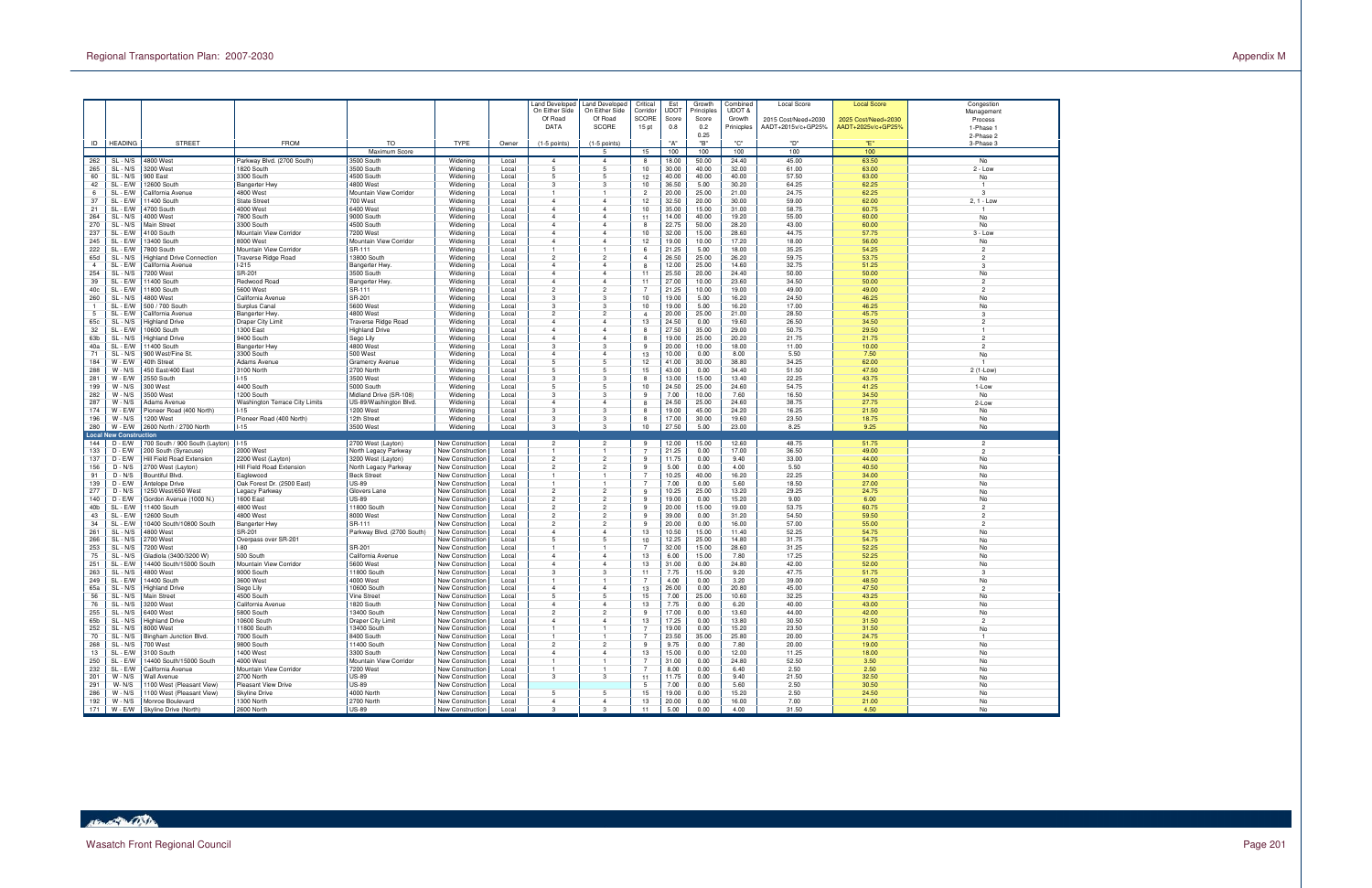



Page 201

|                 |                               |                                              |                                          |                                     |                                             |                | Land Developec                   | and Developed                    | Critical                 | Est            | Growth              | Combined         | <b>Local Score</b>  | <b>Local Score</b>  | Congestion                       |
|-----------------|-------------------------------|----------------------------------------------|------------------------------------------|-------------------------------------|---------------------------------------------|----------------|----------------------------------|----------------------------------|--------------------------|----------------|---------------------|------------------|---------------------|---------------------|----------------------------------|
|                 |                               |                                              |                                          |                                     |                                             |                | On Either Side<br>Of Road        | On Either Side<br>Of Road        | Corridor<br><b>SCORE</b> | UDOT<br>Score  | Principles<br>Score | UDOT &<br>Growth | 2015 Cost/Need+2030 | 2025 Cost/Need+2030 | Management<br>Process            |
|                 |                               |                                              |                                          |                                     |                                             |                | <b>DATA</b>                      | <b>SCORE</b>                     | 15 pt                    | 0.8            | 0.2                 | Prinicples       | AADT+2015v/c+GP25%  | AADT+2025v/c+GP25%  | 1-Phase 1                        |
|                 |                               |                                              |                                          |                                     |                                             |                |                                  |                                  |                          |                | 0.25                |                  |                     |                     | 2-Phase 2                        |
| ID              | <b>HEADING</b>                | <b>STREET</b>                                | <b>FROM</b>                              | <b>TO</b>                           | <b>TYPE</b>                                 | Owner          | $(1-5$ points)                   | $(1-5$ points)                   |                          | "A"            | "В"                 | "C"              | "D"                 | "Е"                 | 3-Phase 3                        |
|                 |                               |                                              |                                          | Maximum Score                       |                                             |                |                                  | 5                                | 15                       | 100            | 100                 | 100              | 100                 | 100                 |                                  |
| 262<br>265      | $SL - N/S$<br>$SL - N/S$      | 4800 West<br>3200 West                       | Parkway Blvd. (2700 South)<br>1820 South | 3500 South<br>3500 South            | Widening<br>Widening                        | Local<br>Local | $\overline{4}$<br>5              | $\overline{4}$<br>5              | 8<br>10                  | 18.00<br>30.00 | 50.00<br>40.00      | 24.40<br>32.00   | 45.00<br>61.00      | 63.50<br>63.00      | No<br>$2 - Low$                  |
| 60              | SL - N/S                      | 900 East                                     | 3300 South                               | 4500 South                          | Widening                                    | Local          | 5                                | $\overline{5}$                   | 12                       | 40.00          | 40.00               | 40.00            | 57.50               | 63.00               | No                               |
| 42              | SL - E/W                      | 12600 South                                  | <b>Bangerter Hwy</b>                     | 4800 West                           | Widening                                    | Local          | 3                                | 3                                | 10                       | 36.50          | 5.00                | 30.20            | 64.25               | 62.25               | $\overline{1}$                   |
| 6               | SL - E/W                      | California Avenue                            | 4800 West                                | Mountain View Corridor              | Widening                                    | Local          |                                  |                                  | $\overline{2}$           | 20.00          | 25.00               | 21.00            | 24.75               | 62.25               | 3                                |
| 37              | SL - E/W                      | 1400 South                                   | <b>State Stree</b>                       | 700 West                            | Widening                                    | Local          | 4                                | $\overline{4}$                   | 12                       | 32.50          | 20.00               | 30.00            | 59.00               | 62.00               | 2, 1 - Low                       |
| 21              | SL - E/W                      | 4700 South                                   | 4000 West                                | 6400 West                           | Widening                                    | Local          | $\overline{4}$                   | $\overline{4}$                   | 10                       | 35.00          | 15.00               | 31.00            | 58.75               | 60.75               | $\overline{1}$                   |
| 264<br>270      | SL - N/S<br>SL - N/S          | 4000 West<br>Main Street                     | 7800 South<br>3300 South                 | 9000 South<br>4500 South            | Widening<br>Widening                        | Local<br>Local | $\overline{4}$<br>$\overline{4}$ | $\overline{4}$<br>$\overline{4}$ | 11<br>-8                 | 14.00<br>22.75 | 40.00<br>50.00      | 19.20<br>28.20   | 55.00<br>43.00      | 60.00<br>60.00      | No<br>No                         |
| 237             | SL - E/W                      | 4100 South                                   | Mountain View Corridor                   | 7200 West                           | Widening                                    | Local          | $\overline{4}$                   | $\overline{4}$                   | 10                       | 32.00          | 15.00               | 28.60            | 44.75               | 57.75               | $3 - Low$                        |
| 245             | SL - E/W                      | 13400 South                                  | 8000 West                                | Mountain View Corridor              | Widening                                    | Local          | 4                                | $\overline{4}$                   | 12                       | 19.00          | 10.00               | 17.20            | 18.00               | 56.00               | No                               |
| 222             | SL - E/W                      | 7800 South                                   | Mountain View Corridor                   | SR-111                              | Widening                                    | Local          | $\overline{1}$                   | $\overline{1}$                   | 6                        | 21.25          | 5.00                | 18.00            | 35.25               | 54.25               | $\overline{2}$                   |
| 65d             | SL - N/S                      | Highland Drive Connection                    | Traverse Ridge Road                      | 13800 South                         | Widening                                    | Local          | $\overline{2}$                   | $\overline{2}$                   | $\boldsymbol{4}$         | 26.50          | 25.00               | 26.20            | 59.75               | 53.75               | $\overline{2}$                   |
| $\overline{4}$  | SL - E/W                      | California Avenue                            | -215                                     | Bangerter Hwy                       | Widening                                    | Local          | $\overline{4}$                   | $\overline{4}$                   | 8                        | 12.00          | 25.00               | 14.60            | 32.75               | 51.25               | 3                                |
| 254             | SL - N/S                      | 7200 West                                    | SR-201                                   | 3500 South                          | Widening                                    | Local          | $\overline{4}$                   | $\overline{4}$                   | 11                       | 25.50          | 20.00               | 24.40            | 50.00               | 50.00               | No                               |
| 39<br>40c       | SL - E/W<br>SL - E/W          | 1400 South<br>1800 South                     | Redwood Road<br>5600 West                | Bangerter Hwy.<br>SR-111            | Widening<br>Widening                        | Local<br>Local | 4<br>$\overline{2}$              | $\overline{4}$<br>$\overline{2}$ | 11<br>$\overline{7}$     | 27.00<br>21.25 | 10.00<br>10.00      | 23.60<br>19.00   | 34.50<br>49.00      | 50.00<br>49.00      | $\overline{2}$<br>$\overline{2}$ |
| 260             | SL - N/S                      | 4800 West                                    | California Avenue                        | SR-201                              | Widening                                    | Local          | 3                                | 3                                | 10                       | 19.00          | 5.00                | 16.20            | 24.50               | 46.25               | No                               |
|                 | SL - E/W                      | 500 / 700 South                              | Surplus Canal                            | 5600 West                           | Widening                                    | Local          | 3                                | 3                                | 10                       | 19.00          | 5.00                | 16.20            | 17.00               | 46.25               | No                               |
| 5               | SL - E/W                      | California Avenue                            | <b>Bangerter Hwy</b>                     | 4800 West                           | Widening                                    | Local          | $\overline{c}$                   | $\overline{2}$                   | $\overline{4}$           | 20.00          | 25.00               | 21.00            | 28.50               | 45.75               | 3                                |
| 65c             | SL - N/S                      | <b>Highland Drive</b>                        | Draper City Limit                        | Traverse Ridge Road                 | Widening                                    | Local          | 4                                | $\overline{4}$                   | 13                       | 24.50          | 0.00                | 19.60            | 26.50               | 34.50               | $\overline{2}$                   |
| 32              | SL - E/W                      | 10600 South                                  | <b>1300 East</b>                         | <b>Highland Drive</b>               | Widening                                    | Local          | $\overline{4}$                   | $\overline{4}$                   | 8                        | 27.50          | 35.00               | 29.00            | 50.75               | 29.50               |                                  |
| 63b             | SL - N/S                      | Highland Drive                               | 9400 South                               | Sego Lily                           | Widening                                    | Local          | $\overline{4}$                   | $\overline{4}$                   | 8                        | 19.00          | 25.00               | 20.20            | 21.75               | 21.75               | $\overline{2}$                   |
| 40a             | SL - E/W                      | 11400 South<br>900 West/Fine St.             | <b>Bangerter Hwy</b>                     | 4800 West                           | Widening                                    | Local          | 3<br>$\overline{4}$              | 3<br>$\overline{4}$              | -9<br>13                 | 20.00          | 10.00               | 18.00            | 11.00               | 10.00               | $\overline{2}$                   |
| 71<br>184       | SL - N/S<br>$W - E/W$         | 40th Street                                  | 3300 South<br><b>Adams Avenue</b>        | 500 West<br><b>Gramercy Avenue</b>  | Widening<br>Widening                        | Local<br>Local | 5                                | 5                                | 12                       | 10.00<br>41.00 | 0.00<br>30.00       | 8.00<br>38.80    | 5.50<br>34.25       | 7.50<br>62.00       | No<br>$\overline{1}$             |
| 288             | $W - N/S$                     | 450 East/400 East                            | 3100 North                               | 2700 North                          | Widening                                    | Local          | 5                                | 5                                | 15                       | 43.00          | 0.00                | 34.40            | 51.50               | 47.50               | 2 (1-Low)                        |
| 281             | $W - E/W$                     | 2550 South                                   | $-15$                                    | 3500 West                           | Widening                                    | Local          | 3                                | 3                                | 8                        | 13.00          | 15.00               | 13.40            | 22.25               | 43.75               | No                               |
| 199             | $W - N/S$                     | 300 West                                     | 4400 South                               | 5000 South                          | Widening                                    | Local          | 5                                | 5                                | 10                       | 24.50          | 25.00               | 24.60            | 54.75               | 41.25               | 1-Low                            |
| 282             | $W - N/S$                     | 3500 West                                    | 1200 South                               | Midland Drive (SR-108)              | Widening                                    | Local          | 3                                | 3                                | 9                        | 7.00           | 10.00               | 7.60             | 16.50               | 34.50               | No                               |
| 287             | $W - N/S$                     | Adams Avenue                                 | Washington Terrace City Limits           | US-89/Washington Blvd.              | Widening                                    | Local          | 4                                | $\overline{4}$                   | 8                        | 24.50          | 25.00               | 24.60            | 38.75               | 27.75               | 2-Low                            |
| 174             | $W - E/W$<br>$W - N/S$        | Pioneer Road (400 North)                     | $-15$                                    | 1200 West                           | Widening                                    | Local          | 3                                | 3<br>3                           | 8                        | 19.00<br>17.00 | 45.00               | 24.20            | 16.25               | 21.50               | No                               |
| 196<br>280      | $W - EW$                      | 1200 West<br>2600 North / 2700 North         | Pioneer Road (400 North)<br>$1 - 15$     | 12th Street<br>3500 West            | Widening<br>Widening                        | Local<br>Local | 3<br>3                           | 3                                | 8<br>10                  | 27.50          | 30.00<br>5.00       | 19.60<br>23.00   | 23.50<br>8.25       | 18.75<br>9.25       | No<br>No                         |
|                 | <b>Local New Construction</b> |                                              |                                          |                                     |                                             |                |                                  |                                  |                          |                |                     |                  |                     |                     |                                  |
| 144             | $D - E/W$                     | 700 South / 900 South (Layton)               | $1 - 15$                                 | 2700 West (Layton)                  | New Construction                            | Local          | $\overline{2}$                   | $\overline{2}$                   | 9                        | 12.00          | 15.00               | 12.60            | 48.75               | 51.75               | $\overline{2}$                   |
| 133             | $D - E/W$                     | 200 South (Syracuse)                         | 2000 West                                | North Legacy Parkway                | New Construction                            | Local          | $\mathbf{1}$                     | $\overline{1}$                   | $\overline{7}$           | 21.25          | 0.00                | 17.00            | 36.50               | 49.00               | $\overline{2}$                   |
| 137             | $D - E/W$                     | Hill Field Road Extension                    | 2200 West (Layton)                       | 3200 West (Layton)                  | New Construction                            | Local          | $\overline{2}$                   | $\overline{2}$                   | -9                       | 11.75          | 0.00                | 9.40             | 33.00               | 44.00               | No                               |
| 156             | $D - N/S$                     | 2700 West (Layton)                           | Hill Field Road Extension                | North Legacy Parkway                | <b>New Construction</b>                     | Local          | $\overline{c}$                   | $\overline{2}$                   | -9<br>$\overline{7}$     | 5.00           | 0.00                | 4.00             | 5.50                | 40.50               | No                               |
| 91<br>139       | $D - N/S$<br>$D - E/W$        | Bountiful Blvd.<br>Antelope Drive            | Eaglewood<br>Oak Forest Dr. (2500 East)  | <b>Beck Street</b><br>US-89         | New Construction<br>New Construction        | Local<br>Local |                                  |                                  |                          | 10.25<br>7.00  | 40.00<br>0.00       | 16.20<br>5.60    | 22.25<br>18.50      | 34.00<br>27.00      | No<br>No                         |
| 277             | $D - N/S$                     | 1250 West/650 West                           | Legacy Parkway                           | Glovers Lane                        | New Construction                            | Local          | $\overline{2}$                   | $\overline{2}$                   | -9                       | 10.25          | 25.00               | 13.20            | 29.25               | 24.75               | No                               |
| 140             | $D - E/W$                     | Gordon Avenue (1000 N.)                      | 1600 East                                | <b>US-89</b>                        | New Construction                            | Local          | $\overline{2}$                   | $\overline{2}$                   | -9                       | 19.00          | 0.00                | 15.20            | 9.00                | 6.00                | <b>No</b>                        |
| 40 <sub>b</sub> | SL - E/W                      | 11400 South                                  | 4800 West                                | 11800 South                         | <b>New Construction</b>                     | Local          | $\overline{c}$                   | $\overline{2}$                   | -9                       | 20.00          | 15.00               | 19.00            | 53.75               | 60.75               | $\overline{2}$                   |
| 43              | SL - E/W                      | 2600 South                                   | 4800 West                                | 8000 West                           | <b>New Construction</b>                     | Local          | $\overline{2}$                   | $\overline{2}$                   | -9                       | 39.00          | 0.00                | 31.20            | 54.50               | 59.50               | $\overline{2}$                   |
| 34              | SL - E/W                      | 10400 South/10800 South                      | <b>Bangerter Hwy</b>                     | SR-111                              | <b>New Construction</b>                     | Local          | $\overline{c}$                   | $\overline{2}$                   | -9                       | 20.00          | 0.00                | 16.00            | 57.00               | 55.00               | $\overline{2}$                   |
| 261             | $SL - N/S$<br>SL - N/S        | 4800 West<br>2700 West                       | SR-201<br>Overpass over SR-201           | Parkway Blvd. (2700 South)          | New Construction                            | Local<br>Local | $\overline{4}$<br>5              | $\overline{4}$<br>$\overline{5}$ | 13<br>10                 | 10.50<br>12.25 | 15.00<br>25.00      | 11.40            | 52.25<br>31.75      | 54.75<br>54.75      | No                               |
| 266<br>253      | SL - N/S                      | 7200 West                                    | -80                                      | SR-201                              | New Construction<br><b>New Construction</b> | Local          | -1                               | $\mathbf{1}$                     | -7                       | 32.00          | 15.00               | 14.80<br>28.60   | 31.25               | 52.25               | No<br>No                         |
| 75              | SL - N/S                      | Gladiola (3400/3200 W)                       | 500 South                                | California Avenue                   | <b>New Construction</b>                     | Local          | $\overline{4}$                   | $\overline{4}$                   | 13                       | 6.00           | 15.00               | 7.80             | 17.25               | 52.25               | No                               |
| 251             | SL - E/W                      | 14400 South/15000 South                      | Mountain View Corridor                   | 5600 West                           | <b>New Construction</b>                     | Local          | $\overline{4}$                   | $\overline{4}$                   | 13                       | 31.00          | 0.00                | 24.80            | 42.00               | 52.00               | No                               |
| 263             | $SL - N/S$                    | 4800 West                                    | 9000 South                               | 11800 South                         | New Construction                            | Local          | 3                                | 3                                | 11                       | 7.75           | 15.00               | 9.20             | 47.75               | 51.75               | $\mathbf{3}$                     |
| 249             | SL - E/W                      | 4400 South                                   | 3600 West                                | 4000 West                           | New Construction                            | Local          |                                  |                                  |                          | 4.00           | 0.00                | 3.20             | 39.00               | 48.50               | No                               |
| 65a             | SL - N/S                      | <b>Highland Drive</b>                        | Sego Lily                                | 10600 South                         | <b>New Construction</b>                     | Local          | $\overline{4}$                   | $\overline{4}$                   | 13                       | 26.00          | 0.00                | 20.80            | 45.00               | 47.50               | $\overline{2}$                   |
| 56<br>76        | SL - N/S<br>SL - N/S          | Main Street<br>3200 West                     | 4500 South                               | <b>Vine Street</b><br>1820 South    | New Construction<br>New Construction        | Local<br>Local | $\overline{4}$                   | 5<br>4                           | 15<br>13                 | 7.00<br>7.75   | 25.00<br>0.00       | 10.60<br>6.20    | 32.25<br>40.00      | 43.25<br>43.00      | No<br>No                         |
| 255             | SL - N/S                      | 6400 West                                    | California Avenue<br>5800 South          | 13400 South                         | New Construction                            | Local          | $\overline{2}$                   | $\overline{2}$                   | 9                        | 17.00          | 0.00                | 13.60            | 44.00               | 42.00               | No                               |
| 65b             | $SL - N/S$                    | <b>Highland Drive</b>                        | 10600 South                              | Draper City Limit                   | New Construction                            | Local          | $\overline{4}$                   | $\overline{4}$                   | 13                       | 17.25          | 0.00                | 13.80            | 30.50               | 31.50               | $\overline{2}$                   |
| 252             | $SL - N/S$                    | 8000 West                                    | 11800 South                              | 13400 South                         | New Construction                            | Local          | 1                                | $\overline{1}$                   | $\overline{7}$           | 19.00          | 0.00                | 15.20            | 23.50               | 31.50               | No                               |
| 70              | SL - N/S                      | Bingham Junction Blvd.                       | 7000 South                               | 8400 South                          | New Construction                            | Local          |                                  | $\mathbf{1}$                     | $\overline{7}$           | 23.50          | 35.00               | 25.80            | 20.00               | 24.75               |                                  |
| 268             | SL - N/S                      | 700 West                                     | 9800 South                               | 11400 South                         | New Construction                            | Local          | $\overline{2}$                   | $\overline{2}$                   | 9                        | 9.75           | 0.00                | 7.80             | 20.00               | 19.00               | No                               |
| 13              | SL - E/W                      | 3100 South                                   | 1400 West                                | 3300 South                          | New Construction                            | Local          | $\overline{4}$                   | $\overline{4}$                   | 13                       | 15.00          | 0.00                | 12.00            | 11.25               | 18.00               | No                               |
| 250<br>232      | SL - E/W<br>SL - E/W          | 14400 South/15000 South<br>California Avenue | 4000 West<br>Mountain View Corridor      | Mountain View Corridor<br>7200 West | New Construction<br>New Construction        | Local<br>Local | $\mathbf{1}$<br>1                | $\overline{1}$<br>$\overline{1}$ | $\overline{7}$           | 31.00<br>8.00  | 0.00<br>0.00        | 24.80<br>6.40    | 52.50<br>2.50       | 3.50<br>2.50        | No<br>No                         |
| 201             | $W - N/S$                     | Wall Avenue                                  | 2700 North                               | <b>US-89</b>                        | New Construction                            | Local          | 3                                | $\mathbf{3}$                     | 11                       | 11.75          | 0.00                | 9.40             | 21.50               | 32.50               | No                               |
| 291             | $W - N/S$                     | 1100 West (Pleasant View)                    | Pleasant View Drive                      | <b>US-89</b>                        | New Construction                            | Local          |                                  |                                  | 5                        | 7.00           | 0.00                | 5.60             | 2.50                | 30.50               | No                               |
| 286             | $W - N/S$                     | 1100 West (Pleasant View)                    | Skyline Drive                            | 4000 North                          | New Construction                            | Local          | 5                                | 5                                | 15                       | 19.00          | 0.00                | 15.20            | 2.50                | 24.50               | No                               |
| 192             | $W - N/S$                     | Monroe Boulevard                             | 1300 North                               | 2700 North                          | New Construction                            | Local          | $\overline{4}$                   | $\overline{4}$                   | 13                       | 20.00          | 0.00                | 16.00            | 7.00                | 21.00               | No                               |
| 171             | $W - E/W$                     | Skyline Drive (North)                        | 2600 North                               | <b>US-89</b>                        | New Construction                            | Local          | 3                                | 3                                | 11                       | 5.00           | 0.00                | 4.00             | 31.50               | 4.50                | No                               |

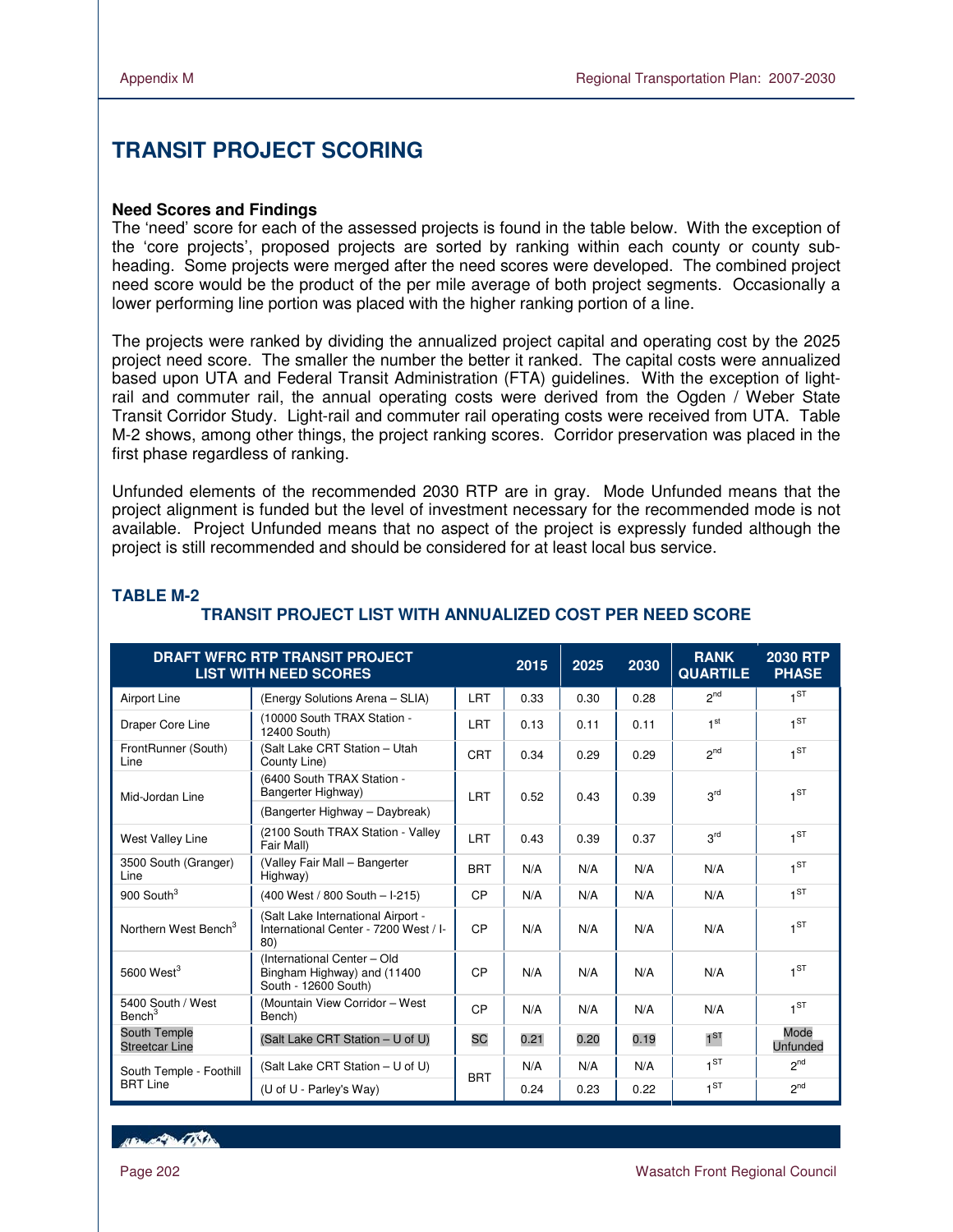$\overline{a}$ 

# **TRANSIT PROJECT SCORING**

#### **Need Scores and Findings**

The 'need' score for each of the assessed projects is found in the table below. With the exception of the 'core projects', proposed projects are sorted by ranking within each county or county subheading. Some projects were merged after the need scores were developed. The combined project need score would be the product of the per mile average of both project segments. Occasionally a lower performing line portion was placed with the higher ranking portion of a line.

The projects were ranked by dividing the annualized project capital and operating cost by the 2025 project need score. The smaller the number the better it ranked. The capital costs were annualized based upon UTA and Federal Transit Administration (FTA) guidelines. With the exception of lightrail and commuter rail, the annual operating costs were derived from the Ogden / Weber State Transit Corridor Study. Light-rail and commuter rail operating costs were received from UTA. Table M-2 shows, among other things, the project ranking scores. Corridor preservation was placed in the first phase regardless of ranking.

Unfunded elements of the recommended 2030 RTP are in gray. Mode Unfunded means that the project alignment is funded but the level of investment necessary for the recommended mode is not available. Project Unfunded means that no aspect of the project is expressly funded although the project is still recommended and should be considered for at least local bus service.

|                                         | <b>DRAFT WFRC RTP TRANSIT PROJECT</b><br><b>LIST WITH NEED SCORES</b>              |            | 2015 | 2025 | 2030 | <b>RANK</b><br><b>QUARTILE</b> | <b>2030 RTP</b><br><b>PHASE</b> |
|-----------------------------------------|------------------------------------------------------------------------------------|------------|------|------|------|--------------------------------|---------------------------------|
| Airport Line                            | (Energy Solutions Arena - SLIA)                                                    | <b>LRT</b> | 0.33 | 0.30 | 0.28 | 2 <sup>nd</sup>                | 1 <sub>ST</sub>                 |
| Draper Core Line                        | (10000 South TRAX Station -<br>12400 South)                                        | <b>LRT</b> | 0.13 | 0.11 | 0.11 | 1 <sup>st</sup>                | 1 <sup>ST</sup>                 |
| FrontRunner (South)<br>Line             | (Salt Lake CRT Station - Utah<br>County Line)                                      | <b>CRT</b> | 0.34 | 0.29 | 0.29 | 2 <sup>nd</sup>                | 1 <sub>ST</sub>                 |
| Mid-Jordan Line                         | (6400 South TRAX Station -<br>Bangerter Highway)                                   | <b>LRT</b> | 0.52 | 0.43 | 0.39 | 3 <sup>rd</sup>                | 1 <sub>5</sub>                  |
|                                         | (Bangerter Highway - Daybreak)                                                     |            |      |      |      |                                |                                 |
| <b>West Valley Line</b>                 | (2100 South TRAX Station - Valley<br>Fair Mall)                                    | LRT        | 0.43 | 0.39 | 0.37 | 3 <sup>rd</sup>                | 1 <sub>ST</sub>                 |
| 3500 South (Granger)<br>Line            | (Valley Fair Mall - Bangerter<br>Highway)                                          | <b>BRT</b> | N/A  | N/A  | N/A  | N/A                            | $1^{ST}$                        |
| 900 South <sup>3</sup>                  | (400 West / 800 South - I-215)                                                     | CP         | N/A  | N/A  | N/A  | N/A                            | $1^{ST}$                        |
| Northern West Bench <sup>3</sup>        | (Salt Lake International Airport -<br>International Center - 7200 West / I-<br>80) | CP         | N/A  | N/A  | N/A  | N/A                            | $1^{ST}$                        |
| 5600 West $3$                           | (International Center - Old<br>Bingham Highway) and (11400<br>South - 12600 South) | CP         | N/A  | N/A  | N/A  | N/A                            | 1 <sub>ST</sub>                 |
| 5400 South / West<br>Bench <sup>3</sup> | (Mountain View Corridor - West<br>Bench)                                           | CP         | N/A  | N/A  | N/A  | N/A                            | $1^{ST}$                        |
| South Temple<br><b>Streetcar Line</b>   | (Salt Lake CRT Station - U of U)                                                   | <b>SC</b>  | 0.21 | 0.20 | 0.19 | $1^{ST}$                       | Mode<br><b>Unfunded</b>         |
| South Temple - Foothill                 | (Salt Lake CRT Station - U of U)                                                   | <b>BRT</b> | N/A  | N/A  | N/A  | $1^{ST}$                       | <sub>2nd</sub>                  |
| <b>BRT</b> Line                         | (U of U - Parley's Way)                                                            |            | 0.24 | 0.23 | 0.22 | 1 <sup>ST</sup>                | <sub>2nd</sub>                  |

#### **TABLE M-2**

# **TRANSIT PROJECT LIST WITH ANNUALIZED COST PER NEED SCORE**

**ABLACTION ON THE**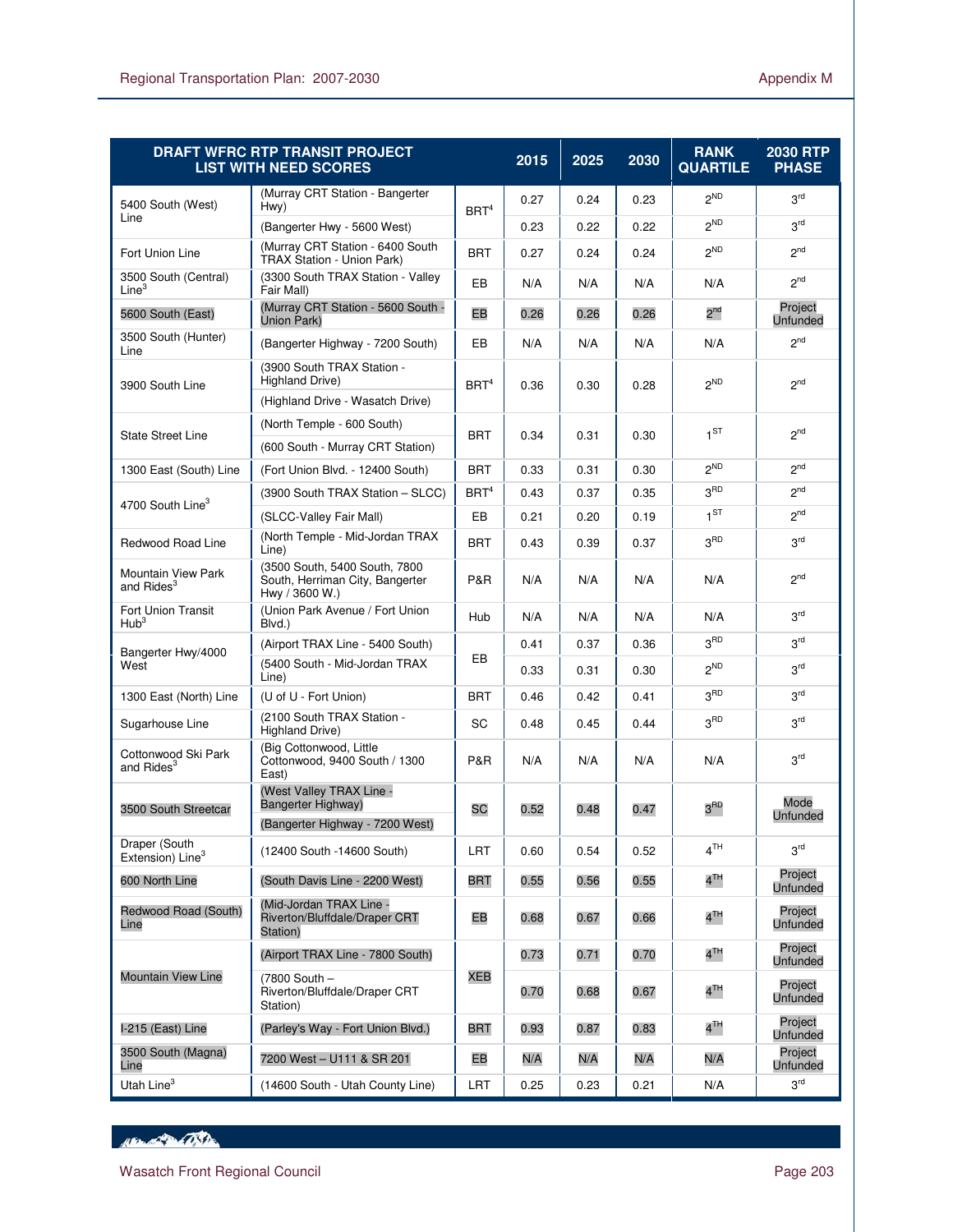$\overline{a}$ 

|                                                     | <b>DRAFT WFRC RTP TRANSIT PROJECT</b><br><b>LIST WITH NEED SCORES</b>                    |                  | 2015 | 2025 | 2030 | <b>RANK</b><br><b>QUARTILE</b> | 2030 RTP<br><b>PHASE</b>   |
|-----------------------------------------------------|------------------------------------------------------------------------------------------|------------------|------|------|------|--------------------------------|----------------------------|
| 5400 South (West)                                   | (Murray CRT Station - Bangerter<br>Hwy)                                                  | BRT <sup>4</sup> | 0.27 | 0.24 | 0.23 | $2^{ND}$                       | 3 <sup>rd</sup>            |
| Line                                                | (Bangerter Hwy - 5600 West)                                                              |                  | 0.23 | 0.22 | 0.22 | ጋ <sup>ND</sup>                | 3 <sup>rd</sup>            |
| Fort Union Line                                     | (Murray CRT Station - 6400 South<br><b>TRAX Station - Union Park)</b>                    | <b>BRT</b>       | 0.27 | 0.24 | 0.24 | $2^{ND}$                       | 2 <sup>nd</sup>            |
| 3500 South (Central)<br>Line <sup>3</sup>           | (3300 South TRAX Station - Valley<br>Fair Mall)                                          | EB               | N/A  | N/A  | N/A  | N/A                            | 2 <sup>nd</sup>            |
| 5600 South (East)                                   | (Murray CRT Station - 5600 South -<br>Union Park)                                        | EB               | 0.26 | 0.26 | 0.26 | $2^{nd}$                       | Project<br><b>Unfunded</b> |
| 3500 South (Hunter)<br>Line                         | (Bangerter Highway - 7200 South)                                                         | EВ               | N/A  | N/A  | N/A  | N/A                            | 2 <sup>nd</sup>            |
| 3900 South Line                                     | (3900 South TRAX Station -<br><b>Highland Drive)</b><br>(Highland Drive - Wasatch Drive) | BRT <sup>4</sup> | 0.36 | 0.30 | 0.28 | ጋ <sup>ND</sup>                | 2 <sup>nd</sup>            |
| <b>State Street Line</b>                            | (North Temple - 600 South)<br>(600 South - Murray CRT Station)                           | <b>BRT</b>       | 0.34 | 0.31 | 0.30 | 1 <sup>ST</sup>                | 2 <sup>nd</sup>            |
| 1300 East (South) Line                              | (Fort Union Blvd. - 12400 South)                                                         | <b>BRT</b>       | 0.33 | 0.31 | 0.30 | $2^{ND}$                       | 2 <sup>nd</sup>            |
|                                                     | (3900 South TRAX Station - SLCC)                                                         | BRT <sup>4</sup> | 0.43 | 0.37 | 0.35 | 3 <sup>RD</sup>                | 2 <sup>nd</sup>            |
| 4700 South Line <sup>3</sup>                        | (SLCC-Valley Fair Mall)                                                                  | EВ               | 0.21 | 0.20 | 0.19 | $1^{ST}$                       | 2 <sup>nd</sup>            |
| Redwood Road Line                                   | (North Temple - Mid-Jordan TRAX)<br>Line)                                                | BRT              | 0.43 | 0.39 | 0.37 | 3 <sup>RD</sup>                | 3 <sup>rd</sup>            |
| <b>Mountain View Park</b><br>and Rides <sup>3</sup> | (3500 South, 5400 South, 7800<br>South, Herriman City, Bangerter<br>Hwy / 3600 W.)       | P&R              | N/A  | N/A  | N/A  | N/A                            | 2 <sup>nd</sup>            |
| Fort Union Transit<br>Hub <sup>3</sup>              | (Union Park Avenue / Fort Union<br>Blvd.)                                                | Hub              | N/A  | N/A  | N/A  | N/A                            | 3 <sup>rd</sup>            |
| Bangerter Hwy/4000                                  | (Airport TRAX Line - 5400 South)                                                         |                  | 0.41 | 0.37 | 0.36 | 3 <sup>RD</sup>                | 3 <sup>rd</sup>            |
| West                                                | (5400 South - Mid-Jordan TRAX<br>Line)                                                   | EВ               | 0.33 | 0.31 | 0.30 | 2 <sup>ND</sup>                | 3 <sup>rd</sup>            |
| 1300 East (North) Line                              | (U of U - Fort Union)                                                                    | <b>BRT</b>       | 0.46 | 0.42 | 0.41 | 3 <sup>RD</sup>                | 3 <sup>rd</sup>            |
| Sugarhouse Line                                     | (2100 South TRAX Station -<br><b>Highland Drive)</b>                                     | SC               | 0.48 | 0.45 | 0.44 | 3 <sup>RD</sup>                | 3 <sup>rd</sup>            |
| Cottonwood Ski Park<br>and Rides <sup>3</sup>       | (Big Cottonwood, Little<br>Cottonwood, 9400 South / 1300<br>East)                        | P&R              | N/A  | N/A  | N/A  | N/A                            | 3 <sup>rd</sup>            |
| 3500 South Streetcar                                | (West Valley TRAX Line -<br>Bangerter Highway)<br>(Bangerter Highway - 7200 West)        | <b>SC</b>        | 0.52 | 0.48 | 0.47 | $3^{\sf RD}$                   | Mode<br>Unfunded           |
| Draper (South<br>Extension) Line <sup>3</sup>       | (12400 South -14600 South)                                                               | LRT              | 0.60 | 0.54 | 0.52 | 4 <sup>TH</sup>                | 3 <sup>rd</sup>            |
| 600 North Line                                      | (South Davis Line - 2200 West)                                                           | <b>BRT</b>       | 0.55 | 0.56 | 0.55 | $4^{\mathsf{TH}}$              | Project<br><b>Unfunded</b> |
| Redwood Road (South)<br>Line                        | (Mid-Jordan TRAX Line -<br>Riverton/Bluffdale/Draper CRT<br>Station)                     | EB               | 0.68 | 0.67 | 0.66 | $4^{\textsf{TH}}$              | Project<br><b>Unfunded</b> |
|                                                     | (Airport TRAX Line - 7800 South)                                                         |                  | 0.73 | 0.71 | 0.70 | $4^{\mathsf{TH}}$              | Project<br><b>Unfunded</b> |
| <b>Mountain View Line</b>                           | (7800 South -<br>Riverton/Bluffdale/Draper CRT<br>Station)                               | <b>XEB</b>       | 0.70 | 0.68 | 0.67 | $4^{\mathsf{TH}}$              | Project<br><b>Unfunded</b> |
| I-215 (East) Line                                   | (Parley's Way - Fort Union Blvd.)                                                        | <b>BRT</b>       | 0.93 | 0.87 | 0.83 | $4^{\mathsf{TH}}$              | Project<br><b>Unfunded</b> |
| 3500 South (Magna)<br>Line                          | 7200 West - U111 & SR 201                                                                | EB               | N/A  | N/A  | N/A  | N/A                            | Project<br><b>Unfunded</b> |
| Utah Line <sup>3</sup>                              | (14600 South - Utah County Line)                                                         | LRT              | 0.25 | 0.23 | 0.21 | N/A                            | 3 <sup>rd</sup>            |

Boundary Color